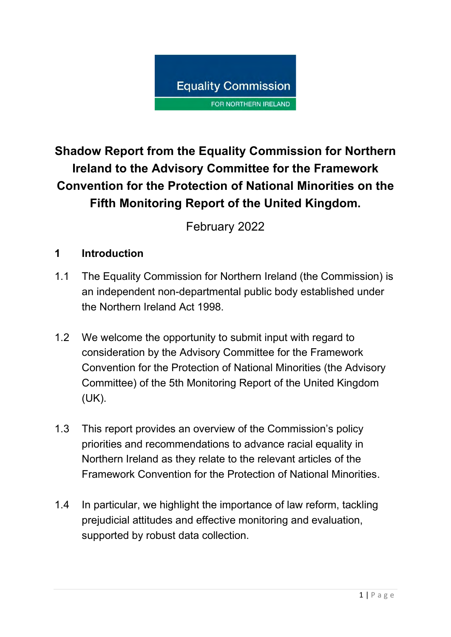

# **Shadow Report from the Equality Commission for Northern Ireland to the Advisory Committee for the Framework Convention for the Protection of National Minorities on the Fifth Monitoring Report of the United Kingdom.**

February 2022

## **1 Introduction**

- 1.1 The Equality Commission for Northern Ireland (the Commission) is an independent non-departmental public body established under the Northern Ireland Act 1998.
- 1.2 We welcome the opportunity to submit input with regard to consideration by the Advisory Committee for the Framework Convention for the Protection of National Minorities (the Advisory Committee) of the 5th Monitoring Report of the United Kingdom (UK).
- 1.3 This report provides an overview of the Commission's policy priorities and recommendations to advance racial equality in Northern Ireland as they relate to the relevant articles of the Framework Convention for the Protection of National Minorities.
- 1.4 In particular, we highlight the importance of law reform, tackling prejudicial attitudes and effective monitoring and evaluation, supported by robust data collection.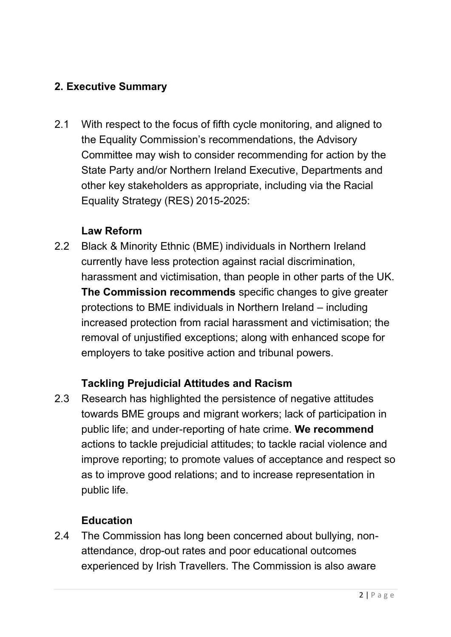# **2. Executive Summary**

2.1 With respect to the focus of fifth cycle monitoring, and aligned to the Equality Commission's recommendations, the Advisory Committee may wish to consider recommending for action by the State Party and/or Northern Ireland Executive, Departments and other key stakeholders as appropriate, including via the Racial Equality Strategy (RES) 2015-2025:

#### **Law Reform**

2.2 Black & Minority Ethnic (BME) individuals in Northern Ireland currently have less protection against racial discrimination, harassment and victimisation, than people in other parts of the UK. **The Commission recommends** specific changes to give greater protections to BME individuals in Northern Ireland – including increased protection from racial harassment and victimisation; the removal of unjustified exceptions; along with enhanced scope for employers to take positive action and tribunal powers.

#### **Tackling Prejudicial Attitudes and Racism**

2.3 Research has highlighted the persistence of negative attitudes towards BME groups and migrant workers; lack of participation in public life; and under-reporting of hate crime. **We recommend**  actions to tackle prejudicial attitudes; to tackle racial violence and improve reporting; to promote values of acceptance and respect so as to improve good relations; and to increase representation in public life.

#### **Education**

2.4 The Commission has long been concerned about bullying, nonattendance, drop-out rates and poor educational outcomes experienced by Irish Travellers. The Commission is also aware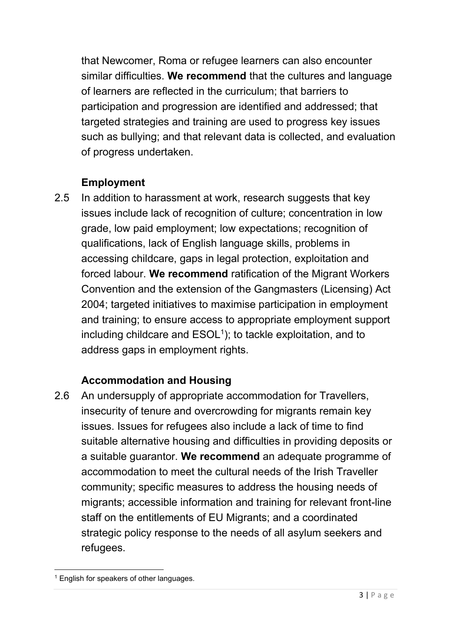that Newcomer, Roma or refugee learners can also encounter similar difficulties. **We recommend** that the cultures and language of learners are reflected in the curriculum; that barriers to participation and progression are identified and addressed; that targeted strategies and training are used to progress key issues such as bullying; and that relevant data is collected, and evaluation of progress undertaken.

# **Employment**

2.5 In addition to harassment at work, research suggests that key issues include lack of recognition of culture; concentration in low grade, low paid employment; low expectations; recognition of qualifications, lack of English language skills, problems in accessing childcare, gaps in legal protection, exploitation and forced labour. **We recommend** ratification of the Migrant Workers Convention and the extension of the Gangmasters (Licensing) Act 2004; targeted initiatives to maximise participation in employment and training; to ensure access to appropriate employment support including childcare and  $\mathsf{ESOL}^1$ ); to tackle exploitation, and to address gaps in employment rights.

# **Accommodation and Housing**

2.6 An undersupply of appropriate accommodation for Travellers, insecurity of tenure and overcrowding for migrants remain key issues. Issues for refugees also include a lack of time to find suitable alternative housing and difficulties in providing deposits or a suitable guarantor. **We recommend** an adequate programme of accommodation to meet the cultural needs of the Irish Traveller community; specific measures to address the housing needs of migrants; accessible information and training for relevant front-line staff on the entitlements of EU Migrants; and a coordinated strategic policy response to the needs of all asylum seekers and refugees.

<sup>&</sup>lt;sup>1</sup> English for speakers of other languages.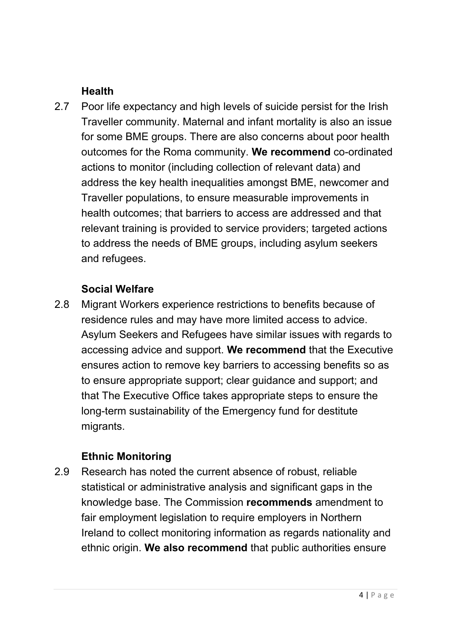#### **Health**

2.7 Poor life expectancy and high levels of suicide persist for the Irish Traveller community. Maternal and infant mortality is also an issue for some BME groups. There are also concerns about poor health outcomes for the Roma community. **We recommend** co-ordinated actions to monitor (including collection of relevant data) and address the key health inequalities amongst BME, newcomer and Traveller populations, to ensure measurable improvements in health outcomes; that barriers to access are addressed and that relevant training is provided to service providers; targeted actions to address the needs of BME groups, including asylum seekers and refugees.

#### **Social Welfare**

2.8 Migrant Workers experience restrictions to benefits because of residence rules and may have more limited access to advice. Asylum Seekers and Refugees have similar issues with regards to accessing advice and support. **We recommend** that the Executive ensures action to remove key barriers to accessing benefits so as to ensure appropriate support; clear guidance and support; and that The Executive Office takes appropriate steps to ensure the long-term sustainability of the Emergency fund for destitute migrants.

#### **Ethnic Monitoring**

2.9 Research has noted the current absence of robust, reliable statistical or administrative analysis and significant gaps in the knowledge base. The Commission **recommends** amendment to fair employment legislation to require employers in Northern Ireland to collect monitoring information as regards nationality and ethnic origin. **We also recommend** that public authorities ensure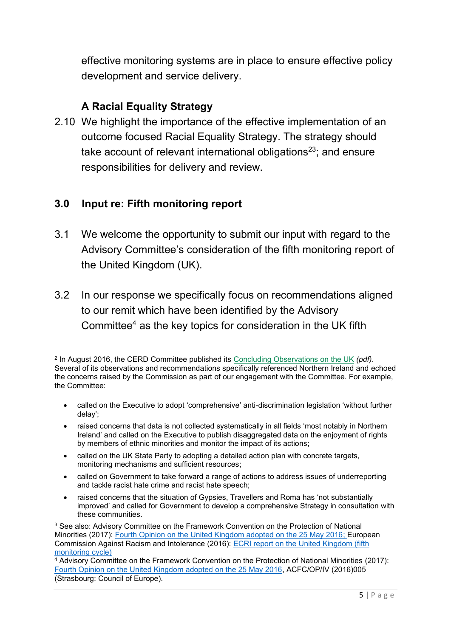effective monitoring systems are in place to ensure effective policy development and service delivery.

## **A Racial Equality Strategy**

2.10 We highlight the importance of the effective implementation of an outcome focused Racial Equality Strategy. The strategy should take account of relevant international obligations $^{23}$ ; and ensure responsibilities for delivery and review.

#### **3.0 Input re: Fifth monitoring report**

- 3.1 We welcome the opportunity to submit our input with regard to the Advisory Committee's consideration of the fifth monitoring report of the United Kingdom (UK).
- 3.2 In our response we specifically focus on recommendations aligned to our remit which have been identified by the Advisory Committee<sup>4</sup> as the key topics for consideration in the UK fifth

- called on the Executive to adopt 'comprehensive' anti-discrimination legislation 'without further delay';
- raised concerns that data is not collected systematically in all fields 'most notably in Northern Ireland' and called on the Executive to publish disaggregated data on the enjoyment of rights by members of ethnic minorities and monitor the impact of its actions;
- called on the UK State Party to adopting a detailed action plan with concrete targets, monitoring mechanisms and sufficient resources;
- called on Government to take forward a range of actions to address issues of underreporting and tackle racist hate crime and racist hate speech;
- raised concerns that the situation of Gypsies, Travellers and Roma has 'not substantially improved' and called for Government to develop a comprehensive Strategy in consultation with these communities.

<sup>2</sup> In August 2016, the CERD Committee published its [Concluding Observations on the UK](http://tbinternet.ohchr.org/Treaties/CERD/Shared%20Documents/GBR/CERD_C_GBR_CO_21-23_24985_E.pdf) *(pdf)*. Several of its observations and recommendations specifically referenced Northern Ireland and echoed the concerns raised by the Commission as part of our engagement with the Committee. For example, the Committee:

<sup>3</sup> See also: Advisory Committee on the Framework Convention on the Protection of National Minorities (2017): [Fourth Opinion on the United Kingdom adopted on the 25 May 2016;](https://rm.coe.int/16806fb9ab) European Commission Against Racism and Intolerance (2016): [ECRI report on the United Kingdom \(fifth](https://rm.coe.int/fifth-report-on-the-united-kingdom/16808b5758)  [monitoring cycle\)](https://rm.coe.int/fifth-report-on-the-united-kingdom/16808b5758)

<sup>4</sup> Advisory Committee on the Framework Convention on the Protection of National Minorities (2017): [Fourth Opinion on the United Kingdom adopted on the 25 May 2016,](https://rm.coe.int/16806fb9ab) ACFC/OP/IV (2016)005 (Strasbourg: Council of Europe).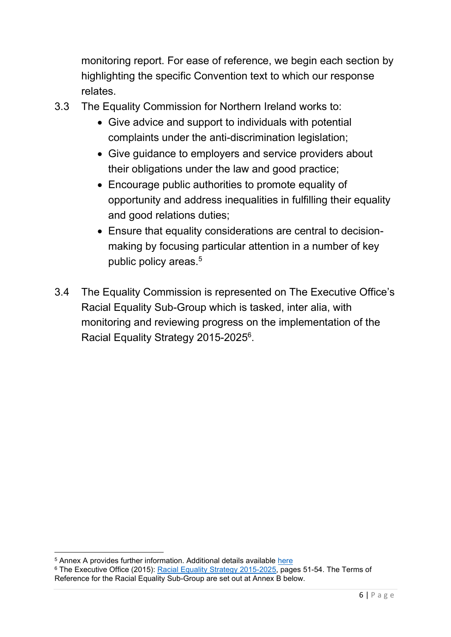monitoring report. For ease of reference, we begin each section by highlighting the specific Convention text to which our response relates.

- 3.3 The Equality Commission for Northern Ireland works to:
	- Give advice and support to individuals with potential complaints under the anti-discrimination legislation;
	- Give guidance to employers and service providers about their obligations under the law and good practice;
	- Encourage public authorities to promote equality of opportunity and address inequalities in fulfilling their equality and good relations duties;
	- Ensure that equality considerations are central to decisionmaking by focusing particular attention in a number of key public policy areas. 5
- 3.4 The Equality Commission is represented on The Executive Office's Racial Equality Sub-Group which is tasked, inter alia, with monitoring and reviewing progress on the implementation of the Racial Equality Strategy 2015-2025<sup>6</sup>.

<sup>5</sup> Annex A provides further information. Additional details available [here](http://www.equalityni.org/HeaderLinks/About-Us)

<sup>&</sup>lt;sup>6</sup> The Executive Office (2015): [Racial Equality Strategy 2015-2025,](https://www.executiveoffice-ni.gov.uk/sites/default/files/publications/ofmdfm/racial-equality-strategy-2015-2025.pdf) pages 51-54. The Terms of Reference for the Racial Equality Sub-Group are set out at Annex B below.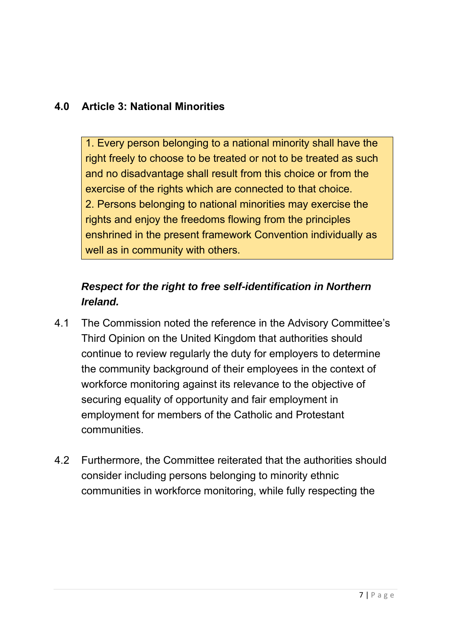## **4.0 Article 3: National Minorities**

1. Every person belonging to a national minority shall have the right freely to choose to be treated or not to be treated as such and no disadvantage shall result from this choice or from the exercise of the rights which are connected to that choice. 2. Persons belonging to national minorities may exercise the rights and enjoy the freedoms flowing from the principles enshrined in the present framework Convention individually as well as in community with others.

# *Respect for the right to free self-identification in Northern Ireland.*

- 4.1 The Commission noted the reference in the Advisory Committee's Third Opinion on the United Kingdom that authorities should continue to review regularly the duty for employers to determine the community background of their employees in the context of workforce monitoring against its relevance to the objective of securing equality of opportunity and fair employment in employment for members of the Catholic and Protestant **communities**
- 4.2 Furthermore, the Committee reiterated that the authorities should consider including persons belonging to minority ethnic communities in workforce monitoring, while fully respecting the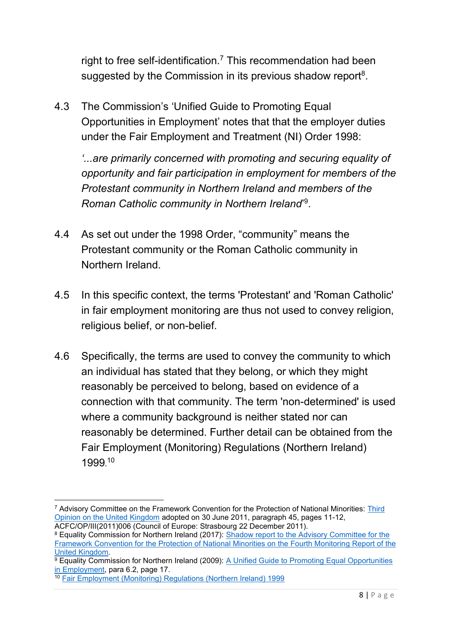right to free self-identification. <sup>7</sup> This recommendation had been suggested by the Commission in its previous shadow report $^8$ .

4.3 The Commission's 'Unified Guide to Promoting Equal Opportunities in Employment' notes that that the employer duties under the Fair Employment and Treatment (NI) Order 1998:

*'...are primarily concerned with promoting and securing equality of opportunity and fair participation in employment for members of the Protestant community in Northern Ireland and members of the Roman Catholic community in Northern Ireland*' 9 .

- 4.4 As set out under the 1998 Order, "community" means the Protestant community or the Roman Catholic community in Northern Ireland.
- 4.5 In this specific context, the terms 'Protestant' and 'Roman Catholic' in fair employment monitoring are thus not used to convey religion, religious belief, or non-belief.
- 4.6 Specifically, the terms are used to convey the community to which an individual has stated that they belong, or which they might reasonably be perceived to belong, based on evidence of a connection with that community. The term 'non-determined' is used where a community background is neither stated nor can reasonably be determined. Further detail can be obtained from the Fair Employment (Monitoring) Regulations (Northern Ireland) 1999. 10

<sup>7</sup> Advisory Committee on the Framework Convention for the Protection of National Minorities: [Third](https://rm.coe.int/CoERMPublicCommonSearchServices/DisplayDCTMContent?documentId=090000168008c6c2)  [Opinion on the United Kingdom](https://rm.coe.int/CoERMPublicCommonSearchServices/DisplayDCTMContent?documentId=090000168008c6c2) adopted on 30 June 2011, paragraph 45, pages 11-12, ACFC/OP/III(2011)006 (Council of Europe: Strasbourg 22 December 2011).

<sup>&</sup>lt;sup>8</sup> Equality Commission for Northern Ireland (2017): Shadow report to the Advisory Committee for the [Framework Convention for the Protection of National Minorities on the Fourth Monitoring Report of the](https://www.equalityni.org/ECNI/media/ECNI/Consultation%20Responses/2016/Council_of_Europe-4th_MonitoringReportUK.pdf?ext=.pdf)  [United Kingdom.](https://www.equalityni.org/ECNI/media/ECNI/Consultation%20Responses/2016/Council_of_Europe-4th_MonitoringReportUK.pdf?ext=.pdf)

 $9$  Equality Commission for Northern Ireland (2009): A Unified Guide to Promoting Equal Opportunities [in Employment,](https://www.equalityni.org/ECNI/media/ECNI/Publications/Employers%20and%20Service%20Providers/Unifiedguidetopromotingequalopps2009.pdf) para 6.2, page 17.

<sup>10</sup> [Fair Employment \(Monitoring\) Regulations \(Northern Ireland\) 1999](https://www.legislation.gov.uk/nisr/1999/148/contents/made)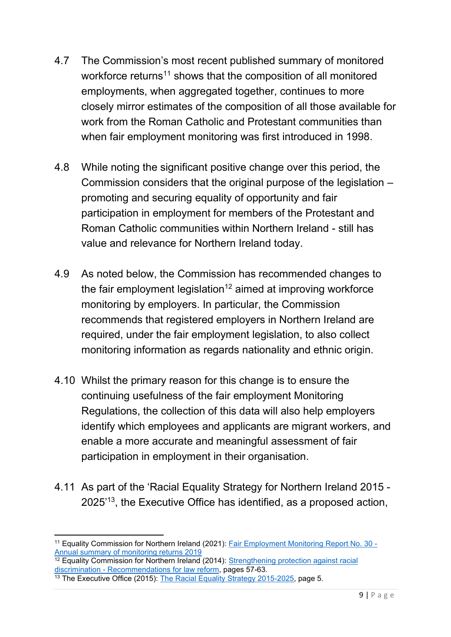- 4.7 The Commission's most recent published summary of monitored workforce returns<sup>11</sup> shows that the composition of all monitored employments, when aggregated together, continues to more closely mirror estimates of the composition of all those available for work from the Roman Catholic and Protestant communities than when fair employment monitoring was first introduced in 1998.
- 4.8 While noting the significant positive change over this period, the Commission considers that the original purpose of the legislation – promoting and securing equality of opportunity and fair participation in employment for members of the Protestant and Roman Catholic communities within Northern Ireland - still has value and relevance for Northern Ireland today.
- 4.9 As noted below, the Commission has recommended changes to the fair employment legislation<sup>12</sup> aimed at improving workforce monitoring by employers. In particular, the Commission recommends that registered employers in Northern Ireland are required, under the fair employment legislation, to also collect monitoring information as regards nationality and ethnic origin.
- 4.10 Whilst the primary reason for this change is to ensure the continuing usefulness of the fair employment Monitoring Regulations, the collection of this data will also help employers identify which employees and applicants are migrant workers, and enable a more accurate and meaningful assessment of fair participation in employment in their organisation.
- 4.11 As part of the 'Racial Equality Strategy for Northern Ireland 2015 2025'<sup>13</sup>, the Executive Office has identified, as a proposed action,

 $\frac{12}{12}$  Equality Commission for Northern Ireland (2014): Strengthening protection against racial discrimination - [Recommendations for law reform,](https://www.equalityni.org/ECNI/media/ECNI/Publications/Delivering%20Equality/RaceLawReform-FullReport.pdf) pages 57-63.

<sup>11</sup> Equality Commission for Northern Ireland (2021): [Fair Employment Monitoring Report No. 30 -](https://www.equalityni.org/ECNI/media/ECNI/Publications/Delivering%20Equality/FETO%20Monitoring%20Reports/No30/MonReport30.pdf?ext=.pdf) [Annual summary of monitoring returns 2019](https://www.equalityni.org/ECNI/media/ECNI/Publications/Delivering%20Equality/FETO%20Monitoring%20Reports/No30/MonReport30.pdf?ext=.pdf) 

<sup>&</sup>lt;sup>13</sup> The Executive Office (2015): [The Racial Equality Strategy 2015-2025,](https://www.executiveoffice-ni.gov.uk/sites/default/files/publications/ofmdfm/racial-equality-strategy-2015-2025.pdf) page 5.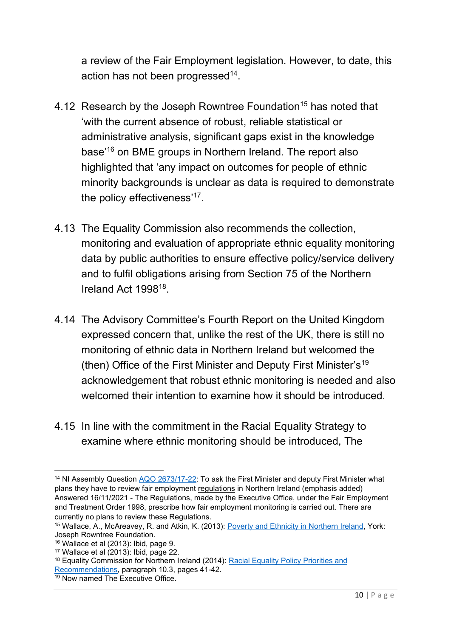a review of the Fair Employment legislation. However, to date, this action has not been progressed $^{14}$ .

- 4.12 Research by the Joseph Rowntree Foundation<sup>15</sup> has noted that 'with the current absence of robust, reliable statistical or administrative analysis, significant gaps exist in the knowledge base'<sup>16</sup> on BME groups in Northern Ireland. The report also highlighted that 'any impact on outcomes for people of ethnic minority backgrounds is unclear as data is required to demonstrate the policy effectiveness'<sup>17</sup> .
- 4.13 The Equality Commission also recommends the collection, monitoring and evaluation of appropriate ethnic equality monitoring data by public authorities to ensure effective policy/service delivery and to fulfil obligations arising from Section 75 of the Northern Ireland Act 1998<sup>18</sup>.
- 4.14 The Advisory Committee's Fourth Report on the United Kingdom expressed concern that, unlike the rest of the UK, there is still no monitoring of ethnic data in Northern Ireland but welcomed the (then) Office of the First Minister and Deputy First Minister's<sup>19</sup> acknowledgement that robust ethnic monitoring is needed and also welcomed their intention to examine how it should be introduced.
- 4.15 In line with the commitment in the Racial Equality Strategy to examine where ethnic monitoring should be introduced, The

<sup>&</sup>lt;sup>14</sup> NI Assembly Question AQO [2673/17-22:](https://eur01.safelinks.protection.outlook.com/?url=http%3A%2F%2Faims.niassembly.gov.uk%2Fquestions%2Fprintquestionsummary.aspx%3Fdocid%3D357949&data=04%7C01%7CPNoonan%40equalityni.org%7Ca21e3a096ebd4584e31608d9f20de26b%7C5820a9e267394cd7838b4cb0f6ccf5ce%7C0%7C0%7C637806963703793521%7CUnknown%7CTWFpbGZsb3d8eyJWIjoiMC4wLjAwMDAiLCJQIjoiV2luMzIiLCJBTiI6Ik1haWwiLCJXVCI6Mn0%3D%7C3000&sdata=SqjND1X5W%2BKkqTyLkBFed9LIyNEtgMecftbeRA%2FbfNg%3D&reserved=0) To ask the First Minister and deputy First Minister what plans they have to review fair employment regulations in Northern Ireland (emphasis added) Answered 16/11/2021 - The Regulations, made by the Executive Office, under the Fair Employment and Treatment Order 1998, prescribe how fair employment monitoring is carried out. There are currently no plans to review these Regulations.

<sup>15</sup> Wallace, A., McAreavey, R. and Atkin, K. (2013): [Poverty and Ethnicity in Northern Ireland,](file:///C:/Users/PNoonan/AppData/Local/Microsoft/Windows/INetCache/IE/2U6OKJRU/poverty-ethnicity-northern-ireland-full.pdf) York: Joseph Rowntree Foundation.

<sup>&</sup>lt;sup>16</sup> Wallace et al (2013): Ibid, page 9.

<sup>17</sup> Wallace et al (2013): Ibid, page 22.

<sup>18</sup> Equality Commission for Northern Ireland (2014): [Racial Equality Policy Priorities and](https://www.equalityni.org/ECNI/media/ECNI/Publications/Delivering%20Equality/RacialEquality_PolicyPosition2014.pdf)  [Recommendations,](https://www.equalityni.org/ECNI/media/ECNI/Publications/Delivering%20Equality/RacialEquality_PolicyPosition2014.pdf) paragraph 10.3, pages 41-42.

<sup>19</sup> Now named The Executive Office.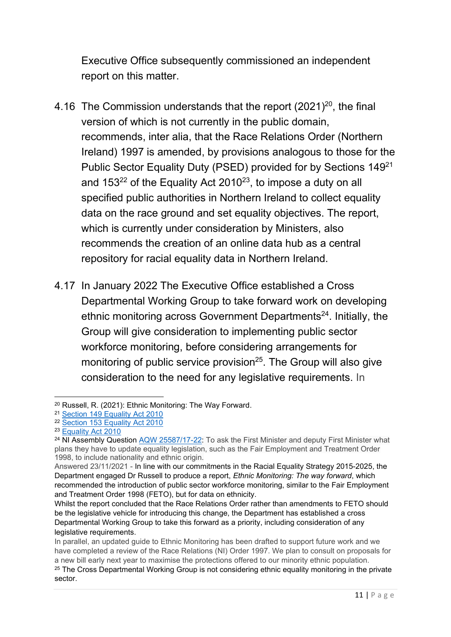Executive Office subsequently commissioned an independent report on this matter.

- 4.16 The Commission understands that the report  $(2021)^{20}$ , the final version of which is not currently in the public domain, recommends, inter alia, that the Race Relations Order (Northern Ireland) 1997 is amended, by provisions analogous to those for the Public Sector Equality Duty (PSED) provided for by Sections 149<sup>21</sup> and 153 $^{22}$  of the Equality Act 2010 $^{23}$ , to impose a duty on all specified public authorities in Northern Ireland to collect equality data on the race ground and set equality objectives. The report, which is currently under consideration by Ministers, also recommends the creation of an online data hub as a central repository for racial equality data in Northern Ireland.
- 4.17 In January 2022 The Executive Office established a Cross Departmental Working Group to take forward work on developing ethnic monitoring across Government Departments<sup>24</sup>. Initially, the Group will give consideration to implementing public sector workforce monitoring, before considering arrangements for monitoring of public service provision $^{25}$ . The Group will also give consideration to the need for any legislative requirements. In

<sup>20</sup> Russell, R. (2021): Ethnic Monitoring: The Way Forward.

<sup>21</sup> [Section 149 Equality Act 2010](https://www.legislation.gov.uk/ukpga/2010/15/section/149)

<sup>22</sup> [Section 153 Equality Act 2010](https://www.legislation.gov.uk/ukpga/2010/15/section/153)

<sup>&</sup>lt;sup>23</sup> [Equality Act 2010](https://www.legislation.gov.uk/ukpga/2010/15/contents)

<sup>&</sup>lt;sup>24</sup> NI Assembly Question AQW [25587/17-22:](https://eur01.safelinks.protection.outlook.com/?url=http%3A%2F%2Faims.niassembly.gov.uk%2Fquestions%2Fprintquestionsummary.aspx%3Fdocid%3D357089&data=04%7C01%7CPNoonan%40equalityni.org%7Ca21e3a096ebd4584e31608d9f20de26b%7C5820a9e267394cd7838b4cb0f6ccf5ce%7C0%7C0%7C637806963703793521%7CUnknown%7CTWFpbGZsb3d8eyJWIjoiMC4wLjAwMDAiLCJQIjoiV2luMzIiLCJBTiI6Ik1haWwiLCJXVCI6Mn0%3D%7C3000&sdata=lr6T5sequXX%2FTW%2FQBM6r2EjRdfgjiygcC8hKAzVJEvI%3D&reserved=0) To ask the First Minister and deputy First Minister what plans they have to update equality legislation, such as the Fair Employment and Treatment Order 1998, to include nationality and ethnic origin.

Answered 23/11/2021 - In line with our commitments in the Racial Equality Strategy 2015-2025, the Department engaged Dr Russell to produce a report, *Ethnic Monitoring: The way forward*, which recommended the introduction of public sector workforce monitoring, similar to the Fair Employment and Treatment Order 1998 (FETO), but for data on ethnicity.

Whilst the report concluded that the Race Relations Order rather than amendments to FETO should be the legislative vehicle for introducing this change, the Department has established a cross Departmental Working Group to take this forward as a priority, including consideration of any legislative requirements.

In parallel, an updated guide to Ethnic Monitoring has been drafted to support future work and we have completed a review of the Race Relations (NI) Order 1997. We plan to consult on proposals for a new bill early next year to maximise the protections offered to our minority ethnic population.

<sup>&</sup>lt;sup>25</sup> The Cross Departmental Working Group is not considering ethnic equality monitoring in the private sector.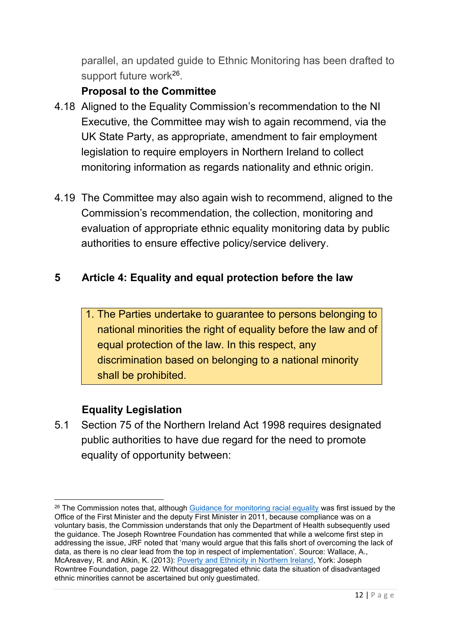parallel, an updated guide to Ethnic Monitoring has been drafted to support future work<sup>26</sup>.

## **Proposal to the Committee**

- 4.18 Aligned to the Equality Commission's recommendation to the NI Executive, the Committee may wish to again recommend, via the UK State Party, as appropriate, amendment to fair employment legislation to require employers in Northern Ireland to collect monitoring information as regards nationality and ethnic origin.
- 4.19 The Committee may also again wish to recommend, aligned to the Commission's recommendation, the collection, monitoring and evaluation of appropriate ethnic equality monitoring data by public authorities to ensure effective policy/service delivery.

#### **5 Article 4: Equality and equal protection before the law**

1. The Parties undertake to guarantee to persons belonging to national minorities the right of equality before the law and of equal protection of the law. In this respect, any discrimination based on belonging to a national minority shall be prohibited.

#### **Equality Legislation**

5.1 Section 75 of the Northern Ireland Act 1998 requires designated public authorities to have due regard for the need to promote equality of opportunity between:

<sup>&</sup>lt;sup>26</sup> The Commission notes that, although [Guidance for monitoring racial equality](https://www.executiveoffice-ni.gov.uk/sites/default/files/publications/ofmdfm_dev/guidance-for-monitoring-racial-equality.pdf) was first issued by the Office of the First Minister and the deputy First Minister in 2011, because compliance was on a voluntary basis, the Commission understands that only the Department of Health subsequently used the guidance. The Joseph Rowntree Foundation has commented that while a welcome first step in addressing the issue, JRF noted that 'many would argue that this falls short of overcoming the lack of data, as there is no clear lead from the top in respect of implementation'. Source: Wallace, A., McAreavey, R. and Atkin, K. (2013): [Poverty and Ethnicity in Northern Ireland,](file:///C:/Users/PNoonan/AppData/Local/Microsoft/Windows/INetCache/IE/2U6OKJRU/poverty-ethnicity-northern-ireland-full.pdf) York: Joseph Rowntree Foundation, page 22. Without disaggregated ethnic data the situation of disadvantaged ethnic minorities cannot be ascertained but only guestimated.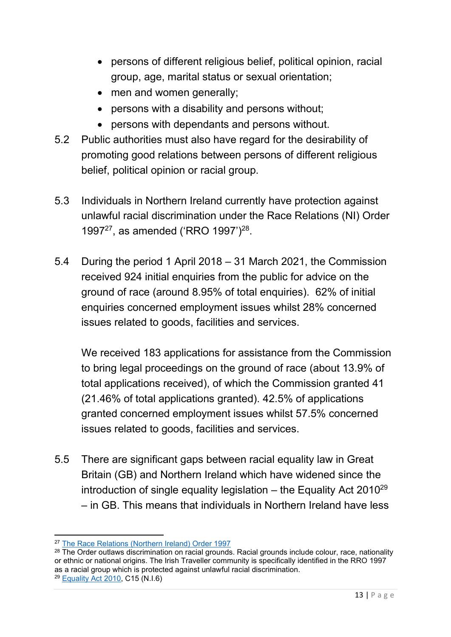- persons of different religious belief, political opinion, racial group, age, marital status or sexual orientation;
- men and women generally;
- persons with a disability and persons without;
- persons with dependants and persons without.
- 5.2 Public authorities must also have regard for the desirability of promoting good relations between persons of different religious belief, political opinion or racial group.
- 5.3 Individuals in Northern Ireland currently have protection against unlawful racial discrimination under the Race Relations (NI) Order 1997<sup>27</sup>, as amended ('RRO 1997')<sup>28</sup>.
- 5.4 During the period 1 April 2018 31 March 2021, the Commission received 924 initial enquiries from the public for advice on the ground of race (around 8.95% of total enquiries). 62% of initial enquiries concerned employment issues whilst 28% concerned issues related to goods, facilities and services.

We received 183 applications for assistance from the Commission to bring legal proceedings on the ground of race (about 13.9% of total applications received), of which the Commission granted 41 (21.46% of total applications granted). 42.5% of applications granted concerned employment issues whilst 57.5% concerned issues related to goods, facilities and services.

5.5 There are significant gaps between racial equality law in Great Britain (GB) and Northern Ireland which have widened since the introduction of single equality legislation  $-$  the Equality Act 2010<sup>29</sup> – in GB. This means that individuals in Northern Ireland have less

<sup>27</sup> [The Race Relations \(Northern Ireland\) Order 1997](https://www.legislation.gov.uk/nisi/1997/869/article/37/made)

<sup>&</sup>lt;sup>28</sup> The Order outlaws discrimination on racial grounds. Racial grounds include colour, race, nationality or ethnic or national origins. The Irish Traveller community is specifically identified in the RRO 1997 as a racial group which is protected against unlawful racial discrimination.

<sup>29</sup> [Equality Act 2010,](https://www.legislation.gov.uk/ukpga/2010/15/contents) C15 (N.I.6)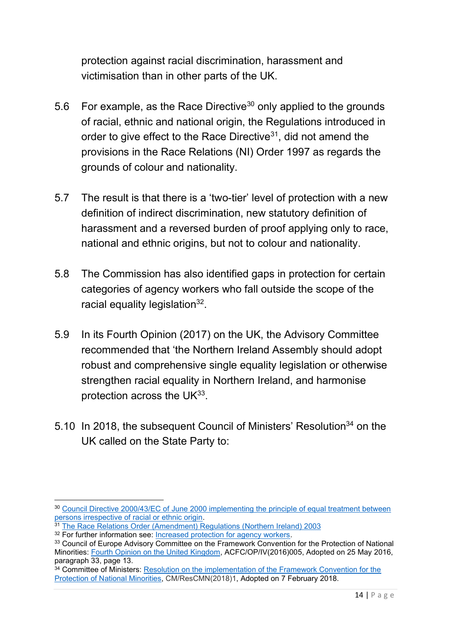protection against racial discrimination, harassment and victimisation than in other parts of the UK.

- 5.6 For example, as the Race Directive $30$  only applied to the grounds of racial, ethnic and national origin, the Regulations introduced in order to give effect to the Race Directive<sup>31</sup>, did not amend the provisions in the Race Relations (NI) Order 1997 as regards the grounds of colour and nationality.
- 5.7 The result is that there is a 'two-tier' level of protection with a new definition of indirect discrimination, new statutory definition of harassment and a reversed burden of proof applying only to race, national and ethnic origins, but not to colour and nationality.
- 5.8 The Commission has also identified gaps in protection for certain categories of agency workers who fall outside the scope of the racial equality legislation<sup>32</sup>.
- 5.9 In its Fourth Opinion (2017) on the UK, the Advisory Committee recommended that 'the Northern Ireland Assembly should adopt robust and comprehensive single equality legislation or otherwise strengthen racial equality in Northern Ireland, and harmonise protection across the UK $^{33}$ .
- 5.10 In 2018, the subsequent Council of Ministers' Resolution<sup>34</sup> on the UK called on the State Party to:

<sup>30</sup> [Council Directive 2000/43/EC of June 2000 implementing the principle of equal treatment between](https://www.legislation.gov.uk/eudr/2000/43/pdfs/eudr_20000043_adopted_en.pdf)  [persons irrespective of racial or ethnic origin.](https://www.legislation.gov.uk/eudr/2000/43/pdfs/eudr_20000043_adopted_en.pdf)

<sup>&</sup>lt;sup>31</sup> The [Race Relations Order \(Amendment\) Regulations \(Northern Ireland\) 2003](https://www.legislation.gov.uk/nisr/2003/341/contents/made)

<sup>&</sup>lt;sup>32</sup> For further information see: [Increased protection for agency workers.](https://www.equalityni.org/Delivering-Equality/Addressing-inequality/Law-reform/Related-work/Race-forms-of-discrimination/agency-workers-(1))

<sup>&</sup>lt;sup>33</sup> Council of Europe Advisory Committee on the Framework Convention for the Protection of National Minorities: [Fourth Opinion on the United Kingdom,](https://rm.coe.int/16806fb9ab) ACFC/OP/IV(2016)005, Adopted on 25 May 2016, paragraph 33, page 13.

<sup>&</sup>lt;sup>34</sup> Committee of Ministers: Resolution on the implementation of the Framework Convention for the [Protection of National Minorities,](https://search.coe.int/cm/Pages/result_details.aspx?ObjectID=0900001680787538) CM/ResCMN(2018)1, Adopted on 7 February 2018.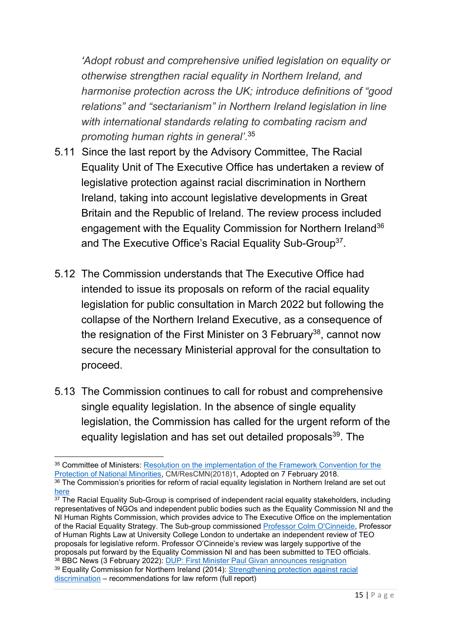*'Adopt robust and comprehensive unified legislation on equality or otherwise strengthen racial equality in Northern Ireland, and harmonise protection across the UK; introduce definitions of "good relations" and "sectarianism" in Northern Ireland legislation in line with international standards relating to combating racism and promoting human rights in general'*. 35

- 5.11 Since the last report by the Advisory Committee, The Racial Equality Unit of The Executive Office has undertaken a review of legislative protection against racial discrimination in Northern Ireland, taking into account legislative developments in Great Britain and the Republic of Ireland. The review process included engagement with the Equality Commission for Northern Ireland<sup>36</sup> and The Executive Office's Racial Equality Sub-Group<sup>37</sup>.
- 5.12 The Commission understands that The Executive Office had intended to issue its proposals on reform of the racial equality legislation for public consultation in March 2022 but following the collapse of the Northern Ireland Executive, as a consequence of the resignation of the First Minister on 3 February<sup>38</sup>, cannot now secure the necessary Ministerial approval for the consultation to proceed.
- 5.13 The Commission continues to call for robust and comprehensive single equality legislation. In the absence of single equality legislation, the Commission has called for the urgent reform of the equality legislation and has set out detailed proposals<sup>39</sup>. The

<sup>&</sup>lt;sup>35</sup> Committee of Ministers: Resolution on the implementation of the Framework Convention for the [Protection of National Minorities,](https://search.coe.int/cm/Pages/result_details.aspx?ObjectID=0900001680787538) CM/ResCMN(2018)1, Adopted on 7 February 2018.

<sup>36</sup> The Commission's priorities for reform of racial equality legislation in Northern Ireland are set out [here](https://www.equalityni.org/Delivering-Equality/Addressing-inequality/Law-reform/Related-work)

 $37$  The Racial Equality Sub-Group is comprised of independent racial equality stakeholders, including representatives of NGOs and independent public bodies such as the Equality Commission NI and the NI Human Rights Commission, which provides advice to The Executive Office on the implementation of the Racial Equality Strategy. The Sub-group commissioned [Professor Colm O'Cinneide,](https://www.ucl.ac.uk/laws/people/prof-colm-ocinneide) Professor of Human Rights Law at University College London to undertake an independent review of TEO proposals for legislative reform. Professor O'Cinneide's review was largely supportive of the proposals put forward by the Equality Commission NI and has been submitted to TEO officials.  $^\mathrm{38}$  BBC News (3 February 2022): <u>DUP: First Minister Paul Givan announces resignation</u>

<sup>39</sup> Equality Commission for Northern Ireland (2014): [Strengthening protection against racial](https://www.equalityni.org/ECNI/media/ECNI/Publications/Delivering%20Equality/RaceLawReform-FullReport.pdf)  [discrimination](https://www.equalityni.org/ECNI/media/ECNI/Publications/Delivering%20Equality/RaceLawReform-FullReport.pdf) – recommendations for law reform (full report)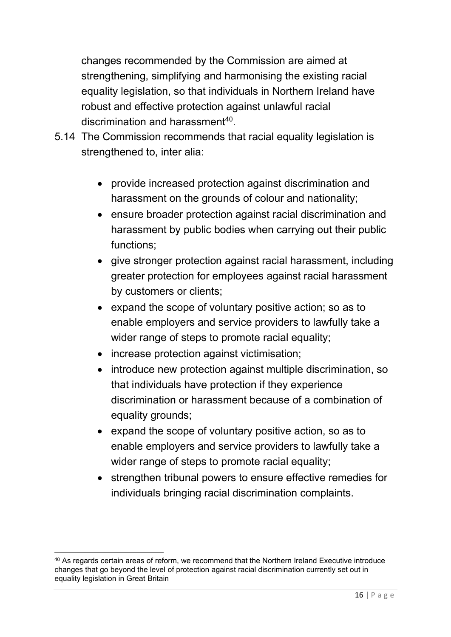changes recommended by the Commission are aimed at strengthening, simplifying and harmonising the existing racial equality legislation, so that individuals in Northern Ireland have robust and effective protection against unlawful racial discrimination and harassment<sup>40</sup>.

- 5.14 The Commission recommends that racial equality legislation is strengthened to, inter alia:
	- provide increased protection against discrimination and harassment on the grounds of colour and nationality;
	- ensure broader protection against racial discrimination and harassment by public bodies when carrying out their public functions;
	- give stronger protection against racial harassment, including greater protection for employees against racial harassment by customers or clients;
	- expand the scope of voluntary positive action; so as to enable employers and service providers to lawfully take a wider range of steps to promote racial equality;
	- increase protection against victimisation;
	- introduce new protection against multiple discrimination, so that individuals have protection if they experience discrimination or harassment because of a combination of equality grounds;
	- expand the scope of voluntary positive action, so as to enable employers and service providers to lawfully take a wider range of steps to promote racial equality;
	- strengthen tribunal powers to ensure effective remedies for individuals bringing racial discrimination complaints.

<sup>40</sup> As regards certain areas of reform, we recommend that the Northern Ireland Executive introduce changes that go beyond the level of protection against racial discrimination currently set out in equality legislation in Great Britain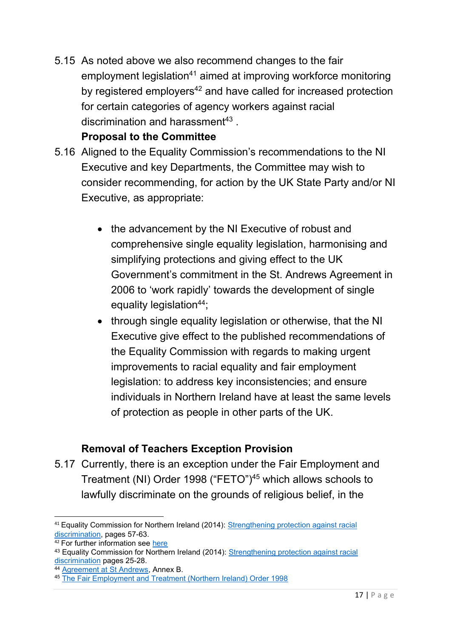5.15 As noted above we also recommend changes to the fair employment legislation<sup>41</sup> aimed at improving workforce monitoring by registered employers<sup>42</sup> and have called for increased protection for certain categories of agency workers against racial discrimination and harassment $^{43}$  .

#### **Proposal to the Committee**

- 5.16 Aligned to the Equality Commission's recommendations to the NI Executive and key Departments, the Committee may wish to consider recommending, for action by the UK State Party and/or NI Executive, as appropriate:
	- the advancement by the NI Executive of robust and comprehensive single equality legislation, harmonising and simplifying protections and giving effect to the UK Government's commitment in the St. Andrews Agreement in 2006 to 'work rapidly' towards the development of single equality legislation $44$ ;
	- through single equality legislation or otherwise, that the NI Executive give effect to the published recommendations of the Equality Commission with regards to making urgent improvements to racial equality and fair employment legislation: to address key inconsistencies; and ensure individuals in Northern Ireland have at least the same levels of protection as people in other parts of the UK.

# **Removal of Teachers Exception Provision**

5.17 Currently, there is an exception under the Fair Employment and Treatment (NI) Order 1998 ("FETO")<sup>45</sup> which allows schools to lawfully discriminate on the grounds of religious belief, in the

<sup>&</sup>lt;sup>41</sup> Equality Commission for Northern Ireland (2014): Strengthening protection against racial [discrimination,](https://www.equalityni.org/ECNI/media/ECNI/Publications/Delivering%20Equality/RaceLawReform-FullReport.pdf) pages 57-63.

 $42$  For further information see [here](https://www.equalityni.org/Delivering-Equality/Addressing-inequality/Law-reform/Related-links/Workforce-monitoring-reform-(1))

<sup>43</sup> Equality Commission for Northern Ireland (2014): [Strengthening protection against racial](https://www.equalityni.org/ECNI/media/ECNI/Publications/Delivering%20Equality/RaceLawReform-FullReport.pdf)  [discrimination](https://www.equalityni.org/ECNI/media/ECNI/Publications/Delivering%20Equality/RaceLawReform-FullReport.pdf) pages 25-28.

<sup>44</sup> [Agreement at St Andrews,](https://assets.publishing.service.gov.uk/government/uploads/system/uploads/attachment_data/file/136651/st_andrews_agreement-2.pdf) Annex B.

<sup>45</sup> [The Fair Employment and Treatment \(Northern Ireland\) Order 1998](https://www.legislation.gov.uk/nisi/1998/3162/contents/made)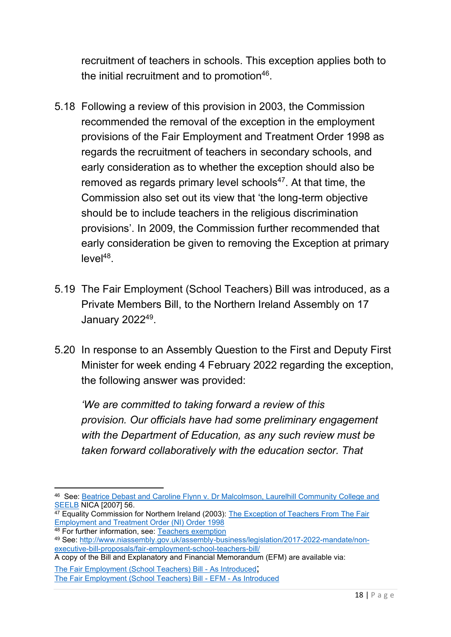recruitment of teachers in schools. This exception applies both to the initial recruitment and to promotion $^{46}\!.$ 

- 5.18 Following a review of this provision in 2003, the Commission recommended the removal of the exception in the employment provisions of the Fair Employment and Treatment Order 1998 as regards the recruitment of teachers in secondary schools, and early consideration as to whether the exception should also be removed as regards primary level schools $^{47}$ . At that time, the Commission also set out its view that 'the long-term objective should be to include teachers in the religious discrimination provisions'. In 2009, the Commission further recommended that early consideration be given to removing the Exception at primary  $level<sup>48</sup>$ .
- 5.19 The Fair Employment (School Teachers) Bill was introduced, as a Private Members Bill, to the Northern Ireland Assembly on 17 January 2022<sup>49</sup>.
- 5.20 In response to an Assembly Question to the First and Deputy First Minister for week ending 4 February 2022 regarding the exception, the following answer was provided:

*'We are committed to taking forward a review of this provision. Our officials have had some preliminary engagement with the Department of Education, as any such review must be taken forward collaboratively with the education sector. That* 

<sup>46</sup> See: [Beatrice Debast and Caroline Flynn v. Dr Malcolmson, Laurelhill Community College and](https://www.judiciaryni.uk/sites/judiciary/files/decisions/Caroline%20Flynn%20and%20Beatrice%20Debast%20and%20MJ%20Malcolmson%20Laurelhill%20School%20and%20South%20Eastern%20Education%20and%20Library%20Board.pdf)  [SEELB](https://www.judiciaryni.uk/sites/judiciary/files/decisions/Caroline%20Flynn%20and%20Beatrice%20Debast%20and%20MJ%20Malcolmson%20Laurelhill%20School%20and%20South%20Eastern%20Education%20and%20Library%20Board.pdf) NICA [2007] 56.

<sup>&</sup>lt;sup>47</sup> Equality Commission for Northern Ireland (2003): The Exception of Teachers From The Fair [Employment and Treatment Order \(NI\) Order 1998](https://www.equalityni.org/ECNI/media/ECNI/Publications/Delivering%20Equality/TeacherExceptionfromFETOInvestigReport2004.pdf)

<sup>48</sup> For further information, see: [Teachers exemption](https://www.equalityni.org/Delivering-Equality/Addressing-inequality/Law-reform/Related-links/Teachers-exception-(1)#:~:text=The%20Equality%20Commission%20recommends%20the%20removal%20of%20the,also%20be%20removed%20as%20regards%20primary%20level%20schools.)

<sup>49</sup> See: [http://www.niassembly.gov.uk/assembly-business/legislation/2017-2022-mandate/non](http://www.niassembly.gov.uk/assembly-business/legislation/2017-2022-mandate/non-executive-bill-proposals/fair-employment-school-teachers-bill/)[executive-bill-proposals/fair-employment-school-teachers-bill/](http://www.niassembly.gov.uk/assembly-business/legislation/2017-2022-mandate/non-executive-bill-proposals/fair-employment-school-teachers-bill/)

A copy of the Bill and Explanatory and Financial Memorandum (EFM) are available via:

[The Fair Employment \(School Teachers\) Bill -](http://www.niassembly.gov.uk/assembly-business/legislation/2017-2022-mandate/non-executive-bill-proposals/fair-employment-school-teachers-bill/bill-as-introduced/) As Introduced; [The Fair Employment \(School Teachers\) Bill -](http://www.niassembly.gov.uk/assembly-business/legislation/2017-2022-mandate/non-executive-bill-proposals/fair-employment-school-teachers-bill/efm---as-introduced/) EFM - As Introduced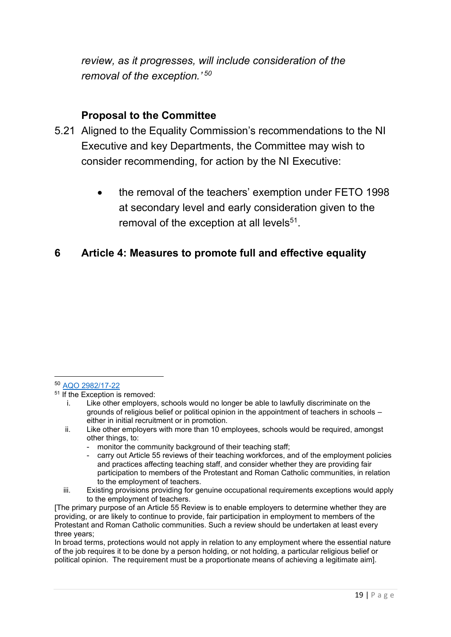*review, as it progresses, will include consideration of the removal of the exception.' 50*

#### **Proposal to the Committee**

- 5.21 Aligned to the Equality Commission's recommendations to the NI Executive and key Departments, the Committee may wish to consider recommending, for action by the NI Executive:
	- the removal of the teachers' exemption under FETO 1998 at secondary level and early consideration given to the removal of the exception at all levels $51$ .

#### **6 Article 4: Measures to promote full and effective equality**

- monitor the community background of their teaching staff;
- carry out Article 55 reviews of their teaching workforces, and of the employment policies and practices affecting teaching staff, and consider whether they are providing fair participation to members of the Protestant and Roman Catholic communities, in relation to the employment of teachers.
- iii. Existing provisions providing for genuine occupational requirements exceptions would apply to the employment of teachers.

In broad terms, protections would not apply in relation to any employment where the essential nature of the job requires it to be done by a person holding, or not holding, a particular religious belief or political opinion. The requirement must be a proportionate means of achieving a legitimate aim].

<sup>50</sup> [AQO 2982/17-22](http://aims.niassembly.gov.uk/questions/printquestionsummary.aspx?docid=366434)

 $51$  If the Exception is removed:

i. Like other employers, schools would no longer be able to lawfully discriminate on the grounds of religious belief or political opinion in the appointment of teachers in schools – either in initial recruitment or in promotion.

ii. Like other employers with more than 10 employees, schools would be required, amongst other things, to:

<sup>[</sup>The primary purpose of an Article 55 Review is to enable employers to determine whether they are providing, or are likely to continue to provide, fair participation in employment to members of the Protestant and Roman Catholic communities. Such a review should be undertaken at least every three years;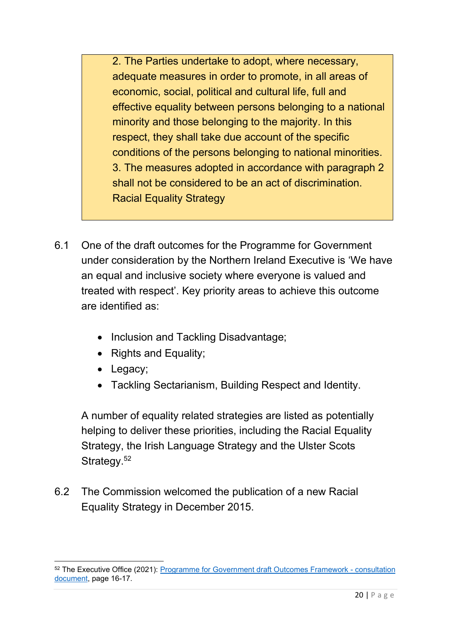2. The Parties undertake to adopt, where necessary, adequate measures in order to promote, in all areas of economic, social, political and cultural life, full and effective equality between persons belonging to a national minority and those belonging to the majority. In this respect, they shall take due account of the specific conditions of the persons belonging to national minorities. 3. The measures adopted in accordance with paragraph 2 shall not be considered to be an act of discrimination. Racial Equality Strategy

- 6.1 One of the draft outcomes for the Programme for Government under consideration by the Northern Ireland Executive is 'We have an equal and inclusive society where everyone is valued and treated with respect'. Key priority areas to achieve this outcome are identified as:
	- Inclusion and Tackling Disadvantage;
	- Rights and Equality;
	- Legacy;
	- Tackling Sectarianism, Building Respect and Identity.

A number of equality related strategies are listed as potentially helping to deliver these priorities, including the Racial Equality Strategy, the Irish Language Strategy and the Ulster Scots Strategy.<sup>52</sup>

6.2 The Commission welcomed the publication of a new Racial Equality Strategy in December 2015.

<sup>52</sup> The Executive Office (2021): [Programme for Government draft Outcomes Framework -](https://www.northernireland.gov.uk/sites/default/files/consultations/newnigov/pfg-draft-outcomes-framework-consultation.pdf) consultation [document,](https://www.northernireland.gov.uk/sites/default/files/consultations/newnigov/pfg-draft-outcomes-framework-consultation.pdf) page 16-17.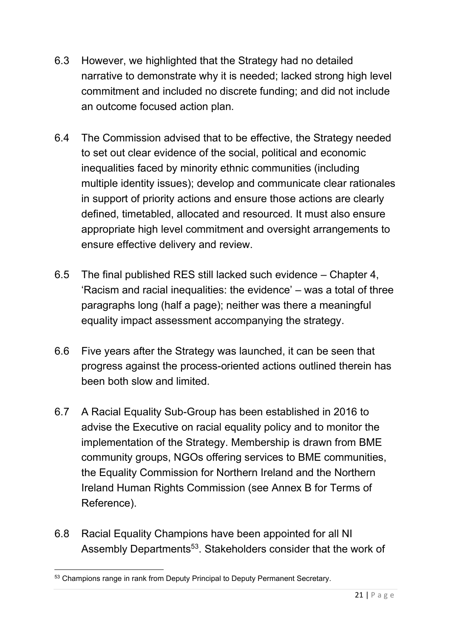- 6.3 However, we highlighted that the Strategy had no detailed narrative to demonstrate why it is needed; lacked strong high level commitment and included no discrete funding; and did not include an outcome focused action plan.
- 6.4 The Commission advised that to be effective, the Strategy needed to set out clear evidence of the social, political and economic inequalities faced by minority ethnic communities (including multiple identity issues); develop and communicate clear rationales in support of priority actions and ensure those actions are clearly defined, timetabled, allocated and resourced. It must also ensure appropriate high level commitment and oversight arrangements to ensure effective delivery and review.
- 6.5 The final published RES still lacked such evidence Chapter 4, 'Racism and racial inequalities: the evidence' – was a total of three paragraphs long (half a page); neither was there a meaningful equality impact assessment accompanying the strategy.
- 6.6 Five years after the Strategy was launched, it can be seen that progress against the process-oriented actions outlined therein has been both slow and limited.
- 6.7 A Racial Equality Sub-Group has been established in 2016 to advise the Executive on racial equality policy and to monitor the implementation of the Strategy. Membership is drawn from BME community groups, NGOs offering services to BME communities, the Equality Commission for Northern Ireland and the Northern Ireland Human Rights Commission (see Annex B for Terms of Reference).
- 6.8 Racial Equality Champions have been appointed for all NI Assembly Departments<sup>53</sup>. Stakeholders consider that the work of

<sup>&</sup>lt;sup>53</sup> Champions range in rank from Deputy Principal to Deputy Permanent Secretary.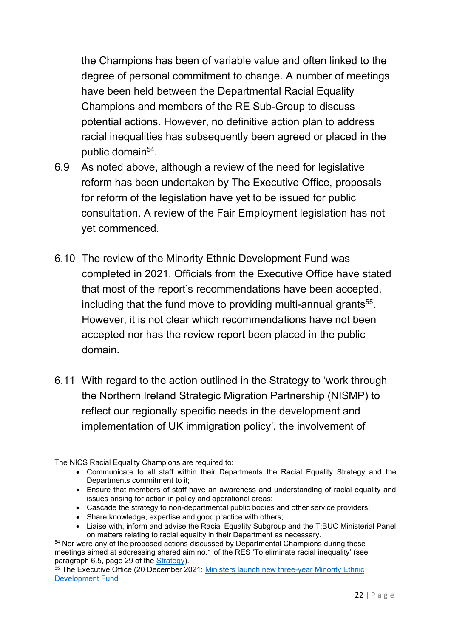the Champions has been of variable value and often linked to the degree of personal commitment to change. A number of meetings have been held between the Departmental Racial Equality Champions and members of the RE Sub-Group to discuss potential actions. However, no definitive action plan to address racial inequalities has subsequently been agreed or placed in the public domain<sup>54</sup>.

- 6.9 As noted above, although a review of the need for legislative reform has been undertaken by The Executive Office, proposals for reform of the legislation have yet to be issued for public consultation. A review of the Fair Employment legislation has not yet commenced.
- 6.10 The review of the Minority Ethnic Development Fund was completed in 2021. Officials from the Executive Office have stated that most of the report's recommendations have been accepted, including that the fund move to providing multi-annual grants<sup>55</sup>. However, it is not clear which recommendations have not been accepted nor has the review report been placed in the public domain.
- 6.11 With regard to the action outlined in the Strategy to 'work through the Northern Ireland Strategic Migration Partnership (NISMP) to reflect our regionally specific needs in the development and implementation of UK immigration policy', the involvement of

- Cascade the strategy to non-departmental public bodies and other service providers;
- Share knowledge, expertise and good practice with others;

The NICS Racial Equality Champions are required to:

<sup>•</sup> Communicate to all staff within their Departments the Racial Equality Strategy and the Departments commitment to it;

<sup>•</sup> Ensure that members of staff have an awareness and understanding of racial equality and issues arising for action in policy and operational areas;

<sup>•</sup> Liaise with, inform and advise the Racial Equality Subgroup and the T:BUC Ministerial Panel on matters relating to racial equality in their Department as necessary.

<sup>54</sup> Nor were any of the proposed actions discussed by Departmental Champions during these meetings aimed at addressing shared aim no.1 of the RES 'To eliminate racial inequality' (see paragraph 6.5, page 29 of the [Strategy\)](https://www.executiveoffice-ni.gov.uk/sites/default/files/publications/ofmdfm/racial-equality-strategy-2015-2025.pdf).

<sup>55</sup> The Executive Office (20 December 2021: [Ministers launch new three-year Minority Ethnic](https://www.executiveoffice-ni.gov.uk/news/ministers-launch-new-three-year-minority-ethnic-development-fund)  [Development Fund](https://www.executiveoffice-ni.gov.uk/news/ministers-launch-new-three-year-minority-ethnic-development-fund)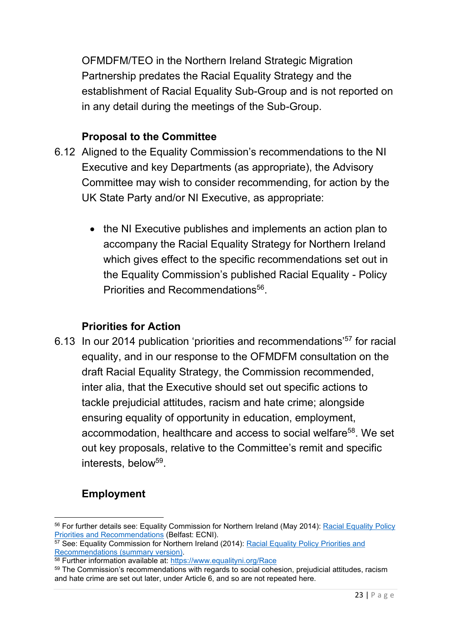OFMDFM/TEO in the Northern Ireland Strategic Migration Partnership predates the Racial Equality Strategy and the establishment of Racial Equality Sub-Group and is not reported on in any detail during the meetings of the Sub-Group.

#### **Proposal to the Committee**

- 6.12 Aligned to the Equality Commission's recommendations to the NI Executive and key Departments (as appropriate), the Advisory Committee may wish to consider recommending, for action by the UK State Party and/or NI Executive, as appropriate:
	- the NI Executive publishes and implements an action plan to accompany the Racial Equality Strategy for Northern Ireland which gives effect to the specific recommendations set out in the Equality Commission's published Racial Equality - Policy Priorities and Recommendations<sup>56</sup>.

# **Priorities for Action**

6.13 In our 2014 publication 'priorities and recommendations'<sup>57</sup> for racial equality, and in our response to the OFMDFM consultation on the draft Racial Equality Strategy, the Commission recommended, inter alia, that the Executive should set out specific actions to tackle prejudicial attitudes, racism and hate crime; alongside ensuring equality of opportunity in education, employment, accommodation, healthcare and access to social welfare<sup>58</sup>. We set out key proposals, relative to the Committee's remit and specific interests, below<sup>59</sup>.

# **Employment**

<sup>56</sup> For further details see: Equality Commission for Northern Ireland (May 2014): [Racial Equality Policy](https://www.equalityni.org/ECNI/media/ECNI/Publications/Delivering%20Equality/RacialEquality_PolicyPosition2014.pdf)  [Priorities and Recommendations](https://www.equalityni.org/ECNI/media/ECNI/Publications/Delivering%20Equality/RacialEquality_PolicyPosition2014.pdf) (Belfast: ECNI).

<sup>&</sup>lt;sup>57</sup> See: Equality Commission for Northern Ireland (2014): Racial Equality Policy Priorities and [Recommendations \(summary version\).](https://www.equalityni.org/ECNI/media/ECNI/Publications/Delivering%20Equality/RacialEquality_PolicySummary2014.pdf)

<sup>58</sup> Further information available at:<https://www.equalityni.org/Race>

<sup>&</sup>lt;sup>59</sup> The Commission's recommendations with regards to social cohesion, prejudicial attitudes, racism and hate crime are set out later, under Article 6, and so are not repeated here.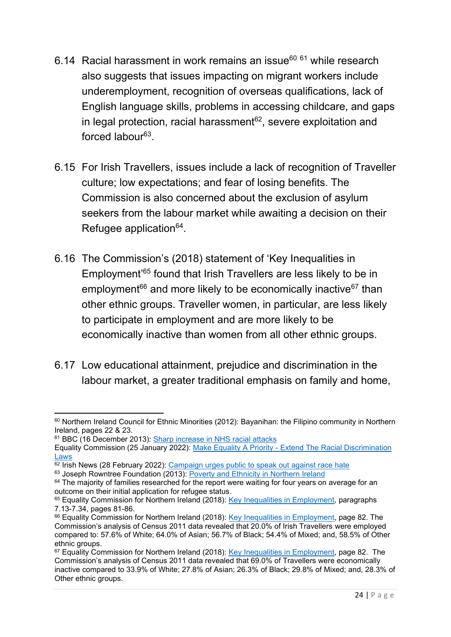- 6.14 Racial harassment in work remains an issue $60$   $61$  while research also suggests that issues impacting on migrant workers include underemployment, recognition of overseas qualifications, lack of English language skills, problems in accessing childcare, and gaps in legal protection, racial harassment $62$ , severe exploitation and forced labour<sup>63</sup>.
- 6.15 For Irish Travellers, issues include a lack of recognition of Traveller culture; low expectations; and fear of losing benefits. The Commission is also concerned about the exclusion of asylum seekers from the labour market while awaiting a decision on their Refugee application<sup>64</sup>.
- 6.16 The Commission's (2018) statement of 'Key Inequalities in Employment'<sup>65</sup> found that Irish Travellers are less likely to be in employment<sup>66</sup> and more likely to be economically inactive<sup>67</sup> than other ethnic groups. Traveller women, in particular, are less likely to participate in employment and are more likely to be economically inactive than women from all other ethnic groups.
- 6.17 Low educational attainment, prejudice and discrimination in the labour market, a greater traditional emphasis on family and home,

<sup>60</sup> Northern Ireland Council for Ethnic Minorities (2012): Bayanihan: the Filipino community in Northern Ireland, pages 22 & 23.

<sup>61</sup> BBC (16 December 2013): [Sharp increase in NHS racial attacks](https://www.bbc.co.uk/news/health-25368332)

Equality Commission (25 January 2022): Make Equality A Priority - [Extend The Racial Discrimination](https://www.youtube.com/watch?v=dzKbSYkhbl8)  [Laws](https://www.youtube.com/watch?v=dzKbSYkhbl8)

 $62$  Irish News (28 February 2022): [Campaign urges public to speak out against race hate](https://www.irishnews.com/news/northernirelandnews/2022/02/28/news/campaign-urges-public-to-speak-out-against-race-hate-2600080/)

<sup>63</sup> Joseph Rowntree Foundation (2013): [Poverty and Ethnicity in Northern Ireland](file:///C:/Users/PNoonan/AppData/Local/Microsoft/Windows/INetCache/IE/W35L0D4P/poverty-ethnicity-northern-ireland-full.pdf)

 $64$  The majority of families researched for the report were waiting for four years on average for an outcome on their initial application for refugee status.

<sup>&</sup>lt;sup>65</sup> Equality Commission for Northern Ireland (2018): [Key Inequalities in Employment,](https://www.equalityni.org/ECNI/media/ECNI/Publications/Delivering%20Equality/Employment-KeyInequalitiesStatement.pdf) paragraphs 7.13-7.34, pages 81-86.

<sup>&</sup>lt;sup>66</sup> Equality Commission for Northern Ireland (2018): [Key Inequalities in Employment,](https://www.equalityni.org/ECNI/media/ECNI/Publications/Delivering%20Equality/Employment-KeyInequalitiesStatement.pdf) page 82. The Commission's analysis of Census 2011 data revealed that 20.0% of Irish Travellers were employed compared to: 57.6% of White; 64.0% of Asian; 56.7% of Black; 54.4% of Mixed; and, 58.5% of Other ethnic groups.

<sup>&</sup>lt;sup>67</sup> Equality Commission for Northern Ireland (2018): [Key Inequalities in Employment,](https://www.equalityni.org/ECNI/media/ECNI/Publications/Delivering%20Equality/Employment-KeyInequalitiesStatement.pdf) page 82. The Commission's analysis of Census 2011 data revealed that 69.0% of Travellers were economically inactive compared to 33.9% of White; 27.8% of Asian; 26.3% of Black; 29.8% of Mixed; and, 28.3% of Other ethnic groups.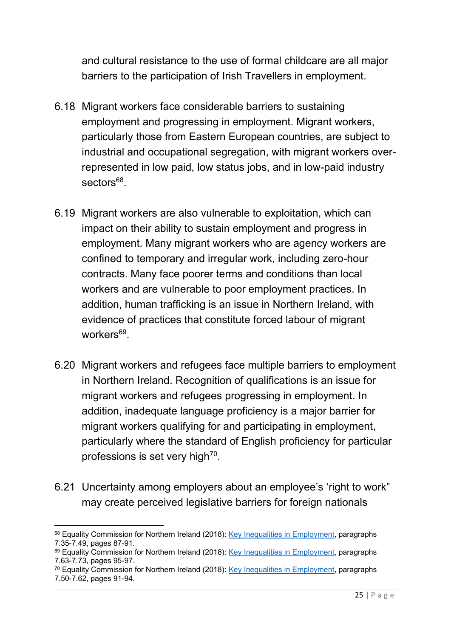and cultural resistance to the use of formal childcare are all major barriers to the participation of Irish Travellers in employment.

- 6.18 Migrant workers face considerable barriers to sustaining employment and progressing in employment. Migrant workers, particularly those from Eastern European countries, are subject to industrial and occupational segregation, with migrant workers overrepresented in low paid, low status jobs, and in low-paid industry sectors<sup>68</sup>.
- 6.19 Migrant workers are also vulnerable to exploitation, which can impact on their ability to sustain employment and progress in employment. Many migrant workers who are agency workers are confined to temporary and irregular work, including zero-hour contracts. Many face poorer terms and conditions than local workers and are vulnerable to poor employment practices. In addition, human trafficking is an issue in Northern Ireland, with evidence of practices that constitute forced labour of migrant workers<sup>69</sup>.
- 6.20 Migrant workers and refugees face multiple barriers to employment in Northern Ireland. Recognition of qualifications is an issue for migrant workers and refugees progressing in employment. In addition, inadequate language proficiency is a major barrier for migrant workers qualifying for and participating in employment, particularly where the standard of English proficiency for particular professions is set very high<sup>70</sup>.
- 6.21 Uncertainty among employers about an employee's 'right to work" may create perceived legislative barriers for foreign nationals

<sup>&</sup>lt;sup>68</sup> Equality Commission for Northern Ireland (2018): [Key Inequalities in Employment,](https://www.equalityni.org/ECNI/media/ECNI/Publications/Delivering%20Equality/Employment-KeyInequalitiesStatement.pdf) paragraphs 7.35-7.49, pages 87-91.

<sup>&</sup>lt;sup>69</sup> Equality Commission for Northern Ireland (2018): [Key Inequalities in Employment,](https://www.equalityni.org/ECNI/media/ECNI/Publications/Delivering%20Equality/Employment-KeyInequalitiesStatement.pdf) paragraphs 7.63-7.73, pages 95-97.

<sup>70</sup> Equality Commission for Northern Ireland (2018): [Key Inequalities in Employment,](https://www.equalityni.org/ECNI/media/ECNI/Publications/Delivering%20Equality/Employment-KeyInequalitiesStatement.pdf) paragraphs 7.50-7.62, pages 91-94.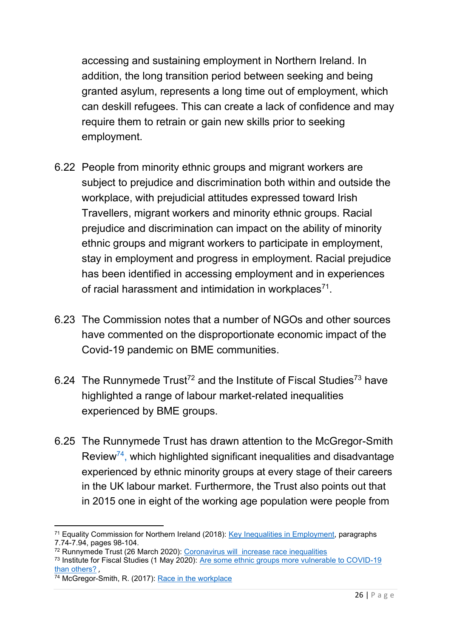accessing and sustaining employment in Northern Ireland. In addition, the long transition period between seeking and being granted asylum, represents a long time out of employment, which can deskill refugees. This can create a lack of confidence and may require them to retrain or gain new skills prior to seeking employment.

- 6.22 People from minority ethnic groups and migrant workers are subject to prejudice and discrimination both within and outside the workplace, with prejudicial attitudes expressed toward Irish Travellers, migrant workers and minority ethnic groups. Racial prejudice and discrimination can impact on the ability of minority ethnic groups and migrant workers to participate in employment, stay in employment and progress in employment. Racial prejudice has been identified in accessing employment and in experiences of racial harassment and intimidation in workplaces $^{71}$ .
- 6.23 The Commission notes that a number of NGOs and other sources have commented on the disproportionate economic impact of the Covid-19 pandemic on BME communities.
- 6.24 The Runnymede Trust<sup>72</sup> and the Institute of Fiscal Studies<sup>73</sup> have highlighted a range of labour market-related inequalities experienced by BME groups.
- 6.25 The Runnymede Trust has drawn attention to the McGregor-Smith Review<sup>74</sup>, which highlighted significant inequalities and disadvantage experienced by ethnic minority groups at every stage of their careers in the UK labour market. Furthermore, the Trust also points out that in 2015 one in eight of the working age population were people from

<sup>71</sup> Equality Commission for Northern Ireland (2018): [Key Inequalities in Employment,](https://www.equalityni.org/ECNI/media/ECNI/Publications/Delivering%20Equality/Employment-KeyInequalitiesStatement.pdf) paragraphs 7.74-7.94, pages 98-104.

<sup>72</sup> Runnymede Trust (26 March 2020): [Coronavirus will increase race inequalities](https://www.runnymedetrust.org/blog/coronavirus-will-increase-race-inequalities)

<sup>73</sup> Institute for Fiscal Studies (1 May 2020): [Are some ethnic groups more vulnerable to COVID-19](https://www.ifs.org.uk/inequality/chapter/are-some-ethnic-groups-more-vulnerable-to-covid-19-than-others/)  [than others?](https://www.ifs.org.uk/inequality/chapter/are-some-ethnic-groups-more-vulnerable-to-covid-19-than-others/) ,

<sup>&</sup>lt;sup>74</sup> McGregor-Smith, R. (2017): [Race in the workplace](https://assets.publishing.service.gov.uk/government/uploads/system/uploads/attachment_data/file/594336/race-in-workplace-mcgregor-smith-review.pdf)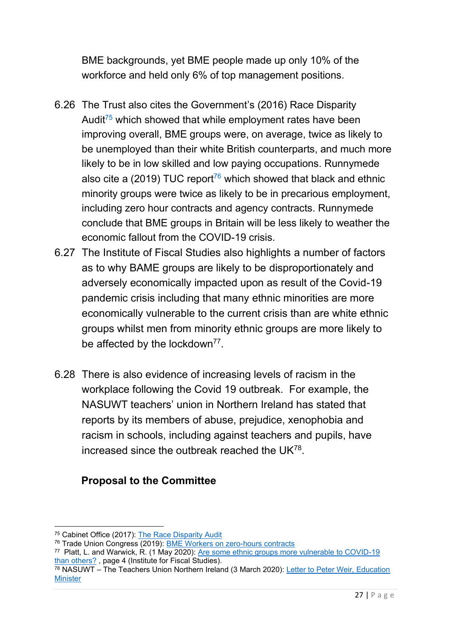BME backgrounds, yet BME people made up only 10% of the workforce and held only 6% of top management positions.

- 6.26 The Trust also cites the Government's (2016) Race Disparity Audit<sup>75</sup> which showed that while employment rates have been improving overall, BME groups were, on average, twice as likely to be unemployed than their white British counterparts, and much more likely to be in low skilled and low paying occupations. Runnymede also cite a (2019) TUC report<sup>76</sup> which showed that black and ethnic minority groups were twice as likely to be in precarious employment, including zero hour contracts and agency contracts. Runnymede conclude that BME groups in Britain will be less likely to weather the economic fallout from the COVID-19 crisis.
- 6.27 The Institute of Fiscal Studies also highlights a number of factors as to why BAME groups are likely to be disproportionately and adversely economically impacted upon as result of the Covid-19 pandemic crisis including that many ethnic minorities are more economically vulnerable to the current crisis than are white ethnic groups whilst men from minority ethnic groups are more likely to be affected by the lockdown<sup>77</sup>.
- 6.28 There is also evidence of increasing levels of racism in the workplace following the Covid 19 outbreak. For example, the NASUWT teachers' union in Northern Ireland has stated that reports by its members of abuse, prejudice, xenophobia and racism in schools, including against teachers and pupils, have increased since the outbreak reached the UK $^{78}$ .

# **Proposal to the Committee**

<sup>75</sup> Cabinet Office (2017): [The Race Disparity Audit](https://assets.publishing.service.gov.uk/government/uploads/system/uploads/attachment_data/file/686071/Revised_RDA_report_March_2018.pdf)

<sup>76</sup> Trade Union Congress (2019): [BME Workers on zero-hours contracts](https://www.tuc.org.uk/sites/default/files/2021-06/RotAreport.pdf)

<sup>&</sup>lt;sup>77</sup> Platt, L. and Warwick, R. (1 May 2020): <u>Are some ethnic groups more vulnerable to COVID-19</u> [than others?](https://www.ifs.org.uk/inequality/chapter/are-some-ethnic-groups-more-vulnerable-to-covid-19-than-others/) , page 4 (Institute for Fiscal Studies).

 $\frac{78}{18}$  NASUWT – The Teachers Union Northern Ireland (3 March 2020): Letter to Peter Weir, Education **[Minister](https://www.nasuwt.org.uk/static/uploaded/4501331f-6d4e-44d1-8d1586e857349362.pdf)**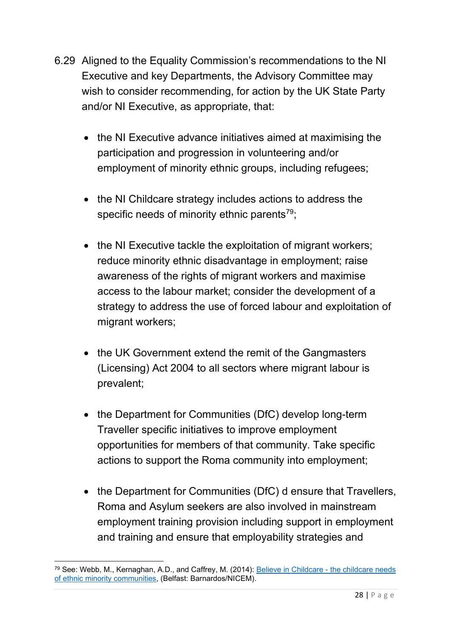- 6.29 Aligned to the Equality Commission's recommendations to the NI Executive and key Departments, the Advisory Committee may wish to consider recommending, for action by the UK State Party and/or NI Executive, as appropriate, that:
	- the NI Executive advance initiatives aimed at maximising the participation and progression in volunteering and/or employment of minority ethnic groups, including refugees;
	- the NI Childcare strategy includes actions to address the specific needs of minority ethnic parents<sup>79</sup>;
	- the NI Executive tackle the exploitation of migrant workers; reduce minority ethnic disadvantage in employment; raise awareness of the rights of migrant workers and maximise access to the labour market; consider the development of a strategy to address the use of forced labour and exploitation of migrant workers;
	- the UK Government extend the remit of the Gangmasters (Licensing) Act 2004 to all sectors where migrant labour is prevalent;
	- the Department for Communities (DfC) develop long-term Traveller specific initiatives to improve employment opportunities for members of that community. Take specific actions to support the Roma community into employment;
	- the Department for Communities (DfC) d ensure that Travellers, Roma and Asylum seekers are also involved in mainstream employment training provision including support in employment and training and ensure that employability strategies and

<sup>79</sup> See: Webb, M., Kernaghan, A.D., and Caffrey, M. (2014): [Believe in Childcare -](https://www.barnardos.org.uk/sites/default/files/uploads/Believe%20in%20Childcare%20An%20investigation%20into%20the%20childcare%20needs%20of%20ethnic%20minority%20communities%20in%20Northern%20Ireland%202014.pdf) the childcare needs [of ethnic minority communities,](https://www.barnardos.org.uk/sites/default/files/uploads/Believe%20in%20Childcare%20An%20investigation%20into%20the%20childcare%20needs%20of%20ethnic%20minority%20communities%20in%20Northern%20Ireland%202014.pdf) (Belfast: Barnardos/NICEM).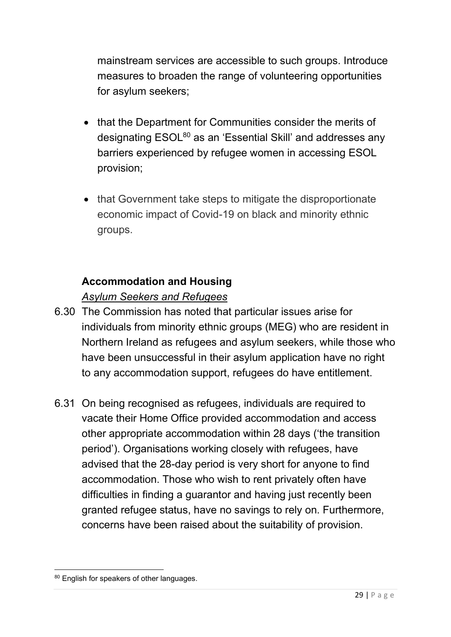mainstream services are accessible to such groups. Introduce measures to broaden the range of volunteering opportunities for asylum seekers;

- that the Department for Communities consider the merits of designating ESOL<sup>80</sup> as an 'Essential Skill' and addresses any barriers experienced by refugee women in accessing ESOL provision;
- that Government take steps to mitigate the disproportionate economic impact of Covid-19 on black and minority ethnic groups.

## **Accommodation and Housing**

## *Asylum Seekers and Refugees*

- 6.30 The Commission has noted that particular issues arise for individuals from minority ethnic groups (MEG) who are resident in Northern Ireland as refugees and asylum seekers, while those who have been unsuccessful in their asylum application have no right to any accommodation support, refugees do have entitlement.
- 6.31 On being recognised as refugees, individuals are required to vacate their Home Office provided accommodation and access other appropriate accommodation within 28 days ('the transition period'). Organisations working closely with refugees, have advised that the 28-day period is very short for anyone to find accommodation. Those who wish to rent privately often have difficulties in finding a guarantor and having just recently been granted refugee status, have no savings to rely on. Furthermore, concerns have been raised about the suitability of provision.

<sup>80</sup> English for speakers of other languages.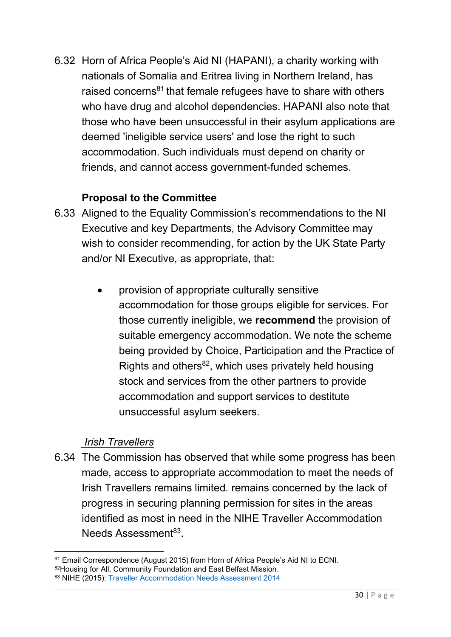6.32 Horn of Africa People's Aid NI (HAPANI), a charity working with nationals of Somalia and Eritrea living in Northern Ireland, has raised concerns<sup>81</sup> that female refugees have to share with others who have drug and alcohol dependencies. HAPANI also note that those who have been unsuccessful in their asylum applications are deemed 'ineligible service users' and lose the right to such accommodation. Such individuals must depend on charity or friends, and cannot access government-funded schemes.

#### **Proposal to the Committee**

- 6.33 Aligned to the Equality Commission's recommendations to the NI Executive and key Departments, the Advisory Committee may wish to consider recommending, for action by the UK State Party and/or NI Executive, as appropriate, that:
	- provision of appropriate culturally sensitive accommodation for those groups eligible for services. For those currently ineligible, we **recommend** the provision of suitable emergency accommodation. We note the scheme being provided by Choice, Participation and the Practice of Rights and others $^{82}$ , which uses privately held housing stock and services from the other partners to provide accommodation and support services to destitute unsuccessful asylum seekers.

#### *Irish Travellers*

6.34 The Commission has observed that while some progress has been made, access to appropriate accommodation to meet the needs of Irish Travellers remains limited. remains concerned by the lack of progress in securing planning permission for sites in the areas identified as most in need in the NIHE Traveller Accommodation Needs Assessment<sup>83</sup>.

<sup>81</sup> Email Correspondence (August 2015) from Horn of Africa People's Aid NI to ECNI. 82Housing for All, Community Foundation and East Belfast Mission.

<sup>83</sup> NIHE (2015): [Traveller Accommodation Needs Assessment 2014](https://nihe.gov.uk/getmedia/8228725d-b5f2-468f-a37c-bd03ba6a9959/traveller-accommodation-needs-assessment-2014-published-march-2015.pdf.aspx?ext=.pdf)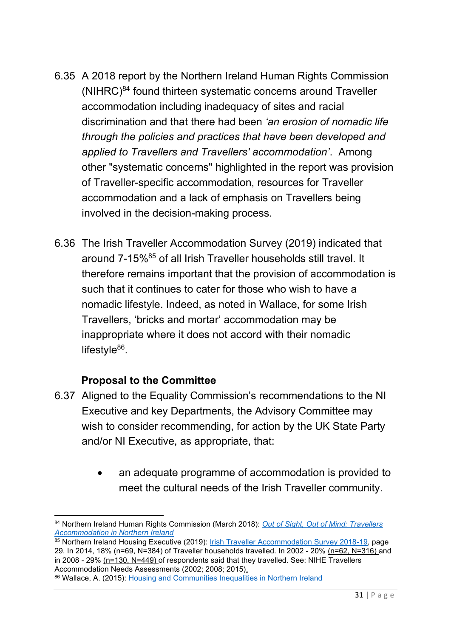- 6.35 A 2018 report by the Northern Ireland Human Rights Commission  $(NIHRC)^{84}$  found thirteen systematic concerns around Traveller accommodation including inadequacy of sites and racial discrimination and that there had been *'an erosion of nomadic life through the policies and practices that have been developed and applied to Travellers and Travellers' accommodation'*. Among other "systematic concerns" highlighted in the report was provision of Traveller-specific accommodation, resources for Traveller accommodation and a lack of emphasis on Travellers being involved in the decision-making process.
- 6.36 The Irish Traveller Accommodation Survey (2019) indicated that around 7-15%<sup>85</sup> of all Irish Traveller households still travel. It therefore remains important that the provision of accommodation is such that it continues to cater for those who wish to have a nomadic lifestyle. Indeed, as noted in Wallace, for some Irish Travellers, 'bricks and mortar' accommodation may be inappropriate where it does not accord with their nomadic lifestyle<sup>86</sup>.

#### **Proposal to the Committee**

- 6.37 Aligned to the Equality Commission's recommendations to the NI Executive and key Departments, the Advisory Committee may wish to consider recommending, for action by the UK State Party and/or NI Executive, as appropriate, that:
	- an adequate programme of accommodation is provided to meet the cultural needs of the Irish Traveller community.

<sup>84</sup> Northern Ireland Human Rights Commission (March 2018): *[Out of Sight, Out of Mind: Travellers](http://www.nihrc.org/uploads/publications/Out_of_Sight%2C_Out_of_Mind%E2%80%99%3A_Travellers%E2%80%99_Accommodation_in_NI_-_Full_Report.pdf)  [Accommodation in Northern Ireland](http://www.nihrc.org/uploads/publications/Out_of_Sight%2C_Out_of_Mind%E2%80%99%3A_Travellers%E2%80%99_Accommodation_in_NI_-_Full_Report.pdf)*

<sup>85</sup> Northern Ireland Housing Executive (2019): [Irish Traveller Accommodation Survey 2018-19,](https://www.nihe.gov.uk/Documents/Research/Travellers-Accommodation-Survey-2018-19/Irish-Traveller-Accommodation-Survey-2018-19-(pdf-.aspx) page 29. In 2014, 18% (n=69, N=384) of Traveller households travelled. In 2002 - 20% (n=62, N=316) and in 2008 - 29% (n=130, N=449) of respondents said that they travelled. See: NIHE Travellers Accommodation Needs Assessments (2002; 2008; 2015).

<sup>86</sup> Wallace, A. (2015): [Housing and Communities Inequalities in Northern Ireland](https://www.equalityni.org/ECNI/media/ECNI/Publications/Delivering%20Equality/HousingInequalities-FullReport.pdf)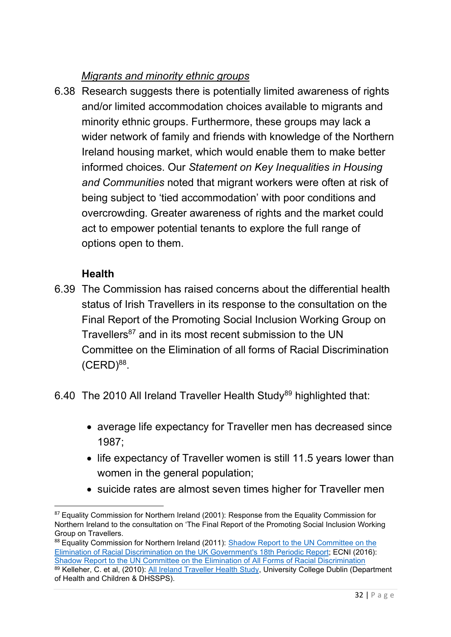# *Migrants and minority ethnic groups*

6.38 Research suggests there is potentially limited awareness of rights and/or limited accommodation choices available to migrants and minority ethnic groups. Furthermore, these groups may lack a wider network of family and friends with knowledge of the Northern Ireland housing market, which would enable them to make better informed choices. Our *Statement on Key Inequalities in Housing and Communities* noted that migrant workers were often at risk of being subject to 'tied accommodation' with poor conditions and overcrowding. Greater awareness of rights and the market could act to empower potential tenants to explore the full range of options open to them.

#### **Health**

- 6.39 The Commission has raised concerns about the differential health status of Irish Travellers in its response to the consultation on the Final Report of the Promoting Social Inclusion Working Group on Travellers<sup>87</sup> and in its most recent submission to the UN Committee on the Elimination of all forms of Racial Discrimination  $(CERD)^{88}$ .
- 6.40 The 2010 All Ireland Traveller Health Study<sup>89</sup> highlighted that:
	- average life expectancy for Traveller men has decreased since 1987;
	- life expectancy of Traveller women is still 11.5 years lower than women in the general population;
	- suicide rates are almost seven times higher for Traveller men

<sup>&</sup>lt;sup>87</sup> Equality Commission for Northern Ireland (2001): Response from the Equality Commission for Northern Ireland to the consultation on 'The Final Report of the Promoting Social Inclusion Working Group on Travellers.

<sup>&</sup>lt;sup>88</sup> Equality Commission for Northern Ireland (2011): Shadow Report to the UN Committee on the [Elimination of Racial Discrimination on the UK Government's 18th Periodic Report;](https://www.equalityni.org/ECNI/media/ECNI/Consultation%20Responses/2011/Shadow_Report-UN_Elimination_Racial_Discrimination-(CERD).pdf?ext=.pdf) ECNI (2016): [Shadow Report to the UN Committee on the Elimination of All Forms of Racial Discrimination](https://www.equalityni.org/ECNI/media/ECNI/Consultation%20Responses/2016/CERD_Shadow_Report06Jul16.pdf?ext=.pdf) <sup>89</sup> Kelleher, C. et al, (2010): <u>All Ireland Traveller Health Study</u>, University College Dublin (Department of Health and Children & DHSSPS).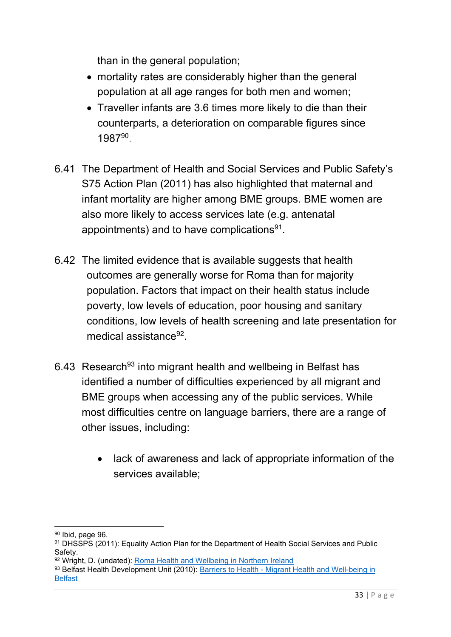than in the general population;

- mortality rates are considerably higher than the general population at all age ranges for both men and women;
- Traveller infants are 3.6 times more likely to die than their counterparts, a deterioration on comparable figures since 198790.
- 6.41 The Department of Health and Social Services and Public Safety's S75 Action Plan (2011) has also highlighted that maternal and infant mortality are higher among BME groups. BME women are also more likely to access services late (e.g. antenatal appointments) and to have complications $^{91}$ .
- 6.42 The limited evidence that is available suggests that health outcomes are generally worse for Roma than for majority population. Factors that impact on their health status include poverty, low levels of education, poor housing and sanitary conditions, low levels of health screening and late presentation for medical assistance<sup>92</sup>.
- 6.43 Research<sup>93</sup> into migrant health and wellbeing in Belfast has identified a number of difficulties experienced by all migrant and BME groups when accessing any of the public services. While most difficulties centre on language barriers, there are a range of other issues, including:
	- lack of awareness and lack of appropriate information of the services available;

<sup>90</sup> Ibid, page 96.

<sup>91</sup> DHSSPS (2011): Equality Action Plan for the Department of Health Social Services and Public **Safety** 

<sup>92</sup> Wright, D. (undated): [Roma Health and Wellbeing in Northern Ireland](https://www.publichealth.hscni.net/sites/default/files/Denise%20Wright%20-%20Roma.pdf)

<sup>93</sup> Belfast Health Development Unit (2010): Barriers to Health - Migrant Health and Well-being in **[Belfast](https://www.publichealth.hscni.net/sites/default/files/Barriers%20to%20health%20-%20Migrant%20health%20and%20wellbeing%20in%20Belfast_0.pdf)**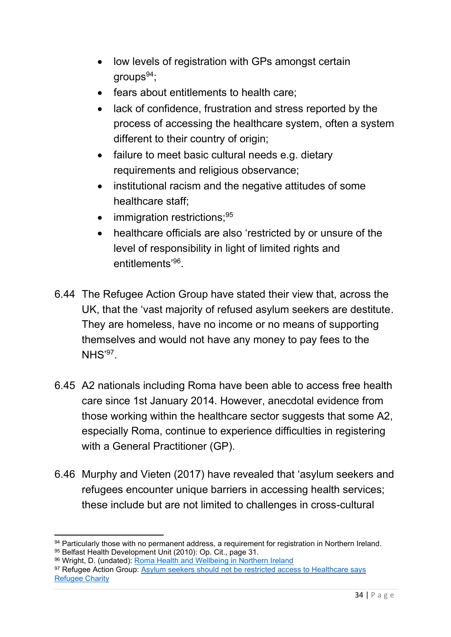- low levels of registration with GPs amongst certain groups $94$ ;
- fears about entitlements to health care;
- lack of confidence, frustration and stress reported by the process of accessing the healthcare system, often a system different to their country of origin;
- failure to meet basic cultural needs e.g. dietary requirements and religious observance;
- institutional racism and the negative attitudes of some healthcare staff;
- immigration restrictions;<sup>95</sup>
- healthcare officials are also 'restricted by or unsure of the level of responsibility in light of limited rights and entitlements'<sup>96</sup>.
- 6.44 The Refugee Action Group have stated their view that, across the UK, that the 'vast majority of refused asylum seekers are destitute. They are homeless, have no income or no means of supporting themselves and would not have any money to pay fees to the  $NHS'$ <sup>97</sup>.
- 6.45 A2 nationals including Roma have been able to access free health care since 1st January 2014. However, anecdotal evidence from those working within the healthcare sector suggests that some A2, especially Roma, continue to experience difficulties in registering with a General Practitioner (GP).
- 6.46 Murphy and Vieten (2017) have revealed that 'asylum seekers and refugees encounter unique barriers in accessing health services; these include but are not limited to challenges in cross-cultural

<sup>94</sup> Particularly those with no permanent address, a requirement for registration in Northern Ireland. 95 Belfast Health Development Unit (2010): Op. Cit., page 31.

<sup>96</sup> Wright, D. (undated): [Roma Health and Wellbeing in Northern Ireland](https://www.publichealth.hscni.net/sites/default/files/Denise%20Wright%20-%20Roma.pdf)

<sup>97</sup> Refugee Action Group: Asylum seekers should not be restricted access to Healthcare says [Refugee Charity](https://www.refugee-action.org.uk/asylum-seekers-not-restricted-access-healthcare-says-refugee-charity/)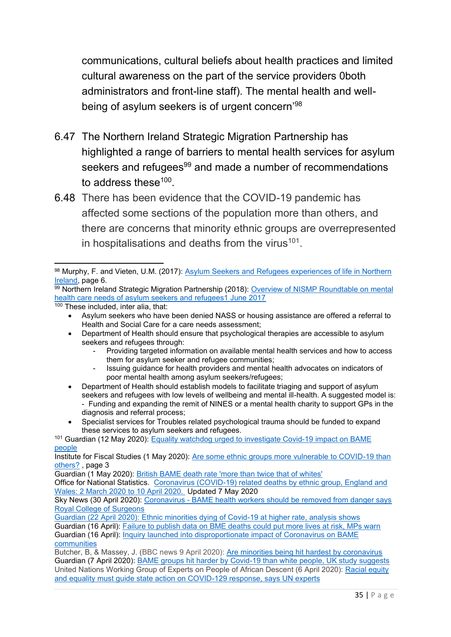communications, cultural beliefs about health practices and limited cultural awareness on the part of the service providers 0both administrators and front-line staff). The mental health and wellbeing of asylum seekers is of urgent concern'<sup>98</sup>

- 6.47 The Northern Ireland Strategic Migration Partnership has highlighted a range of barriers to mental health services for asylum seekers and refugees<sup>99</sup> and made a number of recommendations to address these $^{100}$ .
- 6.48 There has been evidence that the COVID-19 pandemic has affected some sections of the population more than others, and there are concerns that minority ethnic groups are overrepresented in hospitalisations and deaths from the virus $^{101}$ .

100 These included, inter alia, that:

- Department of Health should ensure that psychological therapies are accessible to asylum seekers and refugees through:
	- Providing targeted information on available mental health services and how to access them for asylum seeker and refugee communities;
	- Issuing guidance for health providers and mental health advocates on indicators of poor mental health among asylum seekers/refugees;
- Department of Health should establish models to facilitate triaging and support of asylum seekers and refugees with low levels of wellbeing and mental ill-health. A suggested model is: - Funding and expanding the remit of NINES or a mental health charity to support GPs in the diagnosis and referral process;
- Specialist services for Troubles related psychological trauma should be funded to expand these services to asylum seekers and refugees.

Guardian (1 May 2020): [British BAME death rate 'more than](https://www.theguardian.com/world/2020/may/01/british-bame-covid-19-death-rate-more-than-twice-that-of-whites) twice that of whites'

Office for National Statistics. [Coronavirus \(COVID-19\) related deaths by ethnic group, England and](https://www.ons.gov.uk/peoplepopulationandcommunity/birthsdeathsandmarriages/deaths/articles/coronavirusrelateddeathsbyethnicgroupenglandandwales/2march2020to10april2020)  [Wales: 2 March 2020 to 10 April 2020.](https://www.ons.gov.uk/peoplepopulationandcommunity/birthsdeathsandmarriages/deaths/articles/coronavirusrelateddeathsbyethnicgroupenglandandwales/2march2020to10april2020) Updated 7 May 2020

Sky News (30 April 2020): Coronavirus - [BAME health workers should be removed from danger says](file://///equality.local/root/Data1/PUBLIC%20POLICY/ConsultationResponses/B_ConsultationsAndResponses/FCNM/2022%20-%205th%20UK%20Report/2%20-%20ECNI%20working%20docs/coronavirus-bame-health-workers-should-be-removed-from-danger-says-royal-college-of-surgeons-11980929)  [Royal College of Surgeons](file://///equality.local/root/Data1/PUBLIC%20POLICY/ConsultationResponses/B_ConsultationsAndResponses/FCNM/2022%20-%205th%20UK%20Report/2%20-%20ECNI%20working%20docs/coronavirus-bame-health-workers-should-be-removed-from-danger-says-royal-college-of-surgeons-11980929)

Guardian (22 April 2020): [Ethnic minorities dying of Covid-19 at higher rate, analysis shows](https://www.theguardian.com/world/2020/apr/22/racial-inequality-in-britain-found-a-risk-factor-for-covid-19) Guardian (16 April): [Failure to publish data on BME deaths could put more lives at risk, MPs warn](https://www.theguardian.com/world/2020/apr/16/data-on-bame-deaths-from-covid-19-must-be-published-politicians-warn) Guardian (16 April): [Inquiry launched into disproportionate impact of Coronavirus on BAME](https://www.theguardian.com/world/2020/apr/16/inquiry-disproportionate-impact-coronavirus-bame)  [communities](https://www.theguardian.com/world/2020/apr/16/inquiry-disproportionate-impact-coronavirus-bame)

Butcher, B, & Massey, J. (BBC news 9 April 2020): [Are minorities being hit hardest by coronavirus](https://www.bbc.co.uk/news/uk-52219070) Guardian (7 April 2020): [BAME groups hit harder by Covid-19 than white people, UK study suggests](https://www.theguardian.com/world/2020/apr/07/bame-groups-hit-harder-covid-19-than-white-people-uk) United Nations Working Group of Experts on People of African Descent (6 April 2020): [Racial equity](https://ohchr.org/EN/NewsEvents/Pages/DisplayNews.aspx?NewsID=25776&LangID=E)  [and equality must guide state action on COVID-129 response, says UN experts](https://ohchr.org/EN/NewsEvents/Pages/DisplayNews.aspx?NewsID=25776&LangID=E)

<sup>98</sup> Murphy, F. and Vieten, U.M. (2017): Asylum Seekers and Refugees experiences of life in Northern [Ireland,](https://www.qub.ac.uk/home/media/Media,784971,en.pdf) page 6.

<sup>99</sup> Northern Ireland Strategic Migration Partnership (2018): Overview of NISMP Roundtable on mental [health care needs of asylum seekers and refugees1 June 2017](https://www.nilga.org/media/2259/overview-of-nismp-roundtable-on-mental-health-and-asylum-seekers.pdf)

<sup>•</sup> Asylum seekers who have been denied NASS or housing assistance are offered a referral to Health and Social Care for a care needs assessment;

<sup>101</sup> Guardian (12 May 2020): Equality watchdog urged to [investigate Covid-19 impact on BAME](https://www.theguardian.com/world/2020/may/10/equality-watchdog-urged-investigate-impact-on-bame-people-london-mayor)  [people](https://www.theguardian.com/world/2020/may/10/equality-watchdog-urged-investigate-impact-on-bame-people-london-mayor)

Institute for Fiscal Studies (1 May 2020): [Are some ethnic groups more vulnerable to COVID-19 than](https://www.ifs.org.uk/inequality/chapter/are-some-ethnic-groups-more-vulnerable-to-covid-19-than-others/)  [others?](https://www.ifs.org.uk/inequality/chapter/are-some-ethnic-groups-more-vulnerable-to-covid-19-than-others/) , page 3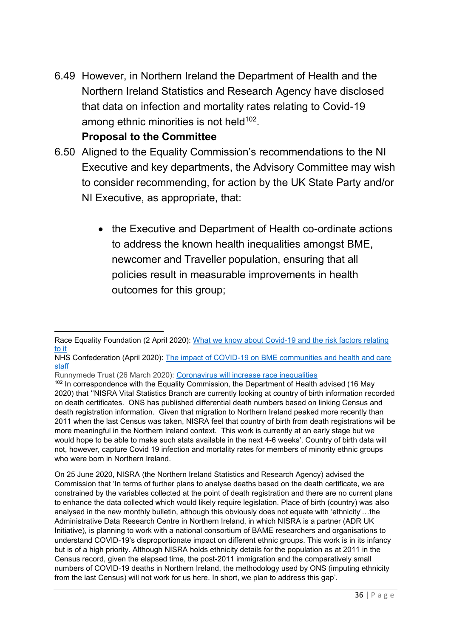6.49 However, in Northern Ireland the Department of Health and the Northern Ireland Statistics and Research Agency have disclosed that data on infection and mortality rates relating to Covid-19 among ethnic minorities is not held $^{102}$ .

#### **Proposal to the Committee**

- 6.50 Aligned to the Equality Commission's recommendations to the NI Executive and key departments, the Advisory Committee may wish to consider recommending, for action by the UK State Party and/or NI Executive, as appropriate, that:
	- the Executive and Department of Health co-ordinate actions to address the known health inequalities amongst BME, newcomer and Traveller population, ensuring that all policies result in measurable improvements in health outcomes for this group;

Runnymede Trust (26 March 2020): [Coronavirus will increase race inequalities](https://www.runnymedetrust.org/blog/coronavirus-will-increase-race-inequalities)

Race Equality Foundation (2 April 2020): [What we know about Covid-19 and the risk factors relating](https://raceequalityfoundation.org.uk/health-care/coronavirus-information-and-resources/)  [to it](https://raceequalityfoundation.org.uk/health-care/coronavirus-information-and-resources/)

NHS Confederation (April 2020): [The impact of COVID-19 on BME communities and health and care](https://www.nhsconfed.org/resources/2020/04/the-impact-of-covid19-on-bme-communities-and-staff)  [staff](https://www.nhsconfed.org/resources/2020/04/the-impact-of-covid19-on-bme-communities-and-staff)

<sup>&</sup>lt;sup>102</sup> In correspondence with the Equality Commission, the Department of Health advised (16 May 2020) that ''NISRA Vital Statistics Branch are currently looking at country of birth information recorded on death certificates. ONS has published differential death numbers based on linking Census and death registration information. Given that migration to Northern Ireland peaked more recently than 2011 when the last Census was taken, NISRA feel that country of birth from death registrations will be more meaningful in the Northern Ireland context. This work is currently at an early stage but we would hope to be able to make such stats available in the next 4-6 weeks'. Country of birth data will not, however, capture Covid 19 infection and mortality rates for members of minority ethnic groups who were born in Northern Ireland.

On 25 June 2020, NISRA (the Northern Ireland Statistics and Research Agency) advised the Commission that 'In terms of further plans to analyse deaths based on the death certificate, we are constrained by the variables collected at the point of death registration and there are no current plans to enhance the data collected which would likely require legislation. Place of birth (country) was also analysed in the new monthly bulletin, although this obviously does not equate with 'ethnicity'…the Administrative Data Research Centre in Northern Ireland, in which NISRA is a partner (ADR UK Initiative), is planning to work with a national consortium of BAME researchers and organisations to understand COVID-19's disproportionate impact on different ethnic groups. This work is in its infancy but is of a high priority. Although NISRA holds ethnicity details for the population as at 2011 in the Census record, given the elapsed time, the post-2011 immigration and the comparatively small numbers of COVID-19 deaths in Northern Ireland, the methodology used by ONS (imputing ethnicity from the last Census) will not work for us here. In short, we plan to address this gap'.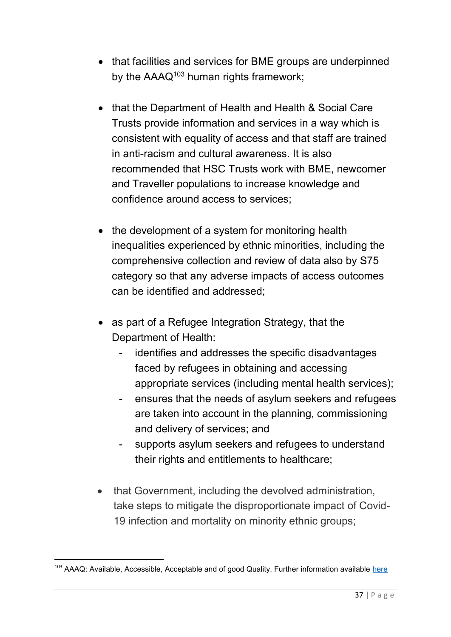- that facilities and services for BME groups are underpinned by the AAAQ<sup>103</sup> human rights framework;
- that the Department of Health and Health & Social Care Trusts provide information and services in a way which is consistent with equality of access and that staff are trained in anti-racism and cultural awareness. It is also recommended that HSC Trusts work with BME, newcomer and Traveller populations to increase knowledge and confidence around access to services;
- the development of a system for monitoring health inequalities experienced by ethnic minorities, including the comprehensive collection and review of data also by S75 category so that any adverse impacts of access outcomes can be identified and addressed;
- as part of a Refugee Integration Strategy, that the Department of Health:
	- identifies and addresses the specific disadvantages faced by refugees in obtaining and accessing appropriate services (including mental health services);
	- ensures that the needs of asylum seekers and refugees are taken into account in the planning, commissioning and delivery of services; and
	- supports asylum seekers and refugees to understand their rights and entitlements to healthcare;
- that Government, including the devolved administration, take steps to mitigate the disproportionate impact of Covid-19 infection and mortality on minority ethnic groups;

<sup>&</sup>lt;sup>103</sup> AAAQ: Available, Accessible, Acceptable and of good Quality. Further information available [here](http://phrtoolkits.org/toolkits/medical-professionalism/the-human-rights-basis-for-professionalism-in-health-care/aaaq-framework/)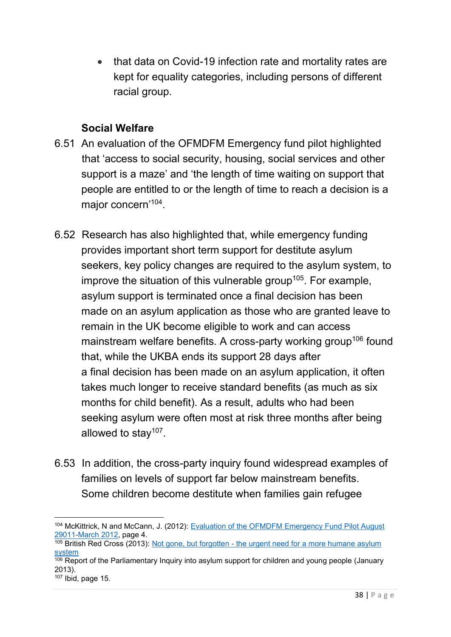• that data on Covid-19 infection rate and mortality rates are kept for equality categories, including persons of different racial group.

#### **Social Welfare**

- 6.51 An evaluation of the OFMDFM Emergency fund pilot highlighted that 'access to social security, housing, social services and other support is a maze' and 'the length of time waiting on support that people are entitled to or the length of time to reach a decision is a major concern'<sup>104</sup>.
- 6.52 Research has also highlighted that, while emergency funding provides important short term support for destitute asylum seekers, key policy changes are required to the asylum system, to improve the situation of this vulnerable group<sup>105</sup>. For example, asylum support is terminated once a final decision has been made on an asylum application as those who are granted leave to remain in the UK become eligible to work and can access mainstream welfare benefits. A cross-party working group<sup>106</sup> found that, while the UKBA ends its support 28 days after a final decision has been made on an asylum application, it often takes much longer to receive standard benefits (as much as six months for child benefit). As a result, adults who had been seeking asylum were often most at risk three months after being allowed to stay<sup>107</sup>.
- 6.53 In addition, the cross-party inquiry found widespread examples of families on levels of support far below mainstream benefits. Some children become destitute when families gain refugee

<sup>104</sup> McKittrick, N and McCann, J. (2012): [Evaluation of the OFMDFM Emergency Fund Pilot August](https://www.bl.uk/collection-items/ofmdfm-emergency-fund--pilot-august-2011--march-2012)  [29011-March 2012,](https://www.bl.uk/collection-items/ofmdfm-emergency-fund--pilot-august-2011--march-2012) page 4.

 $105$  British Red Cross (2013): Not gone, but forgotten - the urgent need for a more humane asylum [system](https://www.slideshare.net/BritishRedCross/not-gone-but-forgotten-the-urgent-need-for-a-more-humane-asylum-system)

 $\frac{106}{106}$  Report of the Parliamentary Inquiry into asylum support for children and young people (January 2013).

 $107$  Ibid, page 15.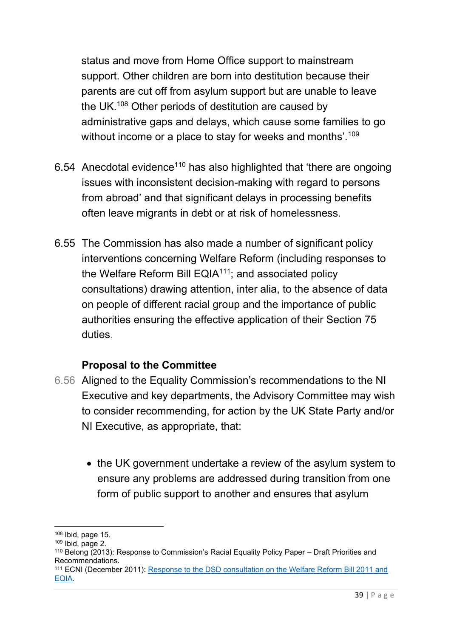status and move from Home Office support to mainstream support. Other children are born into destitution because their parents are cut off from asylum support but are unable to leave the UK.<sup>108</sup> Other periods of destitution are caused by administrative gaps and delays, which cause some families to go without income or a place to stay for weeks and months'.<sup>109</sup>

- 6.54 Anecdotal evidence<sup>110</sup> has also highlighted that 'there are ongoing issues with inconsistent decision-making with regard to persons from abroad' and that significant delays in processing benefits often leave migrants in debt or at risk of homelessness.
- 6.55 The Commission has also made a number of significant policy interventions concerning Welfare Reform (including responses to the Welfare Reform Bill  $EQIA<sup>111</sup>$ ; and associated policy consultations) drawing attention, inter alia, to the absence of data on people of different racial group and the importance of public authorities ensuring the effective application of their Section 75 duties.

- 6.56 Aligned to the Equality Commission's recommendations to the NI Executive and key departments, the Advisory Committee may wish to consider recommending, for action by the UK State Party and/or NI Executive, as appropriate, that:
	- the UK government undertake a review of the asylum system to ensure any problems are addressed during transition from one form of public support to another and ensures that asylum

<sup>108</sup> Ibid, page 15.

 $109$  Ibid, page 2.

<sup>110</sup> Belong (2013): Response to Commission's Racial Equality Policy Paper – Draft Priorities and Recommendations.

<sup>111</sup> ECNI (December 2011): Response to the DSD consultation on the Welfare Reform Bill 2011 and [EQIA](https://www.equalityni.org/ECNI/media/ECNI/Consultation%20Responses/2011/DSD-Welfare_Reform_Bill-EQIA.pdf)*.*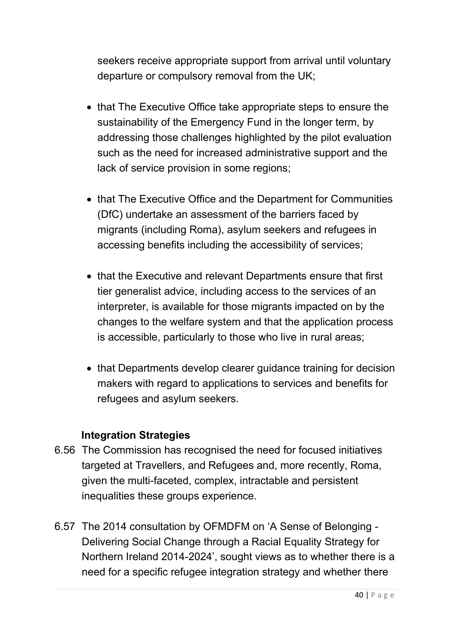seekers receive appropriate support from arrival until voluntary departure or compulsory removal from the UK;

- that The Executive Office take appropriate steps to ensure the sustainability of the Emergency Fund in the longer term, by addressing those challenges highlighted by the pilot evaluation such as the need for increased administrative support and the lack of service provision in some regions;
- that The Executive Office and the Department for Communities (DfC) undertake an assessment of the barriers faced by migrants (including Roma), asylum seekers and refugees in accessing benefits including the accessibility of services;
- that the Executive and relevant Departments ensure that first tier generalist advice, including access to the services of an interpreter, is available for those migrants impacted on by the changes to the welfare system and that the application process is accessible, particularly to those who live in rural areas;
- that Departments develop clearer guidance training for decision makers with regard to applications to services and benefits for refugees and asylum seekers.

#### **Integration Strategies**

- 6.56 The Commission has recognised the need for focused initiatives targeted at Travellers, and Refugees and, more recently, Roma, given the multi-faceted, complex, intractable and persistent inequalities these groups experience.
- 6.57 The 2014 consultation by OFMDFM on 'A Sense of Belonging Delivering Social Change through a Racial Equality Strategy for Northern Ireland 2014-2024', sought views as to whether there is a need for a specific refugee integration strategy and whether there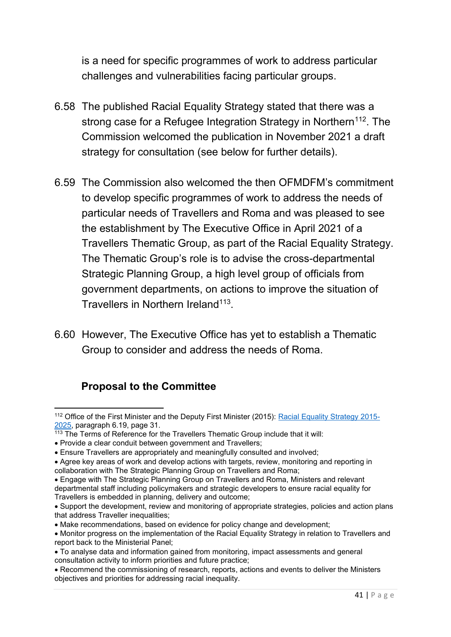is a need for specific programmes of work to address particular challenges and vulnerabilities facing particular groups.

- 6.58 The published Racial Equality Strategy stated that there was a strong case for a Refugee Integration Strategy in Northern<sup>112</sup>. The Commission welcomed the publication in November 2021 a draft strategy for consultation (see below for further details).
- 6.59 The Commission also welcomed the then OFMDFM's commitment to develop specific programmes of work to address the needs of particular needs of Travellers and Roma and was pleased to see the establishment by The Executive Office in April 2021 of a Travellers Thematic Group, as part of the Racial Equality Strategy. The Thematic Group's role is to advise the cross-departmental Strategic Planning Group, a high level group of officials from government departments, on actions to improve the situation of Travellers in Northern Ireland<sup>113</sup>.
- 6.60 However, The Executive Office has yet to establish a Thematic Group to consider and address the needs of Roma.

<sup>112</sup> Office of the First Minister and the Deputy First Minister (2015): [Racial Equality Strategy 2015-](https://www.executiveoffice-ni.gov.uk/sites/default/files/publications/ofmdfm/racial-equality-strategy-2015-2025.pdf) [2025,](https://www.executiveoffice-ni.gov.uk/sites/default/files/publications/ofmdfm/racial-equality-strategy-2015-2025.pdf) paragraph 6.19, page 31.

 $113$  The Terms of Reference for the Travellers Thematic Group include that it will:

<sup>•</sup> Provide a clear conduit between government and Travellers;

<sup>•</sup> Ensure Travellers are appropriately and meaningfully consulted and involved;

<sup>•</sup> Agree key areas of work and develop actions with targets, review, monitoring and reporting in collaboration with The Strategic Planning Group on Travellers and Roma;

<sup>•</sup> Engage with The Strategic Planning Group on Travellers and Roma, Ministers and relevant departmental staff including policymakers and strategic developers to ensure racial equality for Travellers is embedded in planning, delivery and outcome;

<sup>•</sup> Support the development, review and monitoring of appropriate strategies, policies and action plans that address Traveller inequalities;

<sup>•</sup> Make recommendations, based on evidence for policy change and development;

<sup>•</sup> Monitor progress on the implementation of the Racial Equality Strategy in relation to Travellers and report back to the Ministerial Panel;

<sup>•</sup> To analyse data and information gained from monitoring, impact assessments and general consultation activity to inform priorities and future practice;

<sup>•</sup> Recommend the commissioning of research, reports, actions and events to deliver the Ministers objectives and priorities for addressing racial inequality.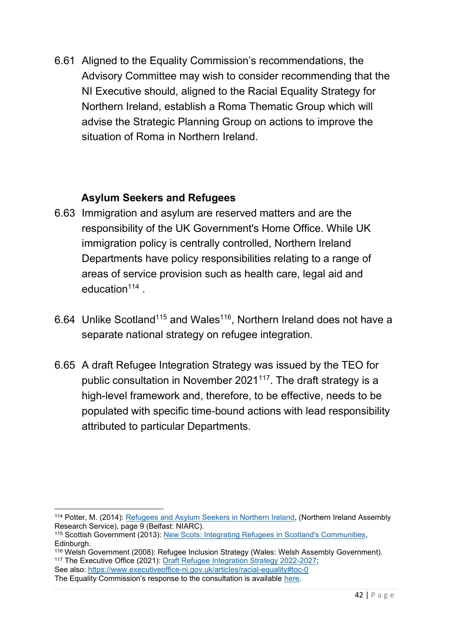6.61 Aligned to the Equality Commission's recommendations, the Advisory Committee may wish to consider recommending that the NI Executive should, aligned to the Racial Equality Strategy for Northern Ireland, establish a Roma Thematic Group which will advise the Strategic Planning Group on actions to improve the situation of Roma in Northern Ireland.

### **Asylum Seekers and Refugees**

- 6.63 Immigration and asylum are reserved matters and are the responsibility of the UK Government's Home Office. While UK immigration policy is centrally controlled, Northern Ireland Departments have policy responsibilities relating to a range of areas of service provision such as health care, legal aid and education<sup>114</sup>.
- 6.64 Unlike Scotland<sup>115</sup> and Wales<sup>116</sup>, Northern Ireland does not have a separate national strategy on refugee integration.
- 6.65 A draft Refugee Integration Strategy was issued by the TEO for public consultation in November 2021<sup>117</sup>. The draft strategy is a high-level framework and, therefore, to be effective, needs to be populated with specific time-bound actions with lead responsibility attributed to particular Departments.

See also:<https://www.executiveoffice-ni.gov.uk/articles/racial-equality#toc-0>

<sup>114</sup> Potter, M. (2014): [Refugees and Asylum Seekers in Northern Ireland,](http://www.niassembly.gov.uk/globalassets/documents/ofmdfm/motions/motions/community-relations-refugee-week/refugees-and-asylum-seekers.pdf) (Northern Ireland Assembly Research Service), page 9 (Belfast: NIARC).

<sup>115</sup> Scottish Government (2013): [New Scots: Integrating Refugees in Scotland's Communities,](https://www.webarchive.org.uk/wayback/archive/3000/https:/www.gov.scot/Resource/0043/00439604.pdf) Edinburgh.

<sup>116</sup> Welsh Government (2008): Refugee Inclusion Strategy (Wales: Welsh Assembly Government). <sup>117</sup> The Executive Office (2021): [Draft Refugee Integration Strategy 2022-2027;](https://consultations.nidirect.gov.uk/teo/refugee-integration-strategy-for-northern-ireland/supporting_documents/Refugee%20Integration%20Strategy%20%20full%20Document.pdf)

The Equality Commission's response to the consultation is available [here.](https://www.equalityni.org/ECNI/media/ECNI/Consultation%20Responses/2022/TEO-RefugeeIntegrationStrategy2022-27.pdf?ext=.pdf)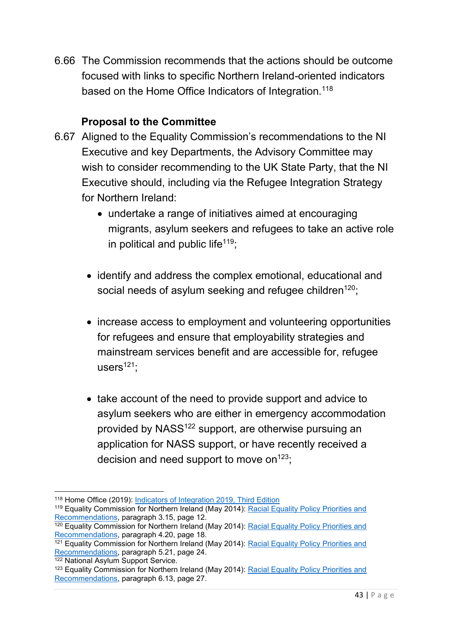6.66 The Commission recommends that the actions should be outcome focused with links to specific Northern Ireland-oriented indicators based on the Home Office Indicators of Integration.<sup>118</sup>

- 6.67 Aligned to the Equality Commission's recommendations to the NI Executive and key Departments, the Advisory Committee may wish to consider recommending to the UK State Party, that the NI Executive should, including via the Refugee Integration Strategy for Northern Ireland:
	- undertake a range of initiatives aimed at encouraging migrants, asylum seekers and refugees to take an active role in political and public life<sup>119</sup>;
	- identify and address the complex emotional, educational and social needs of asylum seeking and refugee children<sup>120</sup>;
	- increase access to employment and volunteering opportunities for refugees and ensure that employability strategies and mainstream services benefit and are accessible for, refugee users $121$ ;
	- take account of the need to provide support and advice to asylum seekers who are either in emergency accommodation provided by NASS<sup>122</sup> support, are otherwise pursuing an application for NASS support, or have recently received a decision and need support to move on  $123$ .

<sup>118</sup> Home Office (2019): [Indicators of Integration 2019, Third Edition](https://assets.publishing.service.gov.uk/government/uploads/system/uploads/attachment_data/file/835573/home-office-indicators-of-integration-framework-2019-horr109.pdf)

<sup>119</sup> Equality Commission for Northern Ireland (May 2014): [Racial Equality Policy Priorities and](https://www.equalityni.org/ECNI/media/ECNI/Publications/Delivering%20Equality/RacialEquality_PolicyPosition2014.pdf)  [Recommendations,](https://www.equalityni.org/ECNI/media/ECNI/Publications/Delivering%20Equality/RacialEquality_PolicyPosition2014.pdf) paragraph 3.15, page 12.

 $\frac{120}{120}$  Equality Commission for Northern Ireland (May 2014): Racial Equality Policy Priorities and [Recommendations,](https://www.equalityni.org/ECNI/media/ECNI/Publications/Delivering%20Equality/RacialEquality_PolicyPosition2014.pdf) paragraph 4.20, page 18.

<sup>&</sup>lt;sup>121</sup> Equality Commission for Northern Ireland (May 2014): Racial Equality Policy Priorities and [Recommendations,](https://www.equalityni.org/ECNI/media/ECNI/Publications/Delivering%20Equality/RacialEquality_PolicyPosition2014.pdf) paragraph 5.21, page 24.

<sup>122</sup> National Asylum Support Service.

<sup>123</sup> Equality Commission for Northern Ireland (May 2014): [Racial Equality Policy Priorities and](https://www.equalityni.org/ECNI/media/ECNI/Publications/Delivering%20Equality/RacialEquality_PolicyPosition2014.pdf)  [Recommendations,](https://www.equalityni.org/ECNI/media/ECNI/Publications/Delivering%20Equality/RacialEquality_PolicyPosition2014.pdf) paragraph 6.13, page 27.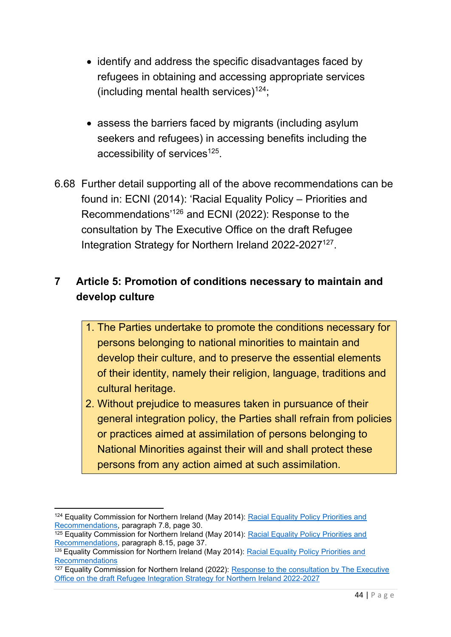- identify and address the specific disadvantages faced by refugees in obtaining and accessing appropriate services (including mental health services)<sup>124</sup>;
- assess the barriers faced by migrants (including asylum seekers and refugees) in accessing benefits including the accessibility of services<sup>125</sup>.
- 6.68 Further detail supporting all of the above recommendations can be found in: ECNI (2014): 'Racial Equality Policy – Priorities and Recommendations'<sup>126</sup> and ECNI (2022): Response to the consultation by The Executive Office on the draft Refugee Integration Strategy for Northern Ireland 2022-2027<sup>127</sup>.

# **7 Article 5: Promotion of conditions necessary to maintain and develop culture**

- 1. The Parties undertake to promote the conditions necessary for persons belonging to national minorities to maintain and develop their culture, and to preserve the essential elements of their identity, namely their religion, language, traditions and cultural heritage.
- 2. Without prejudice to measures taken in pursuance of their general integration policy, the Parties shall refrain from policies or practices aimed at assimilation of persons belonging to National Minorities against their will and shall protect these persons from any action aimed at such assimilation.

<sup>124</sup> Equality Commission for Northern Ireland (May 2014): Racial Equality Policy Priorities and [Recommendations,](https://www.equalityni.org/ECNI/media/ECNI/Publications/Delivering%20Equality/RacialEquality_PolicyPosition2014.pdf) paragraph 7.8, page 30.

 $125$  Equality Commission for Northern Ireland (May 2014): Racial Equality Policy Priorities and [Recommendations,](https://www.equalityni.org/ECNI/media/ECNI/Publications/Delivering%20Equality/RacialEquality_PolicyPosition2014.pdf) paragraph 8.15, page 37.

 $\frac{126}{126}$  Equality Commission for Northern Ireland (May 2014): Racial Equality Policy Priorities and [Recommendations](https://www.equalityni.org/ECNI/media/ECNI/Publications/Delivering%20Equality/RacialEquality_PolicyPosition2014.pdf)

 $127$  Equality Commission for Northern Ireland (2022): Response to the consultation by The Executive [Office on the draft Refugee Integration Strategy for Northern Ireland 2022-2027](https://www.equalityni.org/ECNI/media/ECNI/Consultation%20Responses/2022/TEO-RefugeeIntegrationStrategy2022-27.pdf?ext=.pdf)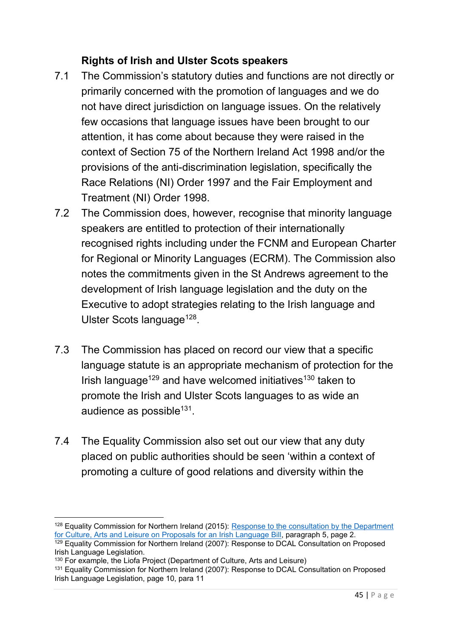## **Rights of Irish and Ulster Scots speakers**

- 7.1 The Commission's statutory duties and functions are not directly or primarily concerned with the promotion of languages and we do not have direct jurisdiction on language issues. On the relatively few occasions that language issues have been brought to our attention, it has come about because they were raised in the context of Section 75 of the Northern Ireland Act 1998 and/or the provisions of the anti-discrimination legislation, specifically the Race Relations (NI) Order 1997 and the Fair Employment and Treatment (NI) Order 1998.
- 7.2 The Commission does, however, recognise that minority language speakers are entitled to protection of their internationally recognised rights including under the FCNM and European Charter for Regional or Minority Languages (ECRM). The Commission also notes the commitments given in the St Andrews agreement to the development of Irish language legislation and the duty on the Executive to adopt strategies relating to the Irish language and Ulster Scots language<sup>128</sup>.
- 7.3 The Commission has placed on record our view that a specific language statute is an appropriate mechanism of protection for the Irish language<sup>129</sup> and have welcomed initiatives<sup>130</sup> taken to promote the Irish and Ulster Scots languages to as wide an audience as possible<sup>131</sup>.
- 7.4 The Equality Commission also set out our view that any duty placed on public authorities should be seen 'within a context of promoting a culture of good relations and diversity within the

<sup>128</sup> Equality Commission for Northern Ireland (2015): [Response to the consultation by the Department](https://www.equalityni.org/ECNI/media/ECNI/Consultation%20Responses/2015/DCAL-IrishLangBill-May15.pdf?ext=.pdf)  [for Culture, Arts and Leisure on Proposals for an Irish Language Bill,](https://www.equalityni.org/ECNI/media/ECNI/Consultation%20Responses/2015/DCAL-IrishLangBill-May15.pdf?ext=.pdf) paragraph 5, page 2.

 $\frac{129}{2}$  Equality Commission for Northern Ireland (2007): Response to DCAL Consultation on Proposed Irish Language Legislation.

<sup>130</sup> For example, the Liofa Project (Department of Culture, Arts and Leisure)

<sup>131</sup> Equality Commission for Northern Ireland (2007): Response to DCAL Consultation on Proposed Irish Language Legislation, page 10, para 11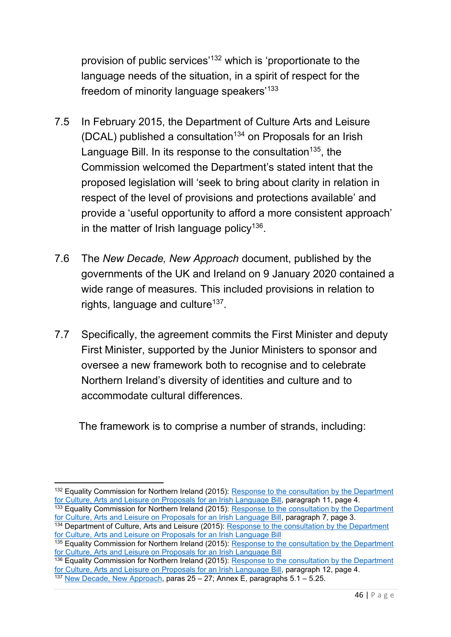provision of public services'<sup>132</sup> which is 'proportionate to the language needs of the situation, in a spirit of respect for the freedom of minority language speakers'<sup>133</sup>

- 7.5 In February 2015, the Department of Culture Arts and Leisure (DCAL) published a consultation<sup>134</sup> on Proposals for an Irish Language Bill. In its response to the consultation<sup>135</sup>, the Commission welcomed the Department's stated intent that the proposed legislation will 'seek to bring about clarity in relation in respect of the level of provisions and protections available' and provide a 'useful opportunity to afford a more consistent approach' in the matter of Irish language policy $^{136}$ .
- 7.6 The *New Decade, New Approach* document, published by the governments of the UK and Ireland on 9 January 2020 contained a wide range of measures. This included provisions in relation to rights, language and culture<sup>137</sup>.
- 7.7 Specifically, the agreement commits the First Minister and deputy First Minister, supported by the Junior Ministers to sponsor and oversee a new framework both to recognise and to celebrate Northern Ireland's diversity of identities and culture and to accommodate cultural differences.

The framework is to comprise a number of strands, including:

<sup>&</sup>lt;sup>132</sup> Equality Commission for Northern Ireland (2015): Response to the consultation by the Department [for Culture, Arts and Leisure on Proposals for an Irish Language Bill,](https://www.equalityni.org/ECNI/media/ECNI/Consultation%20Responses/2015/DCAL-IrishLangBill-May15.pdf?ext=.pdf) paragraph 11, page 4.

<sup>&</sup>lt;sup>133</sup> Equality Commission for Northern Ireland (2015): Response to the consultation by the Department [for Culture, Arts and Leisure on Proposals for an Irish Language Bill,](https://www.equalityni.org/ECNI/media/ECNI/Consultation%20Responses/2015/DCAL-IrishLangBill-May15.pdf?ext=.pdf) paragraph 7, page 3.

<sup>&</sup>lt;sup>134</sup> Department of Culture, Arts and Leisure (2015): Response to the consultation by the Department [for Culture, Arts and Leisure on Proposals for an Irish Language Bill](https://www.equalityni.org/ECNI/media/ECNI/Consultation%20Responses/2015/DCAL-IrishLangBill-May15.pdf?ext=.pdf)

<sup>&</sup>lt;sup>135</sup> Equality Commission for Northern Ireland (2015): Response to the consultation by the Department [for Culture, Arts and Leisure on Proposals for an](https://www.equalityni.org/ECNI/media/ECNI/Consultation%20Responses/2015/DCAL-IrishLangBill-May15.pdf?ext=.pdf) Irish Language Bill

<sup>&</sup>lt;sup>136</sup> Equality Commission for Northern Ireland (2015): Response to the consultation by the Department [for Culture, Arts and Leisure on Proposals for an Irish Language Bill,](https://www.equalityni.org/ECNI/media/ECNI/Consultation%20Responses/2015/DCAL-IrishLangBill-May15.pdf?ext=.pdf) paragraph 12, page 4.

<sup>137</sup> [New Decade, New Approach,](https://assets.publishing.service.gov.uk/government/uploads/system/uploads/attachment_data/file/856998/2020-01-08_a_new_decade__a_new_approach.pdf) paras 25 – 27; Annex E, paragraphs 5.1 – 5.25.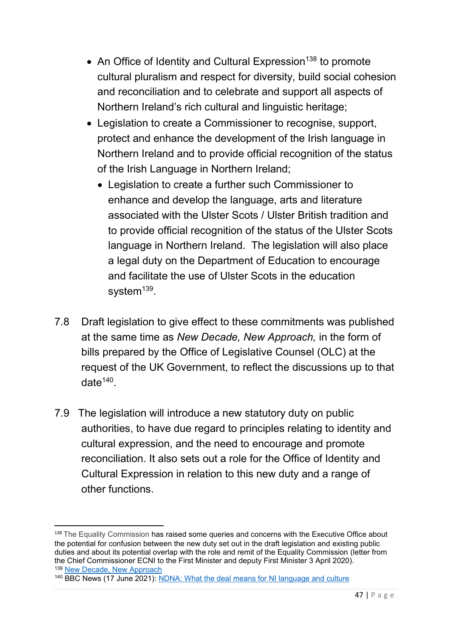- An Office of Identity and Cultural Expression<sup>138</sup> to promote cultural pluralism and respect for diversity, build social cohesion and reconciliation and to celebrate and support all aspects of Northern Ireland's rich cultural and linguistic heritage;
- Legislation to create a Commissioner to recognise, support, protect and enhance the development of the Irish language in Northern Ireland and to provide official recognition of the status of the Irish Language in Northern Ireland;
	- Legislation to create a further such Commissioner to enhance and develop the language, arts and literature associated with the Ulster Scots / Ulster British tradition and to provide official recognition of the status of the Ulster Scots language in Northern Ireland. The legislation will also place a legal duty on the Department of Education to encourage and facilitate the use of Ulster Scots in the education system<sup>139</sup>.
- 7.8 Draft legislation to give effect to these commitments was published at the same time as *New Decade, New Approach,* in the form of bills prepared by the Office of Legislative Counsel (OLC) at the request of the UK Government, to reflect the discussions up to that date $^{140}$ .
- 7.9 The legislation will introduce a new statutory duty on public authorities, to have due regard to principles relating to identity and cultural expression, and the need to encourage and promote reconciliation. It also sets out a role for the Office of Identity and Cultural Expression in relation to this new duty and a range of other functions.

<sup>138</sup> The Equality Commission has raised some queries and concerns with the Executive Office about the potential for confusion between the new duty set out in the draft legislation and existing public duties and about its potential overlap with the role and remit of the Equality Commission (letter from the Chief Commissioner ECNI to the First Minister and deputy First Minister 3 April 2020). <sup>139</sup> [New Decade, New Approach](https://assets.publishing.service.gov.uk/government/uploads/system/uploads/attachment_data/file/856998/2020-01-08_a_new_decade__a_new_approach.pdf)

<sup>140</sup> BBC News (17 June 2021): [NDNA: What the deal means for NI language and culture](https://www.bbc.co.uk/news/uk-northern-ireland-57516463)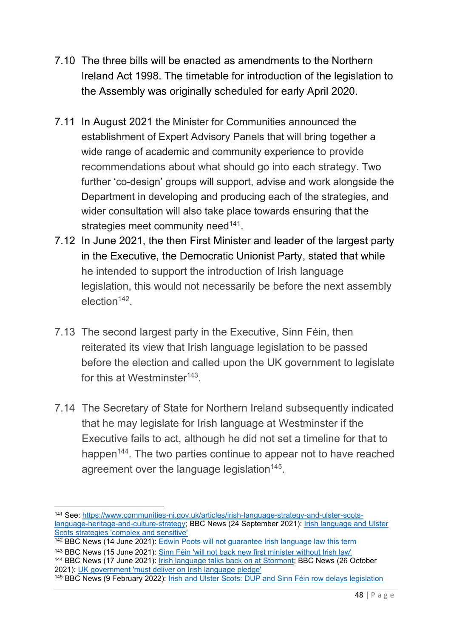- 7.10 The three bills will be enacted as amendments to the Northern Ireland Act 1998. The timetable for introduction of the legislation to the Assembly was originally scheduled for early April 2020.
- 7.11 In August 2021 the Minister for Communities announced the establishment of Expert Advisory Panels that will bring together a wide range of academic and community experience to provide recommendations about what should go into each strategy. Two further 'co-design' groups will support, advise and work alongside the Department in developing and producing each of the strategies, and wider consultation will also take place towards ensuring that the strategies meet community need<sup>141</sup>.
- 7.12 In June 2021, the then First Minister and leader of the largest party in the Executive, the Democratic Unionist Party, stated that while he intended to support the introduction of Irish language legislation, this would not necessarily be before the next assembly election<sup>142</sup>.
- 7.13 The second largest party in the Executive, Sinn Féin, then reiterated its view that Irish language legislation to be passed before the election and called upon the UK government to legislate for this at Westminster $143$ .
- 7.14 The Secretary of State for Northern Ireland subsequently indicated that he may legislate for Irish language at Westminster if the Executive fails to act, although he did not set a timeline for that to happen<sup>144</sup>. The two parties continue to appear not to have reached agreement over the language legislation<sup>145</sup>.

<sup>144</sup> BBC News (17 June 2021): **Irish language talks back on at Stormont**; BBC News (26 October 2021): [UK government 'must deliver on Irish language pledge'](https://www.bbc.co.uk/news/uk-northern-ireland-59043581)

<sup>141</sup> See: [https://www.communities-ni.gov.uk/articles/irish-language-strategy-and-ulster-scots](https://www.communities-ni.gov.uk/articles/irish-language-strategy-and-ulster-scots-language-heritage-and-culture-strategy)[language-heritage-and-culture-strategy;](https://www.communities-ni.gov.uk/articles/irish-language-strategy-and-ulster-scots-language-heritage-and-culture-strategy) BBC News (24 September 2021): [Irish language and Ulster](https://www.bbc.co.uk/news/uk-northern-ireland-58669856)  [Scots strategies 'complex and sensitive'](https://www.bbc.co.uk/news/uk-northern-ireland-58669856)

<sup>142</sup> BBC News (14 June 2021): [Edwin Poots will not guarantee Irish language law this term](https://www.bbc.co.uk/news/uk-northern-ireland-57464224)

<sup>143</sup> BBC News (15 June 2021): [Sinn Féin 'will not back new first minister without Irish law'](https://www.bbc.co.uk/news/uk-northern-ireland-57478257)

<sup>145</sup> BBC News (9 February 2022): [Irish and Ulster Scots: DUP and Sinn Féin row delays legislation](https://www.bbc.co.uk/news/uk-northern-ireland-60317736)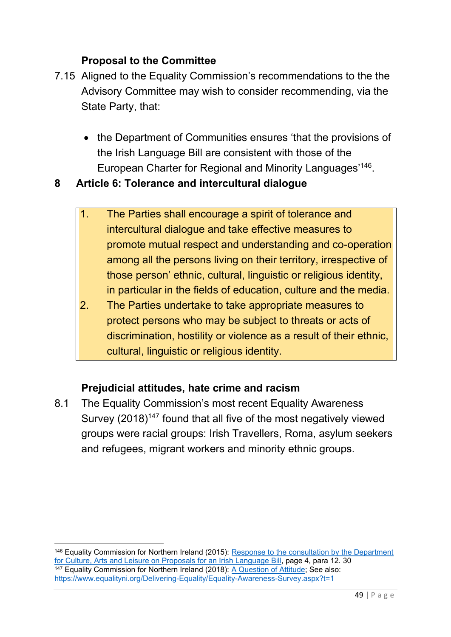### **Proposal to the Committee**

- 7.15 Aligned to the Equality Commission's recommendations to the the Advisory Committee may wish to consider recommending, via the State Party, that:
	- the Department of Communities ensures 'that the provisions of the Irish Language Bill are consistent with those of the European Charter for Regional and Minority Languages'<sup>146</sup> .

### **8 Article 6: Tolerance and intercultural dialogue**

- 1. The Parties shall encourage a spirit of tolerance and intercultural dialogue and take effective measures to promote mutual respect and understanding and co-operation among all the persons living on their territory, irrespective of those person' ethnic, cultural, linguistic or religious identity, in particular in the fields of education, culture and the media.
- 2. The Parties undertake to take appropriate measures to protect persons who may be subject to threats or acts of discrimination, hostility or violence as a result of their ethnic, cultural, linguistic or religious identity.

### **Prejudicial attitudes, hate crime and racism**

8.1 The Equality Commission's most recent Equality Awareness Survey (2018)<sup>147</sup> found that all five of the most negatively viewed groups were racial groups: Irish Travellers, Roma, asylum seekers and refugees, migrant workers and minority ethnic groups.

<sup>146</sup> Equality Commission for Northern Ireland (2015): [Response to the consultation by the Department](https://www.equalityni.org/ECNI/media/ECNI/Consultation%20Responses/2015/DCAL-IrishLangBill-May15.pdf?ext=.pdf)  [for Culture, Arts and Leisure on Proposals for an Irish Language Bill,](https://www.equalityni.org/ECNI/media/ECNI/Consultation%20Responses/2015/DCAL-IrishLangBill-May15.pdf?ext=.pdf) page 4, para 12. 30 147 Equality Commission for Northern Ireland (2018): [A Question of Attitude;](https://www.equalityni.org/ECNI/media/ECNI/Publications/Delivering%20Equality/EqualityAwarenessSurvey-Attitudes.pdf) See also: <https://www.equalityni.org/Delivering-Equality/Equality-Awareness-Survey.aspx?t=1>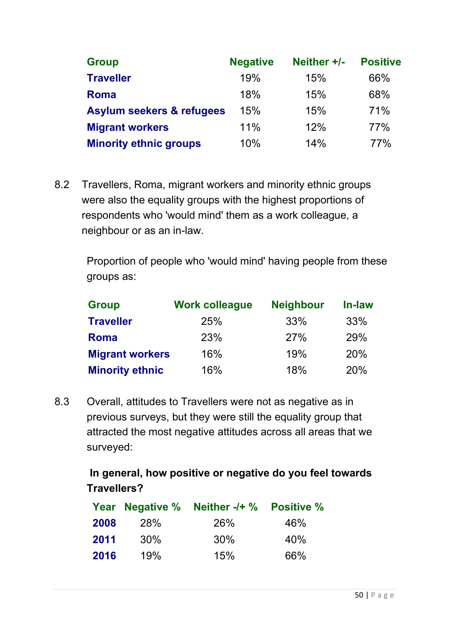| <b>Group</b>                         | <b>Negative</b> | Neither +/- | <b>Positive</b> |
|--------------------------------------|-----------------|-------------|-----------------|
| <b>Traveller</b>                     | 19%             | 15%         | 66%             |
| <b>Roma</b>                          | 18%             | 15%         | 68%             |
| <b>Asylum seekers &amp; refugees</b> | 15%             | 15%         | 71%             |
| <b>Migrant workers</b>               | 11%             | 12%         | <b>77%</b>      |
| <b>Minority ethnic groups</b>        | 10%             | 14%         | <b>77%</b>      |

8.2 Travellers, Roma, migrant workers and minority ethnic groups were also the equality groups with the highest proportions of respondents who 'would mind' them as a work colleague, a neighbour or as an in-law.

Proportion of people who 'would mind' having people from these groups as:

| <b>Group</b>           | <b>Work colleague</b> | <b>Neighbour</b> | In-law     |
|------------------------|-----------------------|------------------|------------|
| <b>Traveller</b>       | 25%                   | 33%              | 33%        |
| Roma                   | 23%                   | 27%              | 29%        |
| <b>Migrant workers</b> | 16%                   | 19%              | <b>20%</b> |
| <b>Minority ethnic</b> | 16%                   | 18%              | 20%        |

8.3 Overall, attitudes to Travellers were not as negative as in previous surveys, but they were still the equality group that attracted the most negative attitudes across all areas that we surveyed:

> **In general, how positive or negative do you feel towards Travellers?**

|      | Year Negative % | Neither -/+ % Positive % |     |
|------|-----------------|--------------------------|-----|
| 2008 | <b>28%</b>      | <b>26%</b>               | 46% |
| 2011 | $30\%$          | 30%                      | 40% |
| 2016 | 19%             | 15%                      | 66% |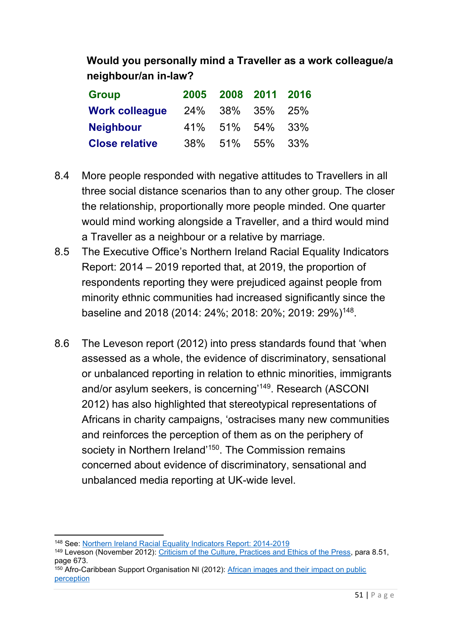# **Would you personally mind a Traveller as a work colleague/a neighbour/an in-law?**

| <b>Group</b>          |     | 2005 2008 2011 2016 |  |
|-----------------------|-----|---------------------|--|
| <b>Work colleague</b> |     | 24\% 38\% 35\% 25\% |  |
| <b>Neighbour</b>      |     | 41% 51% 54% 33%     |  |
| <b>Close relative</b> | 38% | 51% 55% 33%         |  |

- 8.4 More people responded with negative attitudes to Travellers in all three social distance scenarios than to any other group. The closer the relationship, proportionally more people minded. One quarter would mind working alongside a Traveller, and a third would mind a Traveller as a neighbour or a relative by marriage.
- 8.5 The Executive Office's Northern Ireland Racial Equality Indicators Report: 2014 – 2019 reported that, at 2019, the proportion of respondents reporting they were prejudiced against people from minority ethnic communities had increased significantly since the baseline and 2018 (2014: 24%; 2018: 20%; 2019: 29%)<sup>148</sup> .
- 8.6 The Leveson report (2012) into press standards found that 'when assessed as a whole, the evidence of discriminatory, sensational or unbalanced reporting in relation to ethnic minorities, immigrants and/or asylum seekers, is concerning'<sup>149</sup>. Research (ASCONI 2012) has also highlighted that stereotypical representations of Africans in charity campaigns, 'ostracises many new communities and reinforces the perception of them as on the periphery of society in Northern Ireland'<sup>150</sup>. The Commission remains concerned about evidence of discriminatory, sensational and unbalanced media reporting at UK-wide level.

<sup>148</sup> See: [Northern Ireland Racial Equality Indicators Report: 2014-2019](https://www.executiveoffice-ni.gov.uk/news/northern-ireland-racial-equality-indicators-report-2014-2019)

<sup>149</sup> Leveson (November 2012): [Criticism of the Culture, Practices and Ethics of the Press,](https://assets.publishing.service.gov.uk/government/uploads/system/uploads/attachment_data/file/270941/0780_ii.pdf) para 8.51, page 673.

<sup>&</sup>lt;sup>150</sup> Afro-Caribbean Support Organisation NI (2012): African images and their impact on public [perception](https://www.acsoni.org/app/uploads/2018/02/AFRICAN-MEDIA-IMAGES-MESSAGES-THEIR-IMPACT-ON-PUBLIC-PERCEPTION-RESEARCH-2.pdf)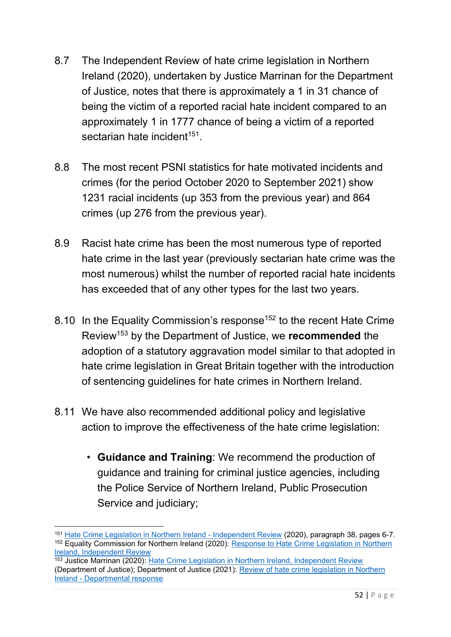- 8.7 The Independent Review of hate crime legislation in Northern Ireland (2020), undertaken by Justice Marrinan for the Department of Justice, notes that there is approximately a 1 in 31 chance of being the victim of a reported racial hate incident compared to an approximately 1 in 1777 chance of being a victim of a reported sectarian hate incident<sup>151</sup>.
- 8.8 The most recent PSNI statistics for hate motivated incidents and crimes (for the period October 2020 to September 2021) show 1231 racial incidents (up 353 from the previous year) and 864 crimes (up 276 from the previous year).
- 8.9 Racist hate crime has been the most numerous type of reported hate crime in the last year (previously sectarian hate crime was the most numerous) whilst the number of reported racial hate incidents has exceeded that of any other types for the last two years.
- 8.10 In the Equality Commission's response<sup>152</sup> to the recent Hate Crime Review<sup>153</sup> by the Department of Justice, we **recommended** the adoption of a statutory aggravation model similar to that adopted in hate crime legislation in Great Britain together with the introduction of sentencing guidelines for hate crimes in Northern Ireland.
- 8.11 We have also recommended additional policy and legislative action to improve the effectiveness of the hate crime legislation:
	- **Guidance and Training**: We recommend the production of guidance and training for criminal justice agencies, including the Police Service of Northern Ireland, Public Prosecution Service and judiciary;

<sup>151</sup> [Hate Crime Legislation in Northern Ireland -](https://www.justice-ni.gov.uk/sites/default/files/publications/justice/hate-crime-review.pdf) Independent Review (2020), paragraph 38, pages 6-7. <sup>152</sup> Equality Commission for Northern Ireland (2020): Response to Hate Crime Legislation in Northern [Ireland, Independent Review](https://www.equalityni.org/ECNI/media/ECNI/Consultation%20Responses/2020/DoJ-HateCrimeLawReview.pdf?ext=.pdf)

<sup>153</sup> Justice Marrinan (2020): [Hate Crime Legislation in Northern Ireland, Independent Review](https://www.justice-ni.gov.uk/sites/default/files/publications/justice/hate-crime-review.pdf) (Department of Justice); Department of Justice (2021): [Review of hate crime legislation in Northern](https://www.justice-ni.gov.uk/sites/default/files/publications/justice/review-of-hate-crime-legislation-doj-response.pdf)  Ireland - [Departmental response](https://www.justice-ni.gov.uk/sites/default/files/publications/justice/review-of-hate-crime-legislation-doj-response.pdf)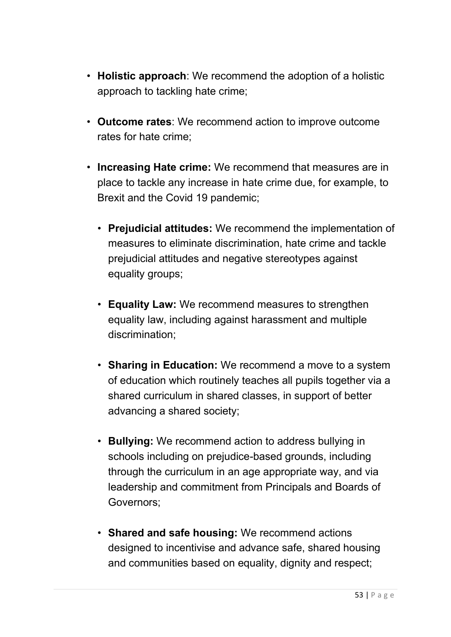- **Holistic approach**: We recommend the adoption of a holistic approach to tackling hate crime;
- **Outcome rates**: We recommend action to improve outcome rates for hate crime;
- **Increasing Hate crime:** We recommend that measures are in place to tackle any increase in hate crime due, for example, to Brexit and the Covid 19 pandemic;
	- **Prejudicial attitudes:** We recommend the implementation of measures to eliminate discrimination, hate crime and tackle prejudicial attitudes and negative stereotypes against equality groups;
	- **Equality Law:** We recommend measures to strengthen equality law, including against harassment and multiple discrimination;
	- **Sharing in Education:** We recommend a move to a system of education which routinely teaches all pupils together via a shared curriculum in shared classes, in support of better advancing a shared society;
	- **Bullying:** We recommend action to address bullying in schools including on prejudice-based grounds, including through the curriculum in an age appropriate way, and via leadership and commitment from Principals and Boards of Governors;
	- **Shared and safe housing:** We recommend actions designed to incentivise and advance safe, shared housing and communities based on equality, dignity and respect;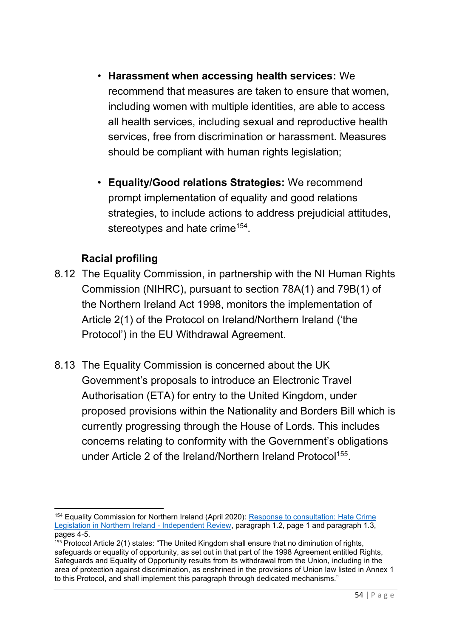- **Harassment when accessing health services:** We recommend that measures are taken to ensure that women, including women with multiple identities, are able to access all health services, including sexual and reproductive health services, free from discrimination or harassment. Measures should be compliant with human rights legislation;
- **Equality/Good relations Strategies:** We recommend prompt implementation of equality and good relations strategies, to include actions to address prejudicial attitudes, stereotypes and hate crime $^{154}$ .

## **Racial profiling**

- 8.12 The Equality Commission, in partnership with the NI Human Rights Commission (NIHRC), pursuant to section 78A(1) and 79B(1) of the Northern Ireland Act 1998, monitors the implementation of Article 2(1) of the Protocol on Ireland/Northern Ireland ('the Protocol') in the EU Withdrawal Agreement.
- 8.13 The Equality Commission is concerned about the UK Government's proposals to introduce an Electronic Travel Authorisation (ETA) for entry to the United Kingdom, under proposed provisions within the Nationality and Borders Bill which is currently progressing through the House of Lords. This includes concerns relating to conformity with the Government's obligations under Article 2 of the Ireland/Northern Ireland Protocol<sup>155</sup>.

<sup>154</sup> Equality Commission for Northern Ireland (April 2020): [Response to consultation: Hate Crime](https://www.equalityni.org/ECNI/media/ECNI/Consultation%20Responses/2020/DoJ-HateCrimeLawReview.pdf?ext=.pdf)  [Legislation in Northern Ireland -](https://www.equalityni.org/ECNI/media/ECNI/Consultation%20Responses/2020/DoJ-HateCrimeLawReview.pdf?ext=.pdf) Independent Review, paragraph 1.2*,* page 1 and paragraph 1.3, pages 4-5.

 $155$  Protocol Article 2(1) states: "The United Kingdom shall ensure that no diminution of rights, safeguards or equality of opportunity, as set out in that part of the 1998 Agreement entitled Rights, Safeguards and Equality of Opportunity results from its withdrawal from the Union, including in the area of protection against discrimination, as enshrined in the provisions of Union law listed in Annex 1 to this Protocol, and shall implement this paragraph through dedicated mechanisms."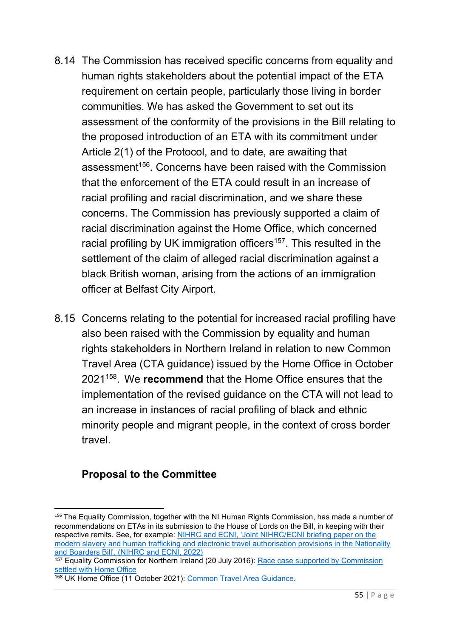- 8.14 The Commission has received specific concerns from equality and human rights stakeholders about the potential impact of the ETA requirement on certain people, particularly those living in border communities. We has asked the Government to set out its assessment of the conformity of the provisions in the Bill relating to the proposed introduction of an ETA with its commitment under Article 2(1) of the Protocol, and to date, are awaiting that assessment<sup>156</sup>. Concerns have been raised with the Commission that the enforcement of the ETA could result in an increase of racial profiling and racial discrimination, and we share these concerns. The Commission has previously supported a claim of racial discrimination against the Home Office, which concerned racial profiling by UK immigration officers<sup>157</sup>. This resulted in the settlement of the claim of alleged racial discrimination against a black British woman, arising from the actions of an immigration officer at Belfast City Airport.
- 8.15 Concerns relating to the potential for increased racial profiling have also been raised with the Commission by equality and human rights stakeholders in Northern Ireland in relation to new Common Travel Area (CTA guidance) issued by the Home Office in October 2021<sup>158</sup> . We **recommend** that the Home Office ensures that the implementation of the revised guidance on the CTA will not lead to an increase in instances of racial profiling of black and ethnic minority people and migrant people, in the context of cross border travel.

<sup>&</sup>lt;sup>156</sup> The Equality Commission, together with the NI Human Rights Commission, has made a number of recommendations on ETAs in its submission to the House of Lords on the Bill, in keeping with their respective remits. See, for example: NIHRC and ECNI, 'Joint NIHRC/ECNI briefing paper on the [modern slavery and human trafficking and electronic travel authorisation provisions in the Nationality](https://nihrc.org/publication/detail/joint-nihrc-ecni-briefing-paper-on-the-modern-slavery-and-human-trafficking-and-electronic-travel-authorisation-provisions-in-the-nationality-and-borders-bill)  [and Boarders Bill', \(NIHRC and ECNI, 2022\)](https://nihrc.org/publication/detail/joint-nihrc-ecni-briefing-paper-on-the-modern-slavery-and-human-trafficking-and-electronic-travel-authorisation-provisions-in-the-nationality-and-borders-bill)

<sup>&</sup>lt;sup>157</sup> Equality Commission for Northern Ireland (20 July 2016): Race case supported by Commission [settled with Home Office](https://www.equalityni.org/Footer-Links/News/Individuals/Race-case-supported-by-Commission-settled-with-Hom)

<sup>158</sup> UK Home Office (11 October 2021): [Common Travel Area Guidance.](https://assets.publishing.service.gov.uk/government/uploads/system/uploads/attachment_data/file/1024144/Common_travel_area.pdf)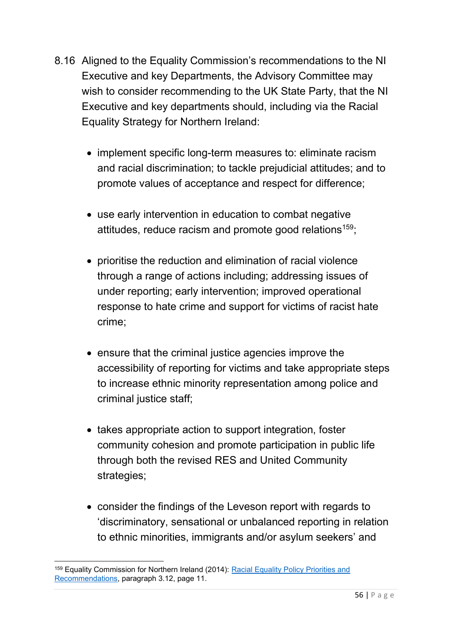- 8.16 Aligned to the Equality Commission's recommendations to the NI Executive and key Departments, the Advisory Committee may wish to consider recommending to the UK State Party, that the NI Executive and key departments should, including via the Racial Equality Strategy for Northern Ireland:
	- implement specific long-term measures to: eliminate racism and racial discrimination; to tackle prejudicial attitudes; and to promote values of acceptance and respect for difference;
	- use early intervention in education to combat negative attitudes, reduce racism and promote good relations<sup>159</sup>;
	- prioritise the reduction and elimination of racial violence through a range of actions including; addressing issues of under reporting; early intervention; improved operational response to hate crime and support for victims of racist hate crime;
	- ensure that the criminal justice agencies improve the accessibility of reporting for victims and take appropriate steps to increase ethnic minority representation among police and criminal justice staff;
	- takes appropriate action to support integration, foster community cohesion and promote participation in public life through both the revised RES and United Community strategies;
	- consider the findings of the Leveson report with regards to 'discriminatory, sensational or unbalanced reporting in relation to ethnic minorities, immigrants and/or asylum seekers' and

<sup>159</sup> Equality Commission for Northern Ireland (2014): [Racial Equality Policy Priorities and](https://www.equalityni.org/ECNI/media/ECNI/Publications/Delivering%20Equality/RacialEquality_PolicyPosition2014.pdf)  [Recommendations,](https://www.equalityni.org/ECNI/media/ECNI/Publications/Delivering%20Equality/RacialEquality_PolicyPosition2014.pdf) paragraph 3.12, page 11.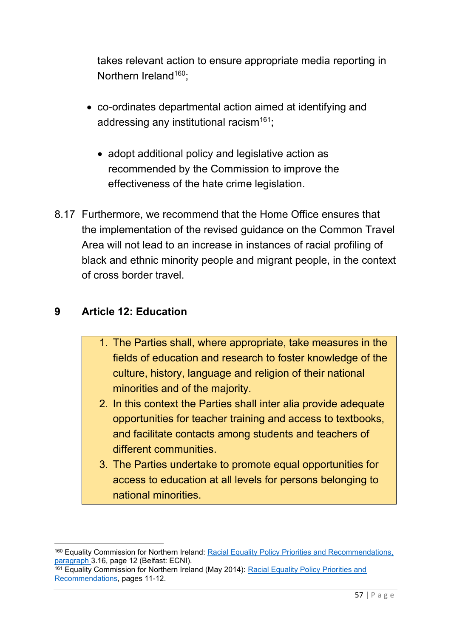takes relevant action to ensure appropriate media reporting in Northern Ireland<sup>160</sup>:

- co-ordinates departmental action aimed at identifying and addressing any institutional racism<sup>161</sup>;
	- adopt additional policy and legislative action as recommended by the Commission to improve the effectiveness of the hate crime legislation.
- 8.17 Furthermore, we recommend that the Home Office ensures that the implementation of the revised guidance on the Common Travel Area will not lead to an increase in instances of racial profiling of black and ethnic minority people and migrant people, in the context of cross border travel.

### **9 Article 12: Education**

- 1. The Parties shall, where appropriate, take measures in the fields of education and research to foster knowledge of the culture, history, language and religion of their national minorities and of the majority.
- 2. In this context the Parties shall inter alia provide adequate opportunities for teacher training and access to textbooks, and facilitate contacts among students and teachers of different communities.
- 3. The Parties undertake to promote equal opportunities for access to education at all levels for persons belonging to national minorities.

<sup>&</sup>lt;sup>160</sup> Equality Commission for Northern Ireland: [Racial Equality Policy Priorities and Recommendations,](https://www.equalityni.org/ECNI/media/ECNI/Publications/Delivering%20Equality/RacialEquality_PolicyPosition2014.pdf) paragraph 3.16, page 12 (Belfast: ECNI).

<sup>161</sup> Equality Commission for Northern Ireland (May 2014): [Racial Equality Policy Priorities and](https://www.equalityni.org/ECNI/media/ECNI/Publications/Delivering%20Equality/RacialEquality_PolicyPosition2014.pdf)  [Recommendations,](https://www.equalityni.org/ECNI/media/ECNI/Publications/Delivering%20Equality/RacialEquality_PolicyPosition2014.pdf) pages 11-12.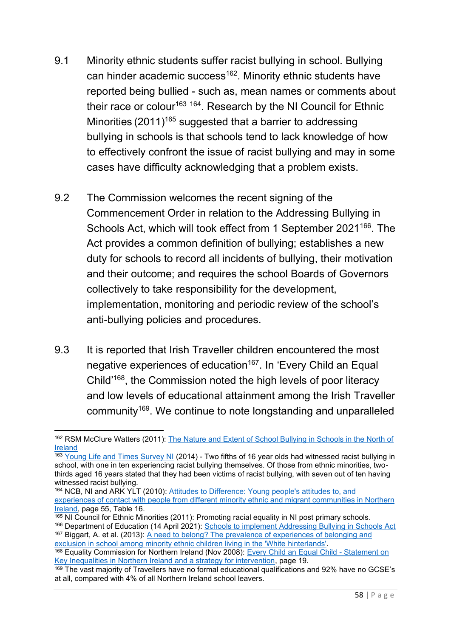- 9.1 Minority ethnic students suffer racist bullying in school. Bullying can hinder academic success<sup>162</sup>. Minority ethnic students have reported being bullied - such as, mean names or comments about their race or colour<sup>163 164</sup>. Research by the NI Council for Ethnic Minorities (2011)<sup>165</sup> suggested that a barrier to addressing bullying in schools is that schools tend to lack knowledge of how to effectively confront the issue of racist bullying and may in some cases have difficulty acknowledging that a problem exists.
- 9.2 The Commission welcomes the recent signing of the Commencement Order in relation to the Addressing Bullying in Schools Act, which will took effect from 1 September 2021<sup>166</sup>. The Act provides a common definition of bullying; establishes a new duty for schools to record all incidents of bullying, their motivation and their outcome; and requires the school Boards of Governors collectively to take responsibility for the development, implementation, monitoring and periodic review of the school's anti-bullying policies and procedures.
- 9.3 It is reported that Irish Traveller children encountered the most negative experiences of education<sup>167</sup>. In 'Every Child an Equal Child'<sup>168</sup>, the Commission noted the high levels of poor literacy and low levels of educational attainment among the Irish Traveller community<sup>169</sup>. We continue to note longstanding and unparalleled

<sup>162</sup> RSM McClure Watters (2011): [The Nature and Extent of School Bullying in Schools in the North of](https://dera.ioe.ac.uk/12479/1/no_56_report_final_2011.pdf)  [Ireland](https://dera.ioe.ac.uk/12479/1/no_56_report_final_2011.pdf) 

 $\frac{163}{163}$  [Young Life and Times Survey NI](https://www.ark.ac.uk/ylt/results/yltback2.html) (2014) - Two fifths of 16 year olds had witnessed racist bullying in school, with one in ten experiencing racist bullying themselves. Of those from ethnic minorities, twothirds aged 16 years stated that they had been victims of racist bullying, with seven out of ten having witnessed racist bullying.

<sup>164</sup> NCB, NI and ARK YLT (2010): [Attitudes to Difference: Young people's attitudes to, and](https://www.ark.ac.uk/ylt/results/Attitudes_to_difference_report.pdf)  [experiences of contact with people from different minority ethnic and migrant communities in Northern](https://www.ark.ac.uk/ylt/results/Attitudes_to_difference_report.pdf)  [Ireland,](https://www.ark.ac.uk/ylt/results/Attitudes_to_difference_report.pdf) page 55, Table 16.

 $\frac{165}{165}$  NI Council for Ethnic Minorities (2011): Promoting racial equality in NI post primary schools.

<sup>&</sup>lt;sup>166</sup> Department of Education (14 April 2021): [Schools to implement Addressing Bullying in Schools Act](https://www.education-ni.gov.uk/news/schools-implement-addressing-bullying-act) 167 Biggart, A. et al. (2013): <u>A need to belong? The prevalence of experiences of belonging and</u> [exclusion in school among minority ethnic children living in the 'White hinterlands'](https://pure.qub.ac.uk/en/publications/a-need-to-belong-the-prevalence-of-experiences-of-belonging-and-e)*.* 

<sup>&</sup>lt;sup>168</sup> Equality Commission for Northern Ireland (Nov 2008): <u>Every Child an Equal Child - Statement on</u> [Key Inequalities in Northern Ireland and a strategy for intervention,](https://www.equalityni.org/ECNI/media/ECNI/Publications/Delivering%20Equality/Keyinequalitiesineducation2008.pdf) page 19.

<sup>169</sup> The vast majority of Travellers have no formal educational qualifications and 92% have no GCSE's at all, compared with 4% of all Northern Ireland school leavers.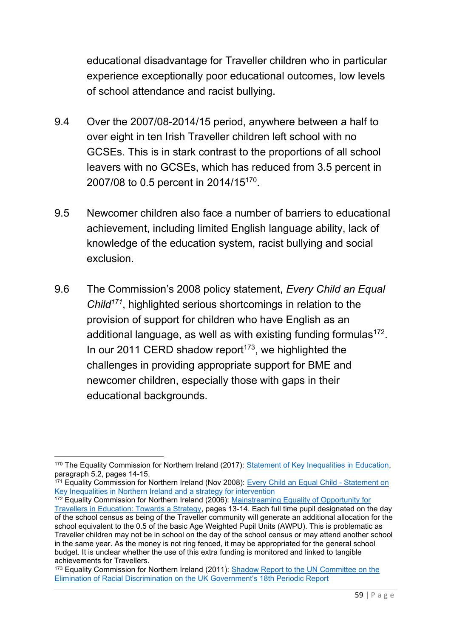educational disadvantage for Traveller children who in particular experience exceptionally poor educational outcomes, low levels of school attendance and racist bullying.

- 9.4 Over the 2007/08-2014/15 period, anywhere between a half to over eight in ten Irish Traveller children left school with no GCSEs. This is in stark contrast to the proportions of all school leavers with no GCSEs, which has reduced from 3.5 percent in 2007/08 to 0.5 percent in 2014/15<sup>170</sup>.
- 9.5 Newcomer children also face a number of barriers to educational achievement, including limited English language ability, lack of knowledge of the education system, racist bullying and social exclusion.
- 9.6 The Commission's 2008 policy statement, *Every Child an Equal Child<sup>171</sup>*, highlighted serious shortcomings in relation to the provision of support for children who have English as an additional language, as well as with existing funding formulas $^{172}$ . In our 2011 CERD shadow report $173$ , we highlighted the challenges in providing appropriate support for BME and newcomer children, especially those with gaps in their educational backgrounds.

<sup>170</sup> The Equality Commission for Northern Ireland (2017): [Statement of Key Inequalities in Education,](https://www.equalityni.org/ECNI/media/ECNI/Publications/Delivering%20Equality/EducationKeyInequalities-FinalStatement.pdf) paragraph 5.2, pages 14-15.

<sup>171</sup> Equality Commission for Northern Ireland (Nov 2008): [Every Child an Equal Child -](https://www.equalityni.org/ECNI/media/ECNI/Publications/Delivering%20Equality/Keyinequalitiesineducation2008.pdf) Statement on [Key Inequalities in Northern Ireland and a strategy for intervention](https://www.equalityni.org/ECNI/media/ECNI/Publications/Delivering%20Equality/Keyinequalitiesineducation2008.pdf)

<sup>&</sup>lt;sup>172</sup> Equality Commission for Northern Ireland (2006): Mainstreaming Equality of Opportunity for [Travellers in Education: Towards a Strategy,](https://www.equalityni.org/ECNI/media/ECNI/Consultation%20Responses/2006/Mainstreaming_Equality_for_Travellers_Education.pdf?ext=.pdf) pages 13-14. Each full time pupil designated on the day of the school census as being of the Traveller community will generate an additional allocation for the school equivalent to the 0.5 of the basic Age Weighted Pupil Units (AWPU). This is problematic as Traveller children may not be in school on the day of the school census or may attend another school in the same year. As the money is not ring fenced, it may be appropriated for the general school budget. It is unclear whether the use of this extra funding is monitored and linked to tangible achievements for Travellers.

<sup>&</sup>lt;sup>173</sup> Equality Commission for Northern Ireland (2011): Shadow Report to the UN Committee on the [Elimination of Racial Discrimination on the UK Government's 18th Periodic Report](https://www.equalityni.org/ECNI/media/ECNI/Consultation%20Responses/2011/Shadow_Report-UN_Elimination_Racial_Discrimination-(CERD).pdf?ext=.pdf)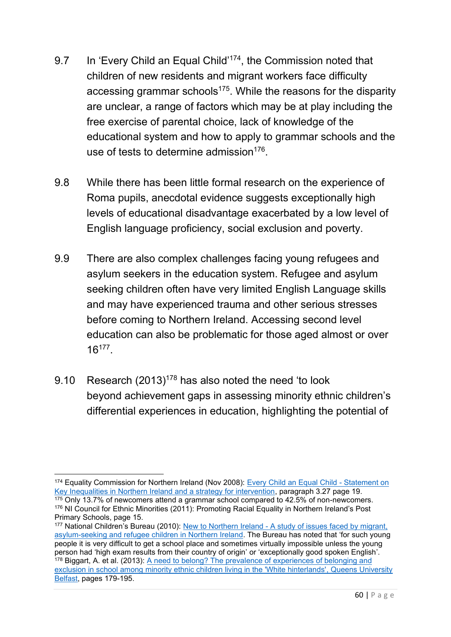- 9.7 In 'Every Child an Equal Child'<sup>174</sup>, the Commission noted that children of new residents and migrant workers face difficulty accessing grammar schools<sup>175</sup>. While the reasons for the disparity are unclear, a range of factors which may be at play including the free exercise of parental choice, lack of knowledge of the educational system and how to apply to grammar schools and the use of tests to determine admission $176$ .
- 9.8 While there has been little formal research on the experience of Roma pupils, anecdotal evidence suggests exceptionally high levels of educational disadvantage exacerbated by a low level of English language proficiency, social exclusion and poverty.
- 9.9 There are also complex challenges facing young refugees and asylum seekers in the education system. Refugee and asylum seeking children often have very limited English Language skills and may have experienced trauma and other serious stresses before coming to Northern Ireland. Accessing second level education can also be problematic for those aged almost or over  $16^{177}$ .
- 9.10 Research (2013)<sup>178</sup> has also noted the need 'to look beyond achievement gaps in assessing minority ethnic children's differential experiences in education, highlighting the potential of

<sup>174</sup> Equality Commission for Northern Ireland (Nov 2008): [Every Child an Equal Child -](https://www.equalityni.org/ECNI/media/ECNI/Publications/Delivering%20Equality/Keyinequalitiesineducation2008.pdf) Statement on [Key Inequalities in Northern Ireland and a strategy for intervention,](https://www.equalityni.org/ECNI/media/ECNI/Publications/Delivering%20Equality/Keyinequalitiesineducation2008.pdf) paragraph 3.27 page 19.  $175$  Only 13.7% of newcomers attend a grammar school compared to 42.5% of non-newcomers.

<sup>&</sup>lt;sup>176</sup> NI Council for Ethnic Minorities (2011): Promoting Racial Equality in Northern Ireland's Post Primary Schools, page 15.

<sup>177</sup> National Children's Bureau (2010): New to Northern Ireland - [A study of issues faced by migrant,](https://www.ncb.org.uk/sites/default/files/uploads/files/17%2520ntni_web_final.pdf)  [asylum-seeking and refugee children in Northern Ireland.](https://www.ncb.org.uk/sites/default/files/uploads/files/17%2520ntni_web_final.pdf) The Bureau has noted that 'for such young people it is very difficult to get a school place and sometimes virtually impossible unless the young person had 'high exam results from their country of origin' or 'exceptionally good spoken English'. 178 Biggart, A. et al. (2013): <u>A need to belong? The prevalence of experiences of belonging and</u> [exclusion in school among minority ethnic children living in the 'White hinterlands',](https://pure.qub.ac.uk/en/publications/a-need-to-belong-the-prevalence-of-experiences-of-belonging-and-e) Queens University Belfast, pages 179-195.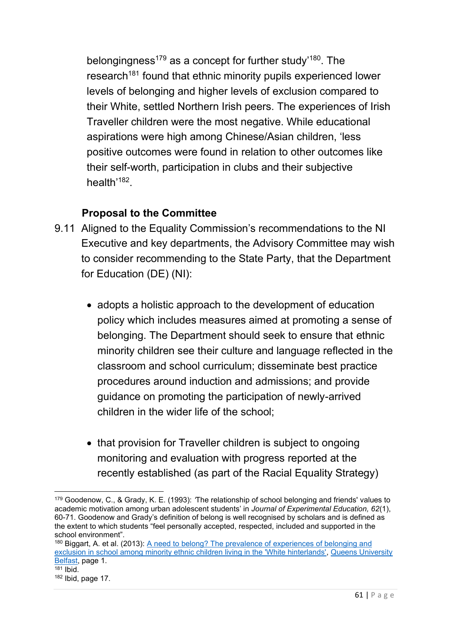belongingness<sup>179</sup> as a concept for further study<sup>'180</sup>. The research<sup>181</sup> found that ethnic minority pupils experienced lower levels of belonging and higher levels of exclusion compared to their White, settled Northern Irish peers. The experiences of Irish Traveller children were the most negative. While educational aspirations were high among Chinese/Asian children, 'less positive outcomes were found in relation to other outcomes like their self-worth, participation in clubs and their subjective health'<sup>182</sup>.

- 9.11 Aligned to the Equality Commission's recommendations to the NI Executive and key departments, the Advisory Committee may wish to consider recommending to the State Party, that the Department for Education (DE) (NI):
	- adopts a holistic approach to the development of education policy which includes measures aimed at promoting a sense of belonging. The Department should seek to ensure that ethnic minority children see their culture and language reflected in the classroom and school curriculum; disseminate best practice procedures around induction and admissions; and provide guidance on promoting the participation of newly-arrived children in the wider life of the school;
	- that provision for Traveller children is subject to ongoing monitoring and evaluation with progress reported at the recently established (as part of the Racial Equality Strategy)

<sup>179</sup> Goodenow, C., & Grady, K. E. (1993): *'*The relationship of school belonging and friends' values to academic motivation among urban adolescent students' in *Journal of Experimental Education, 62*(1), 60-71. Goodenow and Grady's definition of belong is well recognised by scholars and is defined as the extent to which students "feel personally accepted, respected, included and supported in the school environment".

<sup>&</sup>lt;sup>180</sup> Biggart, A. et al. (2013): <u>A need to belong? The prevalence of experiences of belonging and</u> [exclusion in school among minority ethnic children living in the 'White hinterlands',](https://pure.qub.ac.uk/en/publications/a-need-to-belong-the-prevalence-of-experiences-of-belonging-and-e) Queens University Belfast, page 1.  $181$  Ibid.

 $182$  Ibid, page 17.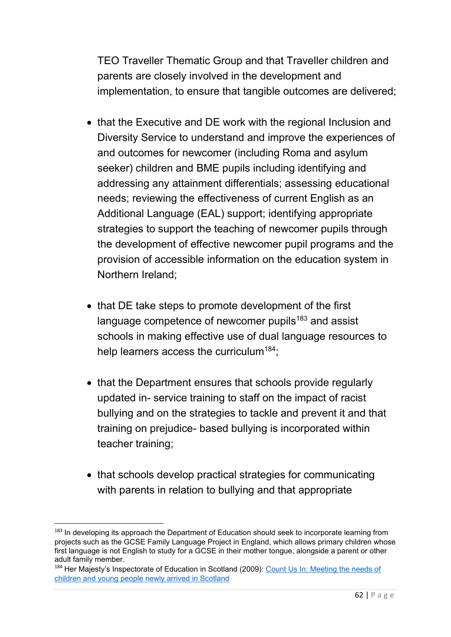TEO Traveller Thematic Group and that Traveller children and parents are closely involved in the development and implementation, to ensure that tangible outcomes are delivered;

- that the Executive and DE work with the regional Inclusion and Diversity Service to understand and improve the experiences of and outcomes for newcomer (including Roma and asylum seeker) children and BME pupils including identifying and addressing any attainment differentials; assessing educational needs; reviewing the effectiveness of current English as an Additional Language (EAL) support; identifying appropriate strategies to support the teaching of newcomer pupils through the development of effective newcomer pupil programs and the provision of accessible information on the education system in Northern Ireland;
- that DE take steps to promote development of the first language competence of newcomer pupils $183$  and assist schools in making effective use of dual language resources to help learners access the curriculum<sup>184</sup>;
- that the Department ensures that schools provide regularly updated in- service training to staff on the impact of racist bullying and on the strategies to tackle and prevent it and that training on prejudice- based bullying is incorporated within teacher training;
- that schools develop practical strategies for communicating with parents in relation to bullying and that appropriate

<sup>&</sup>lt;sup>183</sup> In developing its approach the Department of Education should seek to incorporate learning from projects such as the GCSE Family Language Project in England, which allows primary children whose first language is not English to study for a GCSE in their mother tongue, alongside a parent or other adult family member.

<sup>184</sup> Her Majesty's Inspectorate of Education in Scotland (2009): Count Us In: Meeting the needs of [children and young people newly arrived in Scotland](https://files.eric.ed.gov/fulltext/ED539968.pdf)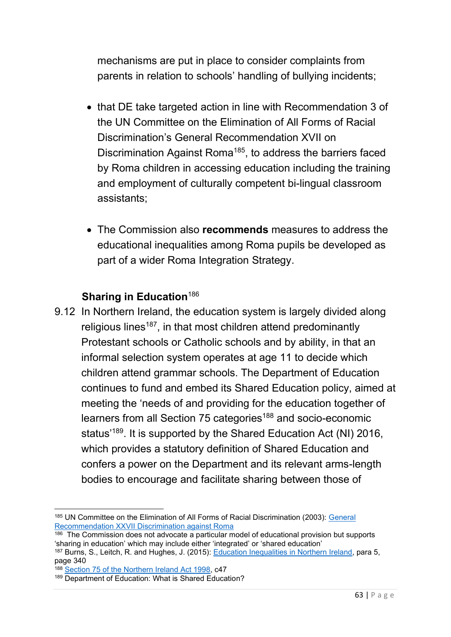mechanisms are put in place to consider complaints from parents in relation to schools' handling of bullying incidents;

- that DE take targeted action in line with Recommendation 3 of the UN Committee on the Elimination of All Forms of Racial Discrimination's General Recommendation XVII on Discrimination Against Roma<sup>185</sup>, to address the barriers faced by Roma children in accessing education including the training and employment of culturally competent bi-lingual classroom assistants;
- The Commission also **recommends** measures to address the educational inequalities among Roma pupils be developed as part of a wider Roma Integration Strategy.

### **Sharing in Education**<sup>186</sup>

9.12 In Northern Ireland, the education system is largely divided along religious lines<sup>187</sup>, in that most children attend predominantly Protestant schools or Catholic schools and by ability, in that an informal selection system operates at age 11 to decide which children attend grammar schools. The Department of Education continues to fund and embed its Shared Education policy, aimed at meeting the 'needs of and providing for the education together of learners from all Section 75 categories<sup>188</sup> and socio-economic status<sup>'189</sup>. It is supported by the Shared Education Act (NI) 2016, which provides a statutory definition of Shared Education and confers a power on the Department and its relevant arms-length bodies to encourage and facilitate sharing between those of

<sup>185</sup> UN Committee on the Elimination of All Forms of Racial Discrimination (2003): [General](http://hrlibrary.umn.edu/gencomm/genrexxvii.htm)  [Recommendation XXVII Discrimination against Roma](http://hrlibrary.umn.edu/gencomm/genrexxvii.htm)

<sup>&</sup>lt;sup>186</sup> The Commission does not advocate a particular model of educational provision but supports 'sharing in education' which may include either 'integrated' or 'shared education'

<sup>187</sup> Burns, S., Leitch, R. and Hughes, J. (2015): [Education Inequalities in Northern Ireland,](https://www.equalityni.org/ECNI/media/ECNI/Publications/Delivering%20Equality/EducationInequality-FullReportQUB.pdf) para 5, page 340

<sup>188</sup> [Section 75 of the Northern Ireland Act 1998,](https://www.legislation.gov.uk/ukpga/1998/47/section/75) c47

<sup>189</sup> Department of Education: What is Shared Education?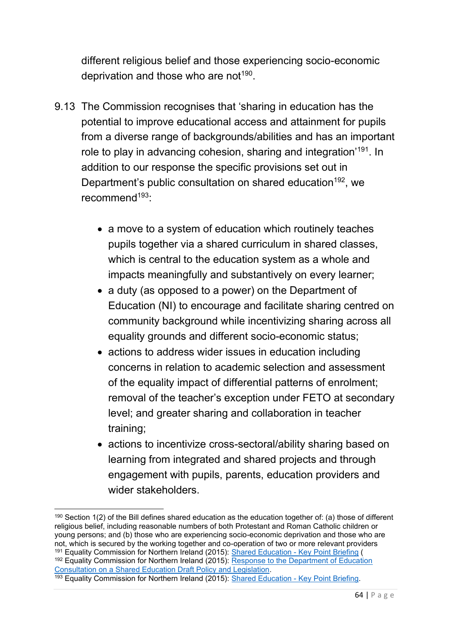different religious belief and those experiencing socio-economic deprivation and those who are not $^{\rm 190}.$ 

- 9.13 The Commission recognises that 'sharing in education has the potential to improve educational access and attainment for pupils from a diverse range of backgrounds/abilities and has an important role to play in advancing cohesion, sharing and integration'<sup>191</sup>. In addition to our response the specific provisions set out in Department's public consultation on shared education<sup>192</sup>, we recommend<sup>193</sup>:
	- a move to a system of education which routinely teaches pupils together via a shared curriculum in shared classes, which is central to the education system as a whole and impacts meaningfully and substantively on every learner;
	- a duty (as opposed to a power) on the Department of Education (NI) to encourage and facilitate sharing centred on community background while incentivizing sharing across all equality grounds and different socio-economic status;
	- actions to address wider issues in education including concerns in relation to academic selection and assessment of the equality impact of differential patterns of enrolment; removal of the teacher's exception under FETO at secondary level; and greater sharing and collaboration in teacher training;
	- actions to incentivize cross-sectoral/ability sharing based on learning from integrated and shared projects and through engagement with pupils, parents, education providers and wider stakeholders.

<sup>190</sup> Section 1(2) of the Bill defines shared education as the education together of: (a) those of different religious belief, including reasonable numbers of both Protestant and Roman Catholic children or young persons; and (b) those who are experiencing socio-economic deprivation and those who are not, which is secured by the working together and co-operation of two or more relevant providers <sup>191</sup> Equality Commission for Northern Ireland (2015): <u>Shared Education - Key Point Briefing</u> ( <sup>192</sup> Equality Commission for Northern Ireland (2015): Response to the Department of Education [Consultation on a Shared Education Draft Policy and Legislation.](https://www.equalityni.org/ECNI/media/ECNI/Consultation%20Responses/2015/DENI-SharedEducation_060315.pdf?ext=.pdf) <sup>193</sup> Equality Commission for Northern Ireland (2015): [Shared Education -](https://www.equalityni.org/sharededucation) Key Point Briefing.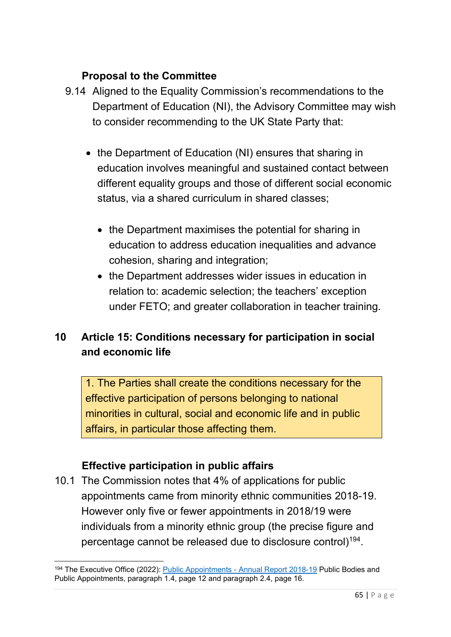## **Proposal to the Committee**

- 9.14 Aligned to the Equality Commission's recommendations to the Department of Education (NI), the Advisory Committee may wish to consider recommending to the UK State Party that:
	- the Department of Education (NI) ensures that sharing in education involves meaningful and sustained contact between different equality groups and those of different social economic status, via a shared curriculum in shared classes;
		- the Department maximises the potential for sharing in education to address education inequalities and advance cohesion, sharing and integration;
		- the Department addresses wider issues in education in relation to: academic selection; the teachers' exception under FETO; and greater collaboration in teacher training.

# **10 Article 15: Conditions necessary for participation in social and economic life**

1. The Parties shall create the conditions necessary for the effective participation of persons belonging to national minorities in cultural, social and economic life and in public affairs, in particular those affecting them.

### **Effective participation in public affairs**

10.1 The Commission notes that 4% of applications for public appointments came from minority ethnic communities 2018-19. However only five or fewer appointments in 2018/19 were individuals from a minority ethnic group (the precise figure and percentage cannot be released due to disclosure control) $^{\rm 194}.$ 

<sup>194</sup> The Executive Office (2022): Public Appointments - [Annual Report 2018-19](https://www.executiveoffice-ni.gov.uk/sites/default/files/publications/execoffice/public-appointments-annual-report-2018-19.pdf) Public Bodies and Public Appointments, paragraph 1.4, page 12 and paragraph 2.4, page 16.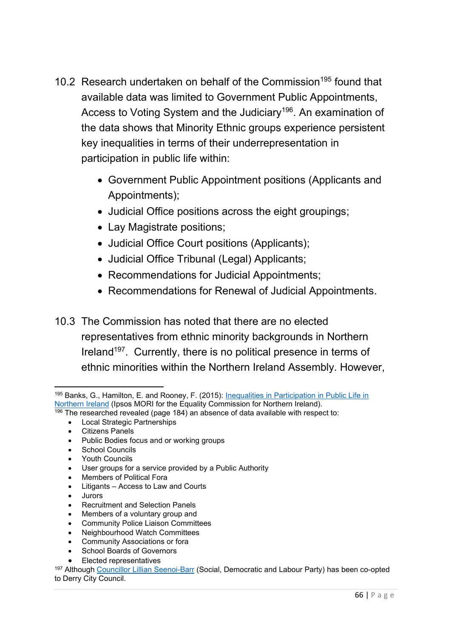- 10.2 Research undertaken on behalf of the Commission<sup>195</sup> found that available data was limited to Government Public Appointments, Access to Voting System and the Judiciary<sup>196</sup>. An examination of the data shows that Minority Ethnic groups experience persistent key inequalities in terms of their underrepresentation in participation in public life within:
	- Government Public Appointment positions (Applicants and Appointments);
	- Judicial Office positions across the eight groupings;
	- Lay Magistrate positions;
	- Judicial Office Court positions (Applicants);
	- Judicial Office Tribunal (Legal) Applicants;
	- Recommendations for Judicial Appointments;
	- Recommendations for Renewal of Judicial Appointments.
- 10.3 The Commission has noted that there are no elected representatives from ethnic minority backgrounds in Northern Ireland<sup>197</sup>. Currently, there is no political presence in terms of ethnic minorities within the Northern Ireland Assembly. However,

- $\frac{196}{196}$  The researched revealed (page 184) an absence of data available with respect to:
	- Local Strategic Partnerships
	- Citizens Panels
	- Public Bodies focus and or working groups
	- School Councils
	- Youth Councils
	- User groups for a service provided by a Public Authority
	- Members of Political Fora
	- Litigants Access to Law and Courts
	- Jurors
	- Recruitment and Selection Panels
	- Members of a voluntary group and
	- Community Police Liaison Committees
	- Neighbourhood Watch Committees
	- Community Associations or fora
	- School Boards of Governors
	- Elected representatives

<sup>197</sup> Although [Councillor Lillian Seenoi-Barr](https://www.irishnews.com/news/northernirelandnews/2021/06/09/news/black-lives-matter-campaigner-lilian-seenoi-barr-selected-as-new-derry-sdlp-councillor-2349102/) (Social, Democratic and Labour Party) has been co-opted to Derry City Council.

<sup>195</sup> Banks, G., Hamilton, E. and Rooney, F. (2015): [Inequalities in Participation in Public Life](https://www.equalityni.org/ECNI/media/ECNI/Publications/Delivering%20Equality/ParticipationInPublicLife-FullResearchReport.pdf) in [Northern Ireland](https://www.equalityni.org/ECNI/media/ECNI/Publications/Delivering%20Equality/ParticipationInPublicLife-FullResearchReport.pdf) (Ipsos MORI for the Equality Commission for Northern Ireland).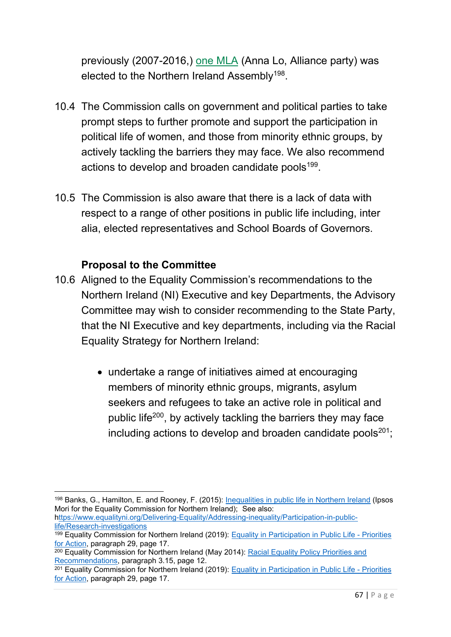previously (2007-2016,) [one MLA](http://www.theyworkforyou.com/mla/13902/anna_lo) (Anna Lo, Alliance party) was elected to the Northern Ireland Assembly<sup>198</sup>.

- 10.4 The Commission calls on government and political parties to take prompt steps to further promote and support the participation in political life of women, and those from minority ethnic groups, by actively tackling the barriers they may face. We also recommend actions to develop and broaden candidate pools<sup>199</sup>.
- 10.5 The Commission is also aware that there is a lack of data with respect to a range of other positions in public life including, inter alia, elected representatives and School Boards of Governors.

- 10.6 Aligned to the Equality Commission's recommendations to the Northern Ireland (NI) Executive and key Departments, the Advisory Committee may wish to consider recommending to the State Party, that the NI Executive and key departments, including via the Racial Equality Strategy for Northern Ireland:
	- undertake a range of initiatives aimed at encouraging members of minority ethnic groups, migrants, asylum seekers and refugees to take an active role in political and public life<sup>200</sup>, by actively tackling the barriers they may face including actions to develop and broaden candidate pools $201$ ;

<sup>198</sup> Banks, G., Hamilton, E. and Rooney, F. (2015): [Inequalities in public life in Northern Ireland](https://www.equalityni.org/ECNI/media/ECNI/Publications/Delivering%20Equality/RacialEquality_PolicyPosition2014.pdf) (Ipsos Mori for the Equality Commission for Northern Ireland); See also:

[https://www.equalityni.org/Delivering-Equality/Addressing-inequality/Participation-in-public](https://www.equalityni.org/Delivering-Equality/Addressing-inequality/Participation-in-public-life/Research-investigations)[life/Research-investigations](https://www.equalityni.org/Delivering-Equality/Addressing-inequality/Participation-in-public-life/Research-investigations)

<sup>199</sup> Equality Commission for Northern Ireland (2019): [Equality in Participation in Public Life -](https://www.equalityni.org/ECNI/media/ECNI/Publications/Delivering%20Equality/ParticipationPublicLife-PolicyPriorities.pdf) Priorities [for Action,](https://www.equalityni.org/ECNI/media/ECNI/Publications/Delivering%20Equality/ParticipationPublicLife-PolicyPriorities.pdf) paragraph 29, page 17.

<sup>&</sup>lt;sup>200</sup> Equality Commission for Northern Ireland (May 2014): Racial Equality Policy Priorities and [Recommendations,](https://www.equalityni.org/ECNI/media/ECNI/Publications/Delivering%20Equality/RacialEquality_PolicyPosition2014.pdf) paragraph 3.15, page 12.

<sup>201</sup> Equality Commission for Northern Ireland (2019): [Equality in Participation in Public Life -](https://www.equalityni.org/ECNI/media/ECNI/Publications/Delivering%20Equality/ParticipationPublicLife-PolicyPriorities.pdf) Priorities [for Action,](https://www.equalityni.org/ECNI/media/ECNI/Publications/Delivering%20Equality/ParticipationPublicLife-PolicyPriorities.pdf) paragraph 29, page 17.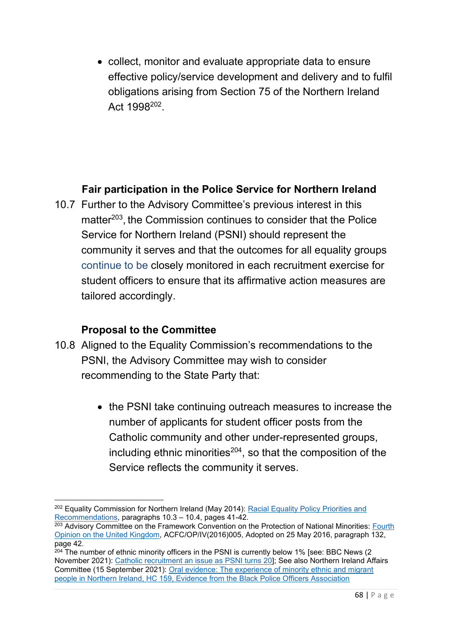• collect, monitor and evaluate appropriate data to ensure effective policy/service development and delivery and to fulfil obligations arising from Section 75 of the Northern Ireland Act 1998<sup>202</sup>.

### **Fair participation in the Police Service for Northern Ireland**

10.7 Further to the Advisory Committee's previous interest in this matter<sup>203</sup>, the Commission continues to consider that the Police Service for Northern Ireland (PSNI) should represent the community it serves and that the outcomes for all equality groups continue to be closely monitored in each recruitment exercise for student officers to ensure that its affirmative action measures are tailored accordingly.

- 10.8 Aligned to the Equality Commission's recommendations to the PSNI, the Advisory Committee may wish to consider recommending to the State Party that:
	- the PSNI take continuing outreach measures to increase the number of applicants for student officer posts from the Catholic community and other under-represented groups, including ethnic minorities $204$ , so that the composition of the Service reflects the community it serves.

<sup>&</sup>lt;sup>202</sup> Equality Commission for Northern Ireland (May 2014): Racial Equality Policy Priorities and [Recommendations,](https://www.equalityni.org/ECNI/media/ECNI/Publications/Delivering%20Equality/RacialEquality_PolicyPosition2014.pdf) paragraphs 10.3 – 10.4, pages 41-42.

 $203$  Advisory Committee on the Framework Convention on the Protection of National Minorities: Fourth [Opinion on the United Kingdom,](https://rm.coe.int/16806fb9ab) ACFC/OP/IV(2016)005, Adopted on 25 May 2016, paragraph 132, page 42.

 $204$  The number of ethnic minority officers in the PSNI is currently below 1% [see: BBC News (2) November 2021): [Catholic recruitment an issue as PSNI turns 20\]](https://www.bbc.co.uk/news/uk-northern-ireland-59126178); See also Northern Ireland Affairs Committee (15 September 2021): [Oral evidence: The experience of minority ethnic and migrant](https://committees.parliament.uk/oralevidence/2734/pdf/)  [people in Northern Ireland, HC 159, Evidence from the Black Police Officers Association](https://committees.parliament.uk/oralevidence/2734/pdf/)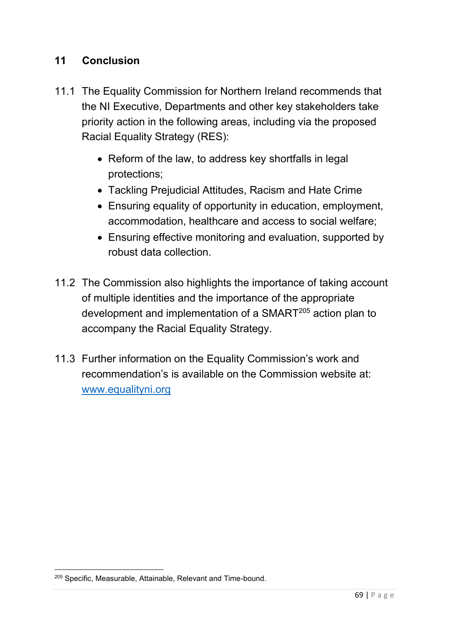### **11 Conclusion**

- 11.1 The Equality Commission for Northern Ireland recommends that the NI Executive, Departments and other key stakeholders take priority action in the following areas, including via the proposed Racial Equality Strategy (RES):
	- Reform of the law, to address key shortfalls in legal protections;
	- Tackling Prejudicial Attitudes, Racism and Hate Crime
	- Ensuring equality of opportunity in education, employment, accommodation, healthcare and access to social welfare;
	- Ensuring effective monitoring and evaluation, supported by robust data collection.
- 11.2 The Commission also highlights the importance of taking account of multiple identities and the importance of the appropriate development and implementation of a SMART<sup>205</sup> action plan to accompany the Racial Equality Strategy.
- 11.3 Further information on the Equality Commission's work and recommendation's is available on the Commission website at: [www.equalityni.org](file://///equality.local/root/Data1/PUBLIC%20POLICY/ConsultationResponses/B_ConsultationsAndResponses/FCNM/2022%20-%205th%20UK%20Report/2%20-%20ECNI%20working%20docs/www.equalityni.org)

<sup>205</sup> Specific, Measurable, Attainable, Relevant and Time-bound.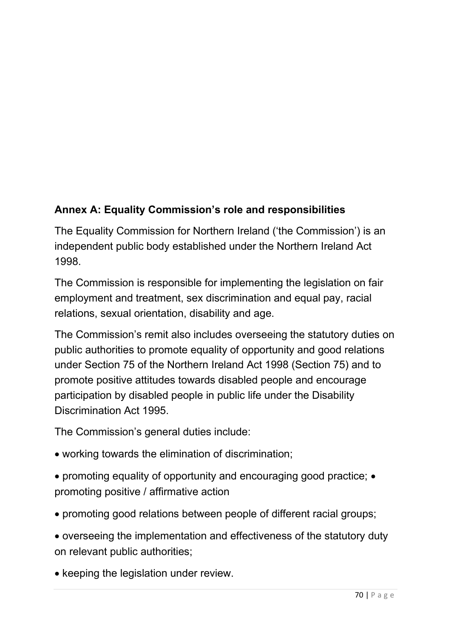# **Annex A: Equality Commission's role and responsibilities**

The Equality Commission for Northern Ireland ('the Commission') is an independent public body established under the Northern Ireland Act 1998.

The Commission is responsible for implementing the legislation on fair employment and treatment, sex discrimination and equal pay, racial relations, sexual orientation, disability and age.

The Commission's remit also includes overseeing the statutory duties on public authorities to promote equality of opportunity and good relations under Section 75 of the Northern Ireland Act 1998 (Section 75) and to promote positive attitudes towards disabled people and encourage participation by disabled people in public life under the Disability Discrimination Act 1995.

The Commission's general duties include:

- working towards the elimination of discrimination;
- promoting equality of opportunity and encouraging good practice; promoting positive / affirmative action
- promoting good relations between people of different racial groups;
- overseeing the implementation and effectiveness of the statutory duty on relevant public authorities;
- keeping the legislation under review.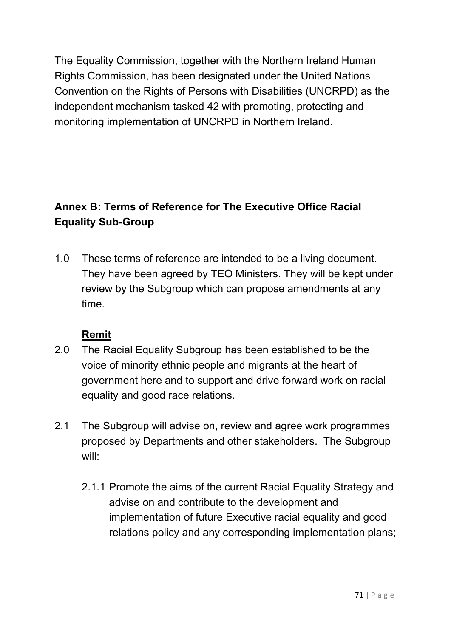The Equality Commission, together with the Northern Ireland Human Rights Commission, has been designated under the United Nations Convention on the Rights of Persons with Disabilities (UNCRPD) as the independent mechanism tasked 42 with promoting, protecting and monitoring implementation of UNCRPD in Northern Ireland.

# **Annex B: Terms of Reference for The Executive Office Racial Equality Sub-Group**

1.0 These terms of reference are intended to be a living document. They have been agreed by TEO Ministers. They will be kept under review by the Subgroup which can propose amendments at any time.

### **Remit**

- 2.0 The Racial Equality Subgroup has been established to be the voice of minority ethnic people and migrants at the heart of government here and to support and drive forward work on racial equality and good race relations.
- 2.1 The Subgroup will advise on, review and agree work programmes proposed by Departments and other stakeholders. The Subgroup will:
	- 2.1.1 Promote the aims of the current Racial Equality Strategy and advise on and contribute to the development and implementation of future Executive racial equality and good relations policy and any corresponding implementation plans;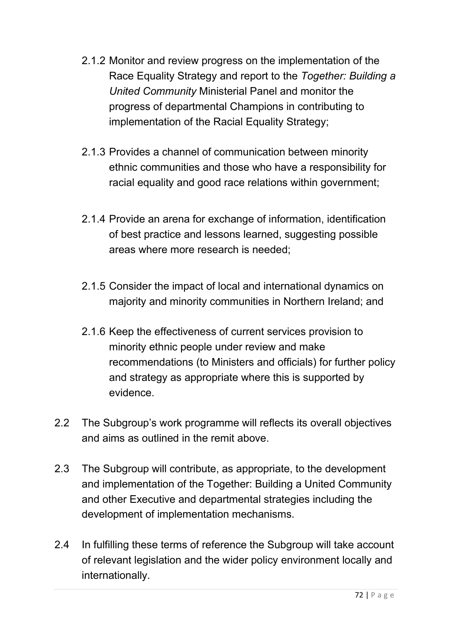- 2.1.2 Monitor and review progress on the implementation of the Race Equality Strategy and report to the *Together: Building a United Community* Ministerial Panel and monitor the progress of departmental Champions in contributing to implementation of the Racial Equality Strategy;
- 2.1.3 Provides a channel of communication between minority ethnic communities and those who have a responsibility for racial equality and good race relations within government;
- 2.1.4 Provide an arena for exchange of information, identification of best practice and lessons learned, suggesting possible areas where more research is needed;
- 2.1.5 Consider the impact of local and international dynamics on majority and minority communities in Northern Ireland; and
- 2.1.6 Keep the effectiveness of current services provision to minority ethnic people under review and make recommendations (to Ministers and officials) for further policy and strategy as appropriate where this is supported by evidence.
- 2.2 The Subgroup's work programme will reflects its overall objectives and aims as outlined in the remit above.
- 2.3 The Subgroup will contribute, as appropriate, to the development and implementation of the Together: Building a United Community and other Executive and departmental strategies including the development of implementation mechanisms.
- 2.4 In fulfilling these terms of reference the Subgroup will take account of relevant legislation and the wider policy environment locally and internationally.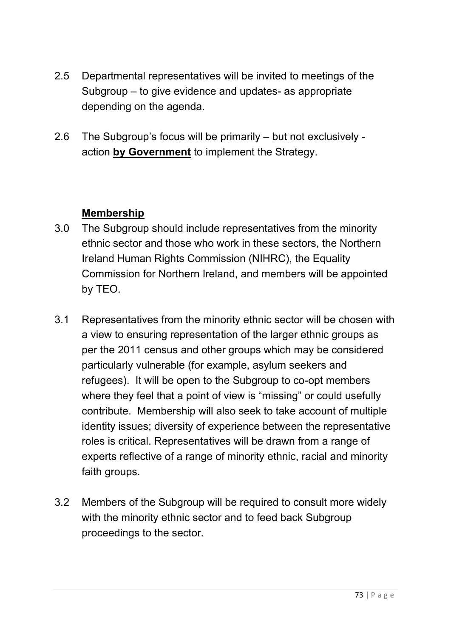- 2.5 Departmental representatives will be invited to meetings of the Subgroup – to give evidence and updates- as appropriate depending on the agenda.
- 2.6 The Subgroup's focus will be primarily but not exclusively action **by Government** to implement the Strategy.

# **Membership**

- 3.0 The Subgroup should include representatives from the minority ethnic sector and those who work in these sectors, the Northern Ireland Human Rights Commission (NIHRC), the Equality Commission for Northern Ireland, and members will be appointed by TEO.
- 3.1 Representatives from the minority ethnic sector will be chosen with a view to ensuring representation of the larger ethnic groups as per the 2011 census and other groups which may be considered particularly vulnerable (for example, asylum seekers and refugees). It will be open to the Subgroup to co-opt members where they feel that a point of view is "missing" or could usefully contribute. Membership will also seek to take account of multiple identity issues; diversity of experience between the representative roles is critical. Representatives will be drawn from a range of experts reflective of a range of minority ethnic, racial and minority faith groups.
- 3.2 Members of the Subgroup will be required to consult more widely with the minority ethnic sector and to feed back Subgroup proceedings to the sector.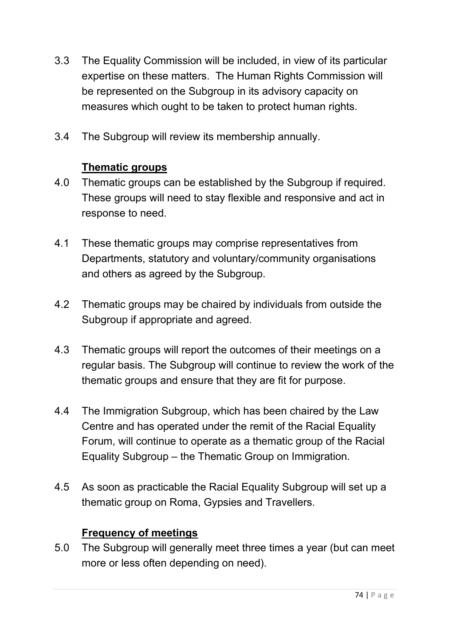- 3.3 The Equality Commission will be included, in view of its particular expertise on these matters. The Human Rights Commission will be represented on the Subgroup in its advisory capacity on measures which ought to be taken to protect human rights.
- 3.4 The Subgroup will review its membership annually.

# **Thematic groups**

- 4.0 Thematic groups can be established by the Subgroup if required. These groups will need to stay flexible and responsive and act in response to need.
- 4.1 These thematic groups may comprise representatives from Departments, statutory and voluntary/community organisations and others as agreed by the Subgroup.
- 4.2 Thematic groups may be chaired by individuals from outside the Subgroup if appropriate and agreed.
- 4.3 Thematic groups will report the outcomes of their meetings on a regular basis. The Subgroup will continue to review the work of the thematic groups and ensure that they are fit for purpose.
- 4.4 The Immigration Subgroup, which has been chaired by the Law Centre and has operated under the remit of the Racial Equality Forum, will continue to operate as a thematic group of the Racial Equality Subgroup – the Thematic Group on Immigration.
- 4.5 As soon as practicable the Racial Equality Subgroup will set up a thematic group on Roma, Gypsies and Travellers.

## **Frequency of meetings**

5.0 The Subgroup will generally meet three times a year (but can meet more or less often depending on need).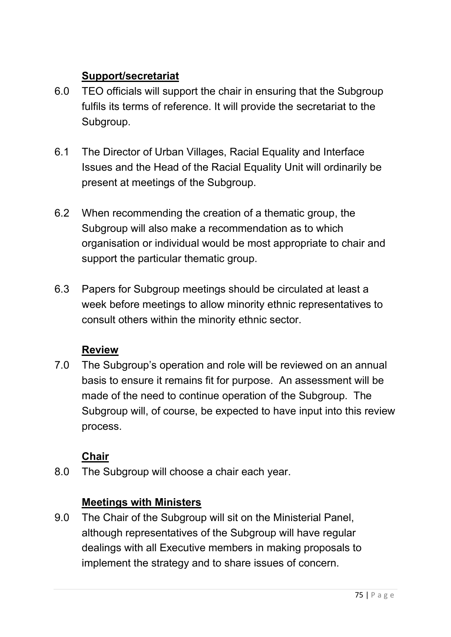# **Support/secretariat**

- 6.0 TEO officials will support the chair in ensuring that the Subgroup fulfils its terms of reference. It will provide the secretariat to the Subgroup.
- 6.1 The Director of Urban Villages, Racial Equality and Interface Issues and the Head of the Racial Equality Unit will ordinarily be present at meetings of the Subgroup.
- 6.2 When recommending the creation of a thematic group, the Subgroup will also make a recommendation as to which organisation or individual would be most appropriate to chair and support the particular thematic group.
- 6.3 Papers for Subgroup meetings should be circulated at least a week before meetings to allow minority ethnic representatives to consult others within the minority ethnic sector.

# **Review**

7.0 The Subgroup's operation and role will be reviewed on an annual basis to ensure it remains fit for purpose. An assessment will be made of the need to continue operation of the Subgroup. The Subgroup will, of course, be expected to have input into this review process.

# **Chair**

8.0 The Subgroup will choose a chair each year.

## **Meetings with Ministers**

9.0 The Chair of the Subgroup will sit on the Ministerial Panel, although representatives of the Subgroup will have regular dealings with all Executive members in making proposals to implement the strategy and to share issues of concern.